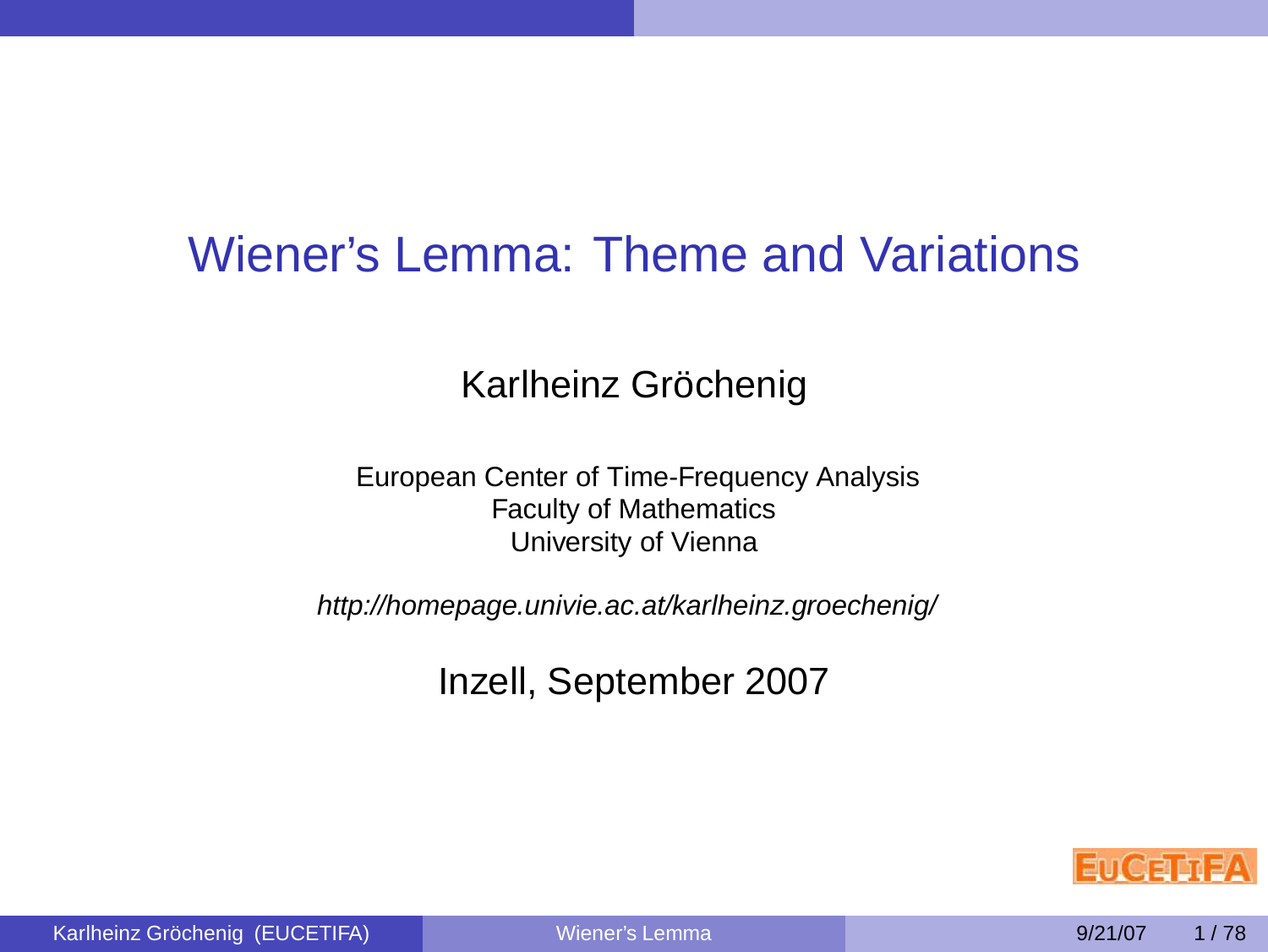# Wiener's Lemma: Theme and Variations

# Karlheinz Gröchenig

European Center of Time-Frequency Analysis Faculty of Mathematics University of Vienna

http://homepage.univie.ac.at/karlheinz.groechenig/

Inzell, September 2007

<span id="page-0-0"></span>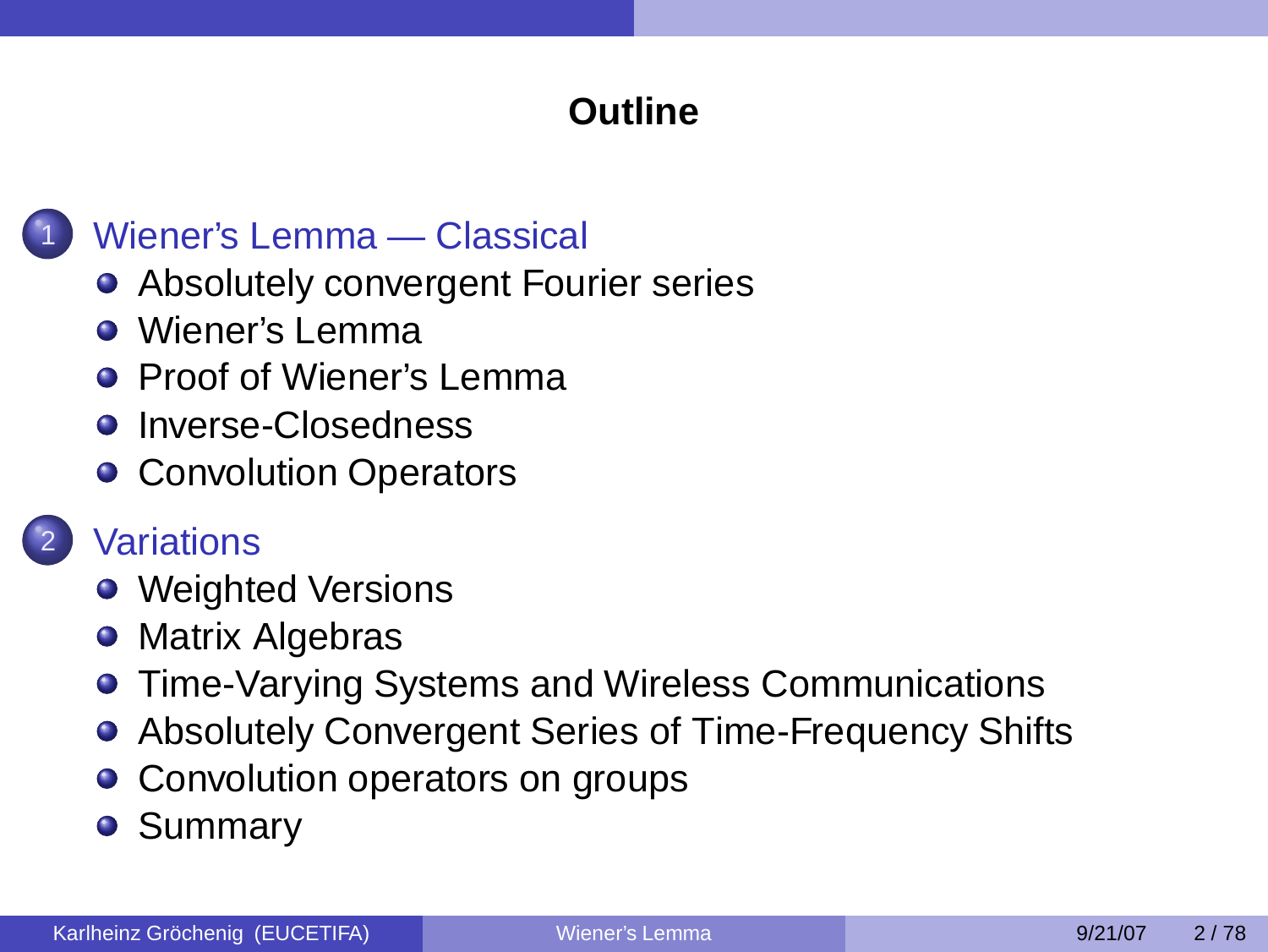# **Outline**



# [Wiener's Lemma — Classical](#page-3-0)

- [Absolutely convergent Fourier series](#page-4-0)
- [Wiener's Lemma](#page-6-0)
- **[Proof of Wiener's Lemma](#page-7-0)**
- **•** [Inverse-Closedness](#page-13-0)
- [Convolution Operators](#page-19-0)

- **[Variations](#page-25-0)**
- [Weighted Versions](#page-27-0)
- [Matrix Algebras](#page-33-0)
- **[Time-Varying Systems and Wireless Communications](#page-41-0)**
- [Absolutely Convergent Series of Time-Frequency Shifts](#page-54-0)
- [Convolution operators on groups](#page-58-0)
- **[Summary](#page-66-0)**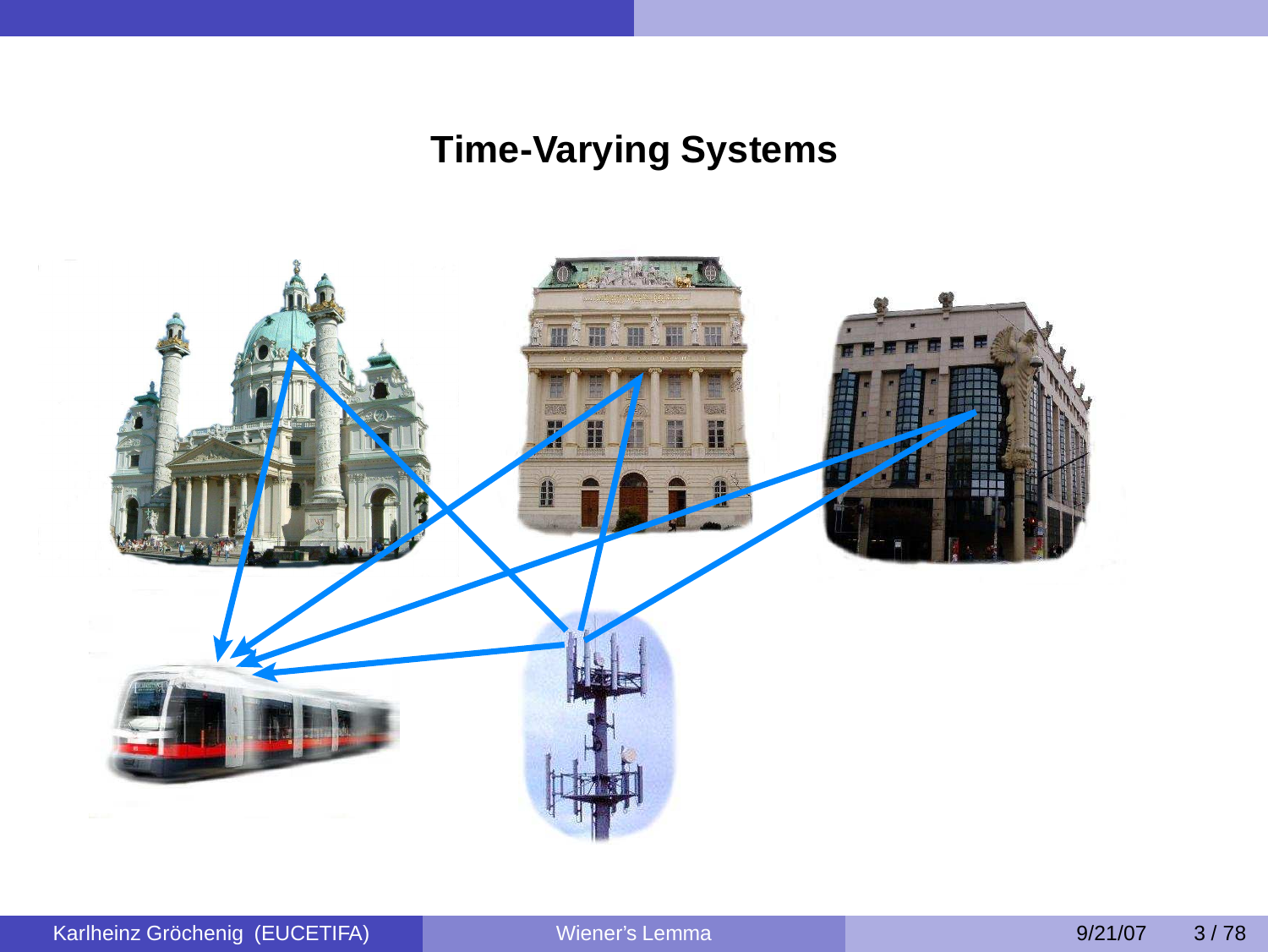# **Time-Varying Systems**

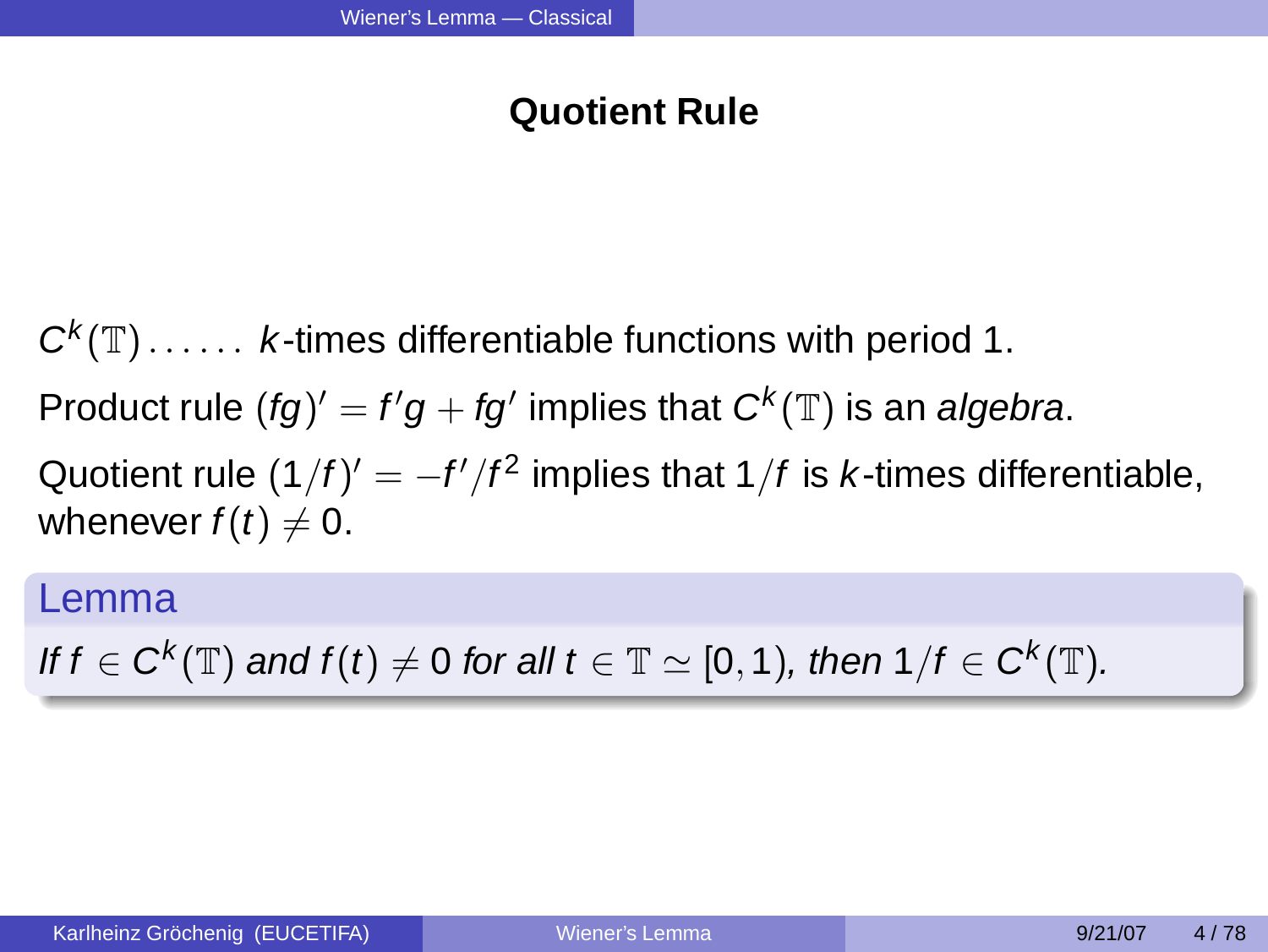# <span id="page-3-0"></span>**Quotient Rule**

 $C^{k}(\mathbb{T})$ ...... *k*-times differentiable functions with period 1. Product rule  $(fg)' = f'g + fg'$  implies that  $C^k(\mathbb{T})$  is an algebra. Quotient rule  $(1/f)' = -f'/f^2$  implies that 1/f is *k*-times differentiable, whenever  $f(t) \neq 0$ .

### Lemma

If  $f\in C^k(\mathbb{T})$  and  $f(t)\neq 0$  for all  $t\in\mathbb{T}\simeq [0,1),$  then  $1/f\in C^k(\mathbb{T}).$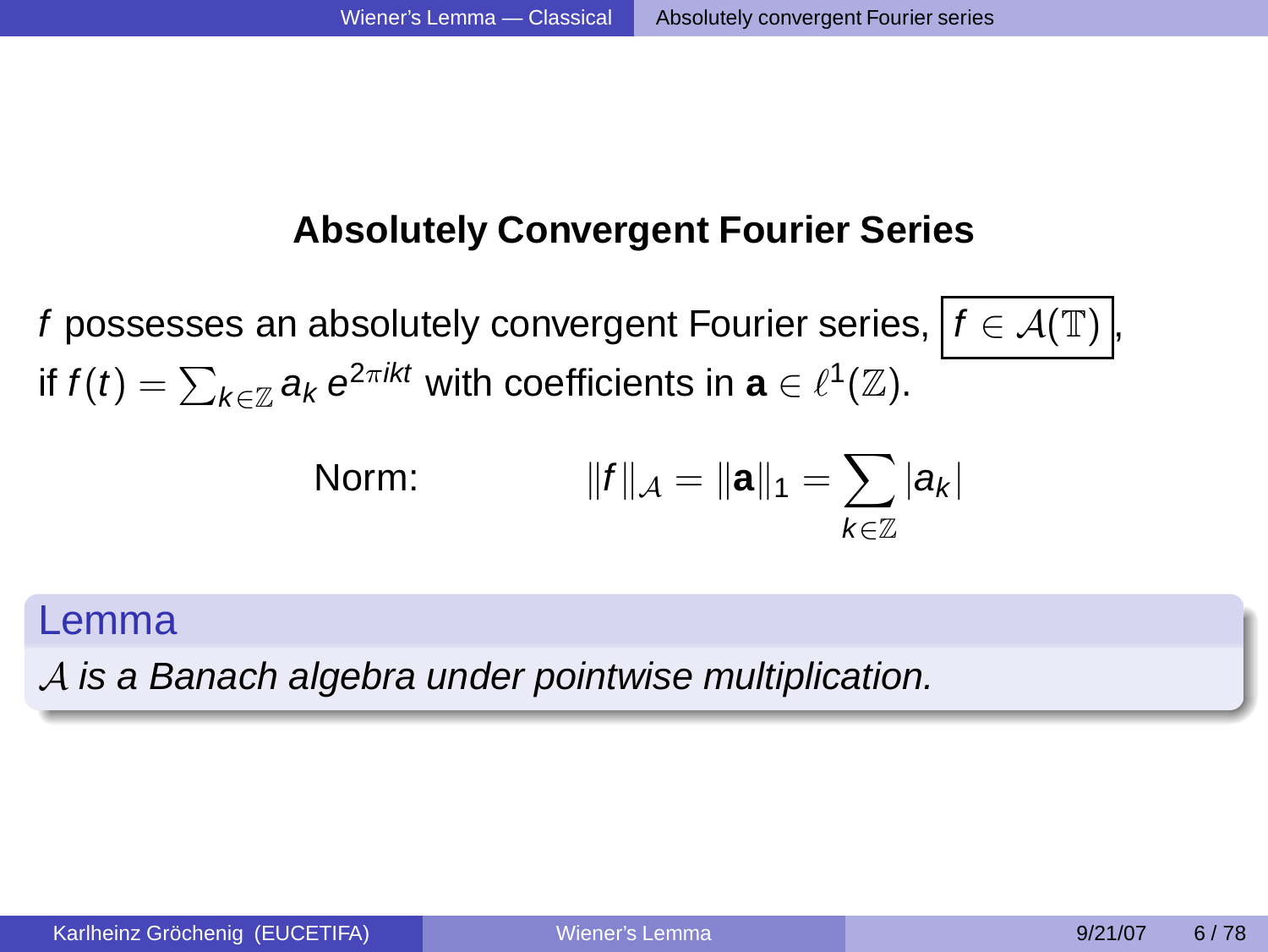### **Absolutely Convergent Fourier Series**

f possesses an absolutely convergent Fourier series,  $f \in \mathcal{A}(\mathbb{T})$ , if  $f(t) = \sum_{k \in \mathbb{Z}} a_k e^{2\pi ikt}$  with coefficients in  $\mathbf{a} \in \ell^1(\mathbb{Z})$ .

<span id="page-4-0"></span>Norm: 
$$
||f||_{A} = ||\mathbf{a}||_{1} = \sum_{k \in \mathbb{Z}} |a_{k}|
$$

### Lemma

A is a Banach algebra under pointwise multiplication.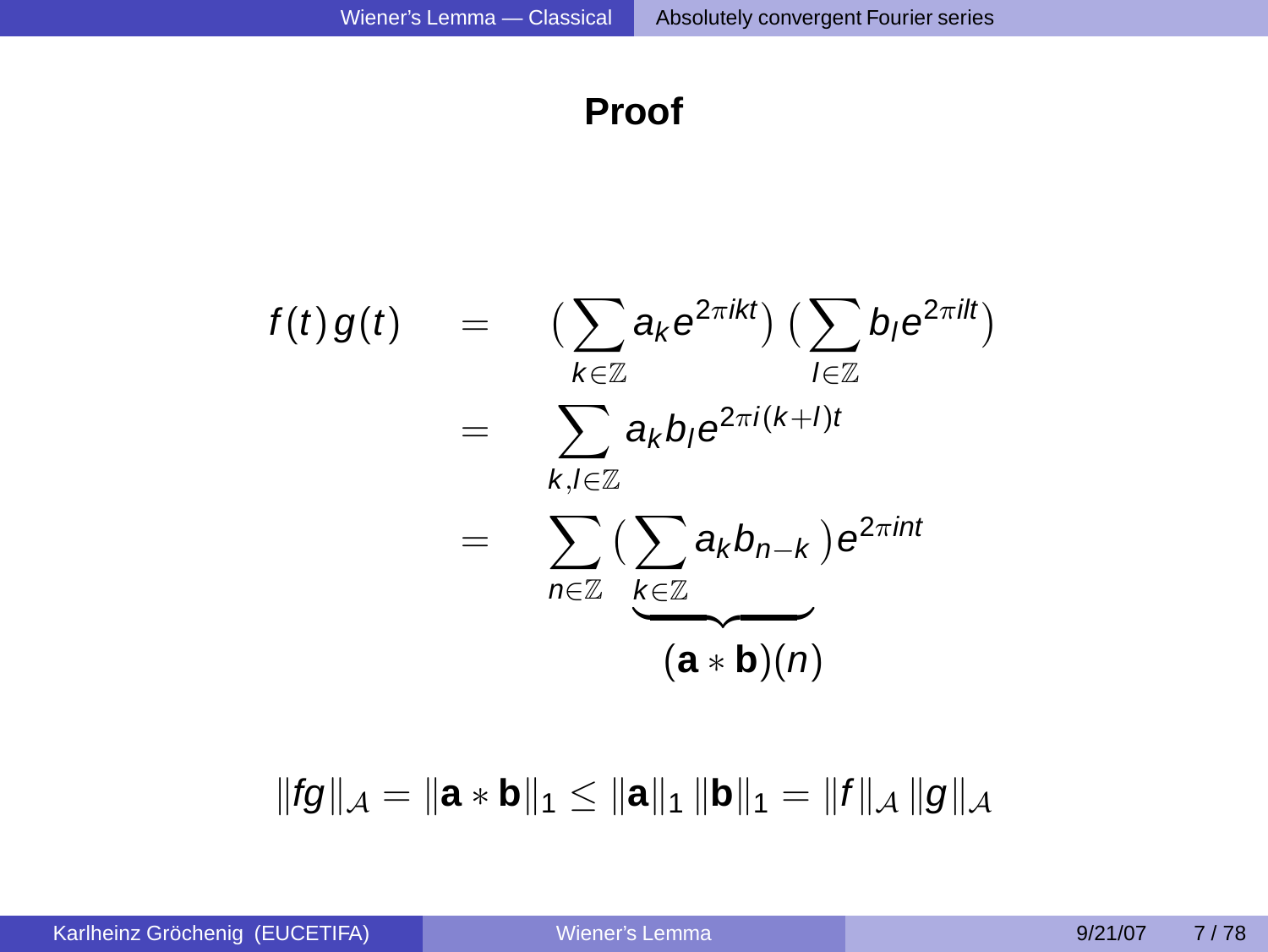### **Proof**

$$
f(t) g(t) = \left( \sum_{k \in \mathbb{Z}} a_k e^{2\pi ikt} \right) \left( \sum_{l \in \mathbb{Z}} b_l e^{2\pi ilt} \right)
$$
  

$$
= \sum_{k,l \in \mathbb{Z}} a_k b_l e^{2\pi i (k+l)t}
$$
  

$$
= \sum_{n \in \mathbb{Z}} \left( \sum_{\substack{k \in \mathbb{Z} \\ (\mathbf{a} * \mathbf{b})(n)}} a_k b_{n-k} \right) e^{2\pi i nt}
$$

 $||fg||_{\mathcal{A}} = ||\mathbf{a} * \mathbf{b}||_1 \leq ||\mathbf{a}||_1 ||\mathbf{b}||_1 = ||f||_{\mathcal{A}} ||g||_{\mathcal{A}}$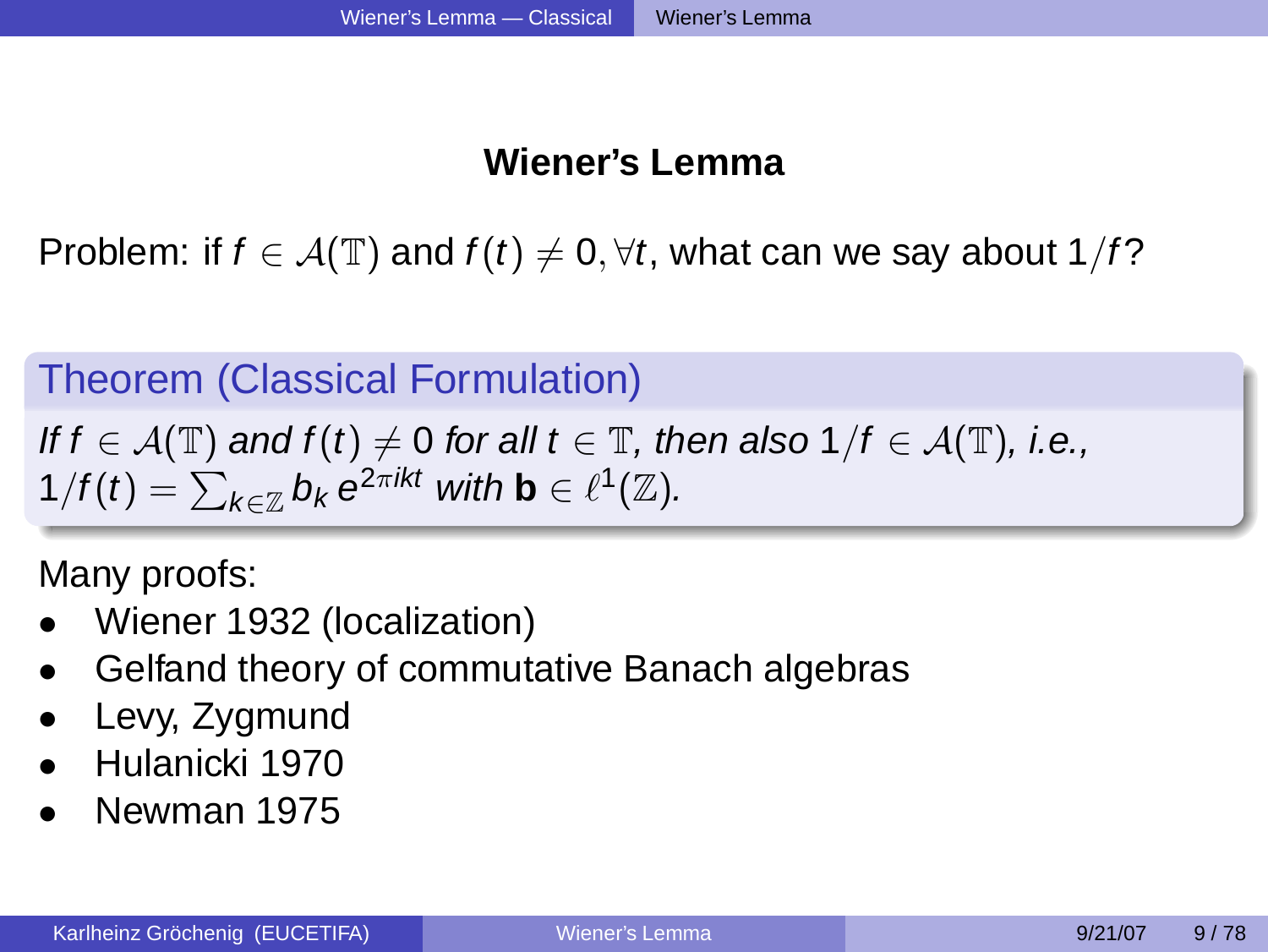### <span id="page-6-0"></span>**Wiener's Lemma**

Problem: if  $f \in \mathcal{A}(\mathbb{T})$  and  $f(t) \neq 0, \forall t$ , what can we say about 1/f?

# Theorem (Classical Formulation)

If  $f \in \mathcal{A}(\mathbb{T})$  and  $f(t) \neq 0$  for all  $t \in \mathbb{T}$ , then also  $1/f \in \mathcal{A}(\mathbb{T})$ , i.e.,  $1/f(t) = \sum_{k \in \mathbb{Z}} b_k e^{2\pi i kt}$  with  $\mathbf{b} \in \ell^1(\mathbb{Z})$ .

Many proofs:

- Wiener 1932 (localization)
- Gelfand theory of commutative Banach algebras
- Levy, Zygmund
- Hulanicki 1970
- Newman 1975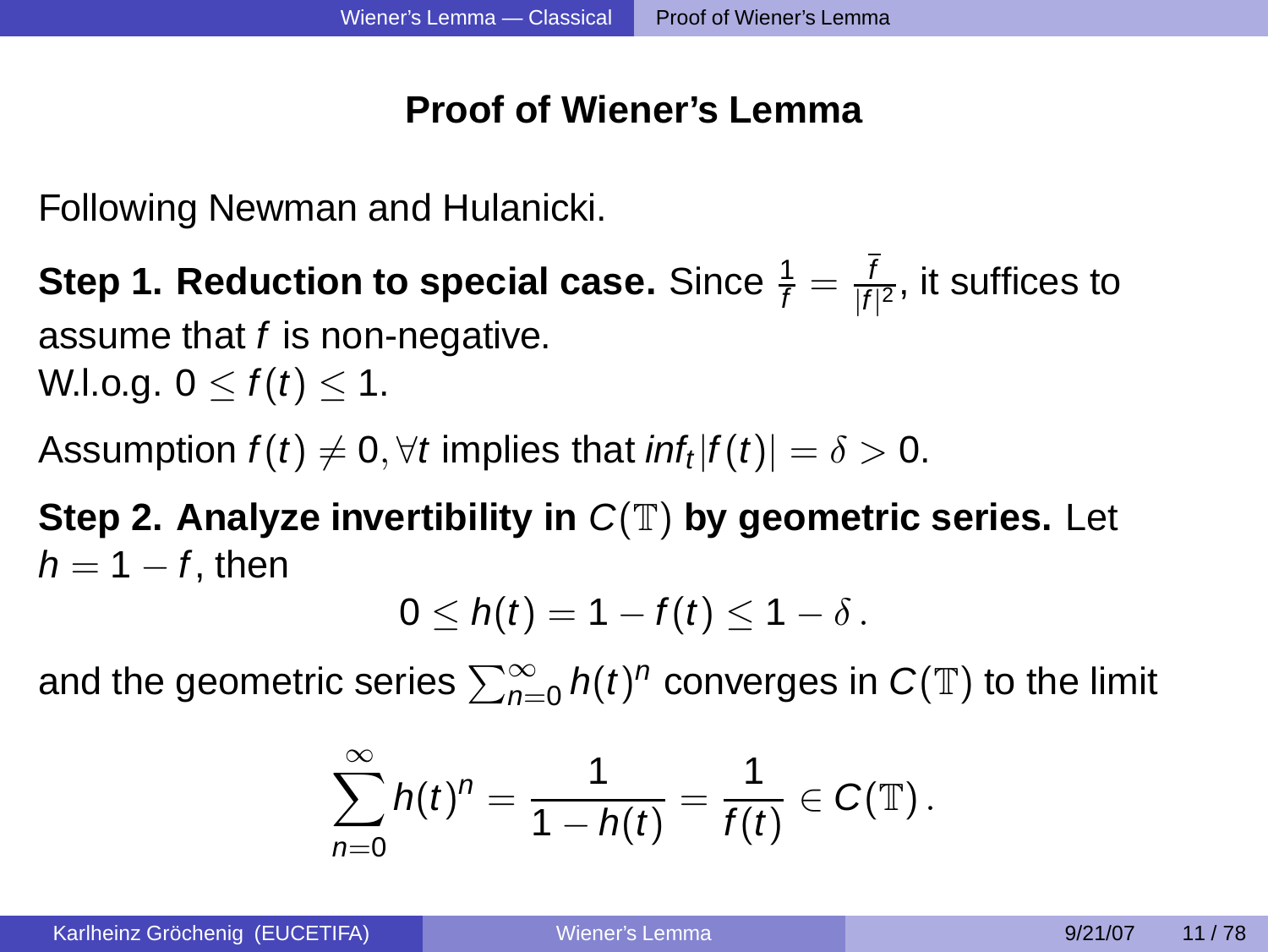### **Proof of Wiener's Lemma**

Following Newman and Hulanicki.

**Step 1. Reduction to special case.** Since  $\frac{1}{f} = \frac{1}{|f|}$  $\frac{1}{|f|^2}$ , it suffices to assume that  $f$  is non-negative. W.l.o.g.  $0 < f(t) < 1$ .

Assumption  $f(t)\neq 0, \forall t$  implies that  $\mathit{inf}_t |f(t)| = \delta > 0.$ 

**Step 2. Analyze invertibility in** C(T) **by geometric series.** Let  $h = 1 - f$ , then

<span id="page-7-0"></span>
$$
0\leq h(t)=1-f(t)\leq 1-\delta.
$$

and the geometric series  $\sum_{n=0}^\infty h(t)^n$  converges in  $C(\mathbb{T})$  to the limit

$$
\sum_{n=0}^{\infty} h(t)^n = \frac{1}{1-h(t)} = \frac{1}{f(t)} \in C(\mathbb{T}).
$$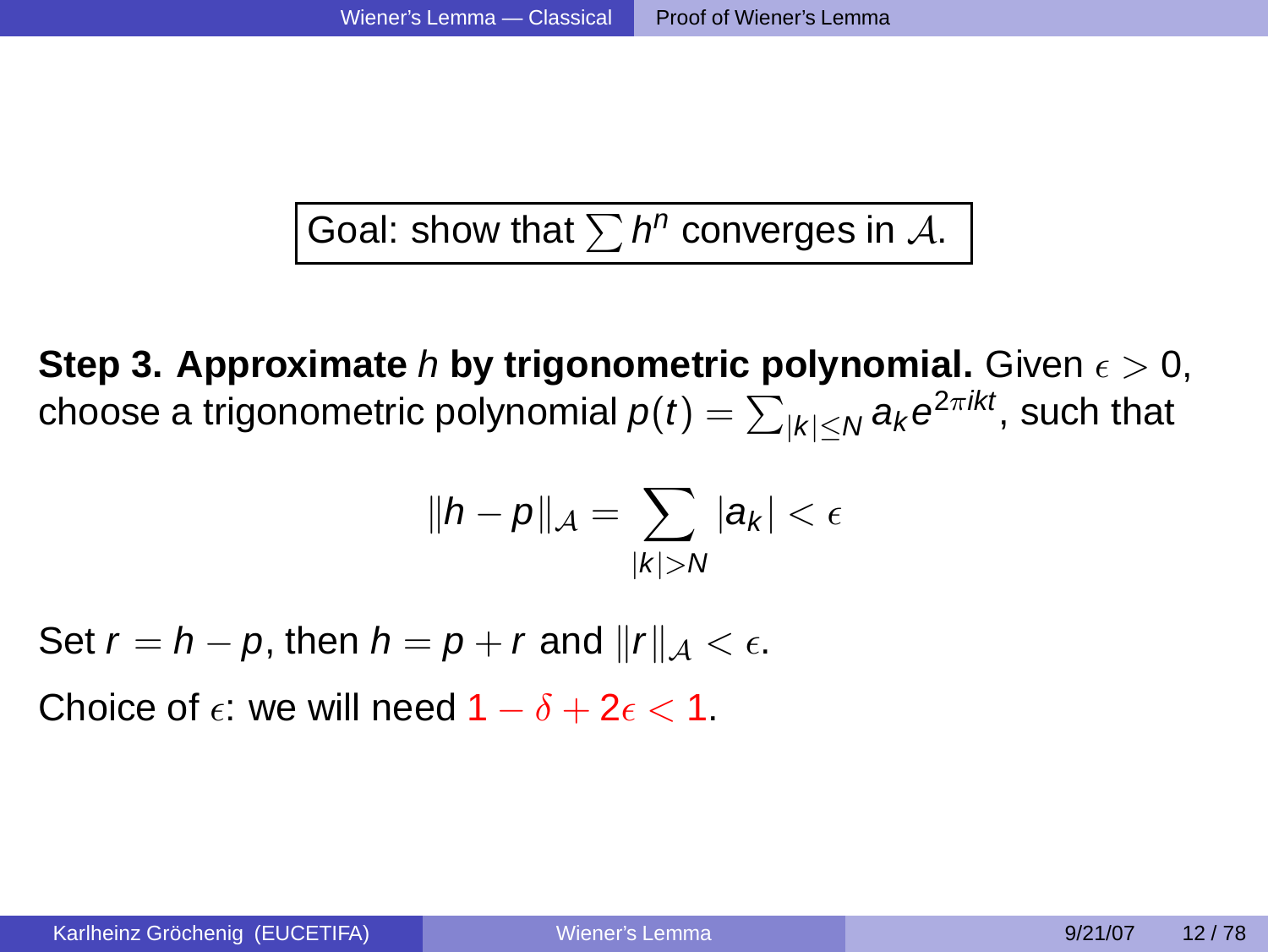Goal: show that  $\sum h^n$  converges in  $\mathcal{A}$ .

**Step 3. Approximate** h **by trigonometric polynomial.** Given  $\epsilon > 0$ , choose a trigonometric polynomial  $\rho(t)=\sum_{|k|\leq N} a_k e^{2\pi ikt}$ , such that

$$
\|h-p\|_{\mathcal{A}}=\sum_{|k|>N}|a_k|<\epsilon
$$

Set  $r = h - p$ , then  $h = p + r$  and  $||r||_{\mathcal{A}} < \epsilon$ .

Choice of  $\epsilon$ : we will need  $1 - \delta + 2\epsilon < 1$ .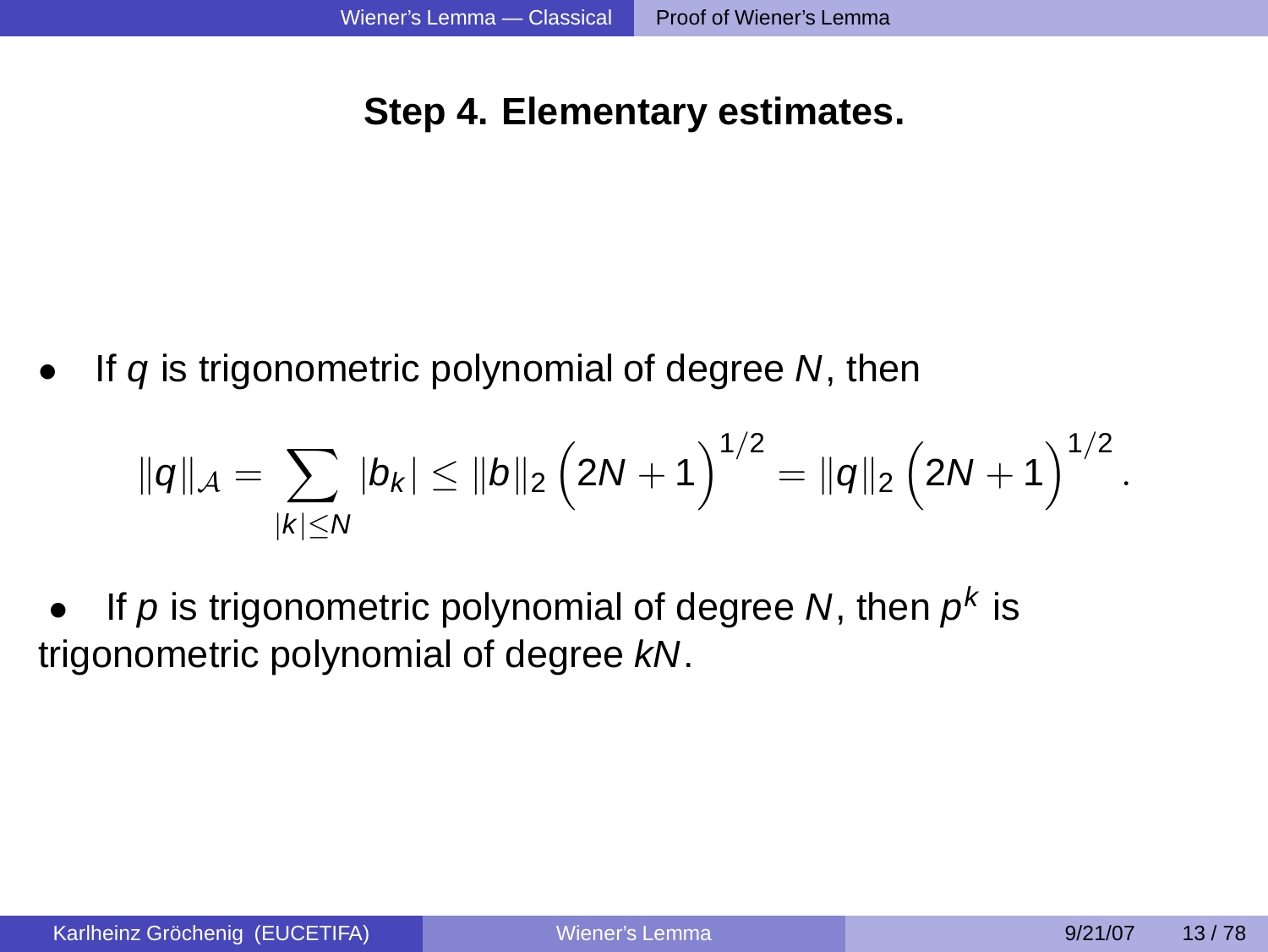### **Step 4. Elementary estimates.**

If  $q$  is trigonometric polynomial of degree  $N$ , then

$$
\|q\|_{\mathcal{A}} = \sum_{|k| \leq N} |b_k| \leq \|b\|_2 \left(2N+1\right)^{1/2} = \|q\|_2 \left(2N+1\right)^{1/2}.
$$

• If p is trigonometric polynomial of degree N, then  $p^k$  is trigonometric polynomial of degree kN.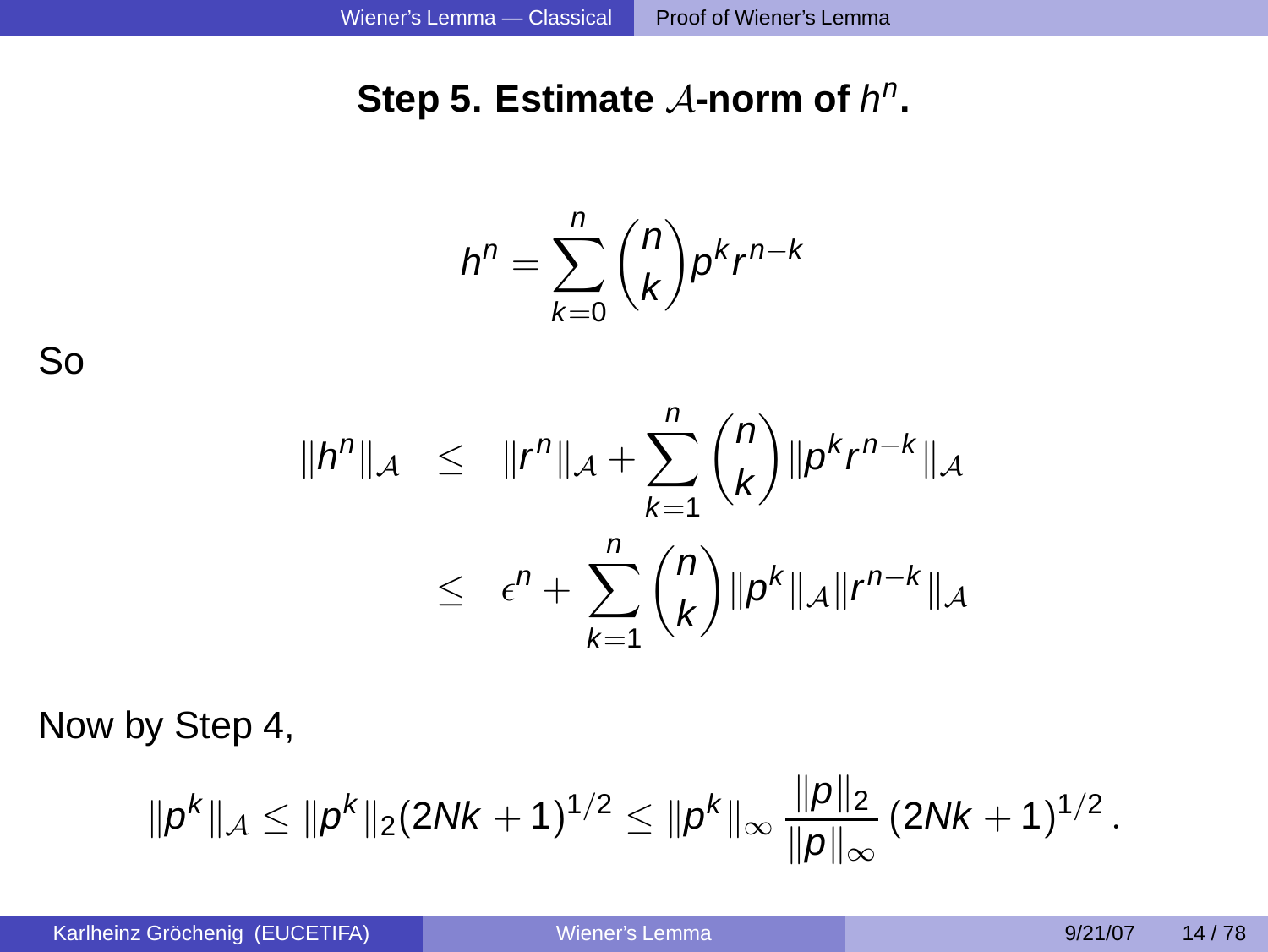# Step 5. Estimate A-norm of  $h^n$ .

$$
h^n = \sum_{k=0}^n \binom{n}{k} p^k r^{n-k}
$$

So

$$
||h^n||_{A} \leq ||r^n||_{A} + \sum_{k=1}^{n} {n \choose k} ||p^k r^{n-k}||_{A}
$$
  

$$
\leq \epsilon^n + \sum_{k=1}^{n} {n \choose k} ||p^k||_{A} ||r^{n-k}||_{A}
$$

Now by Step 4,

$$
\|\rho^k\|_{\mathcal{A}} \le \|\rho^k\|_2 (2Nk+1)^{1/2} \le \|\rho^k\|_{\infty} \frac{\|p\|_2}{\|p\|_{\infty}} (2Nk+1)^{1/2}.
$$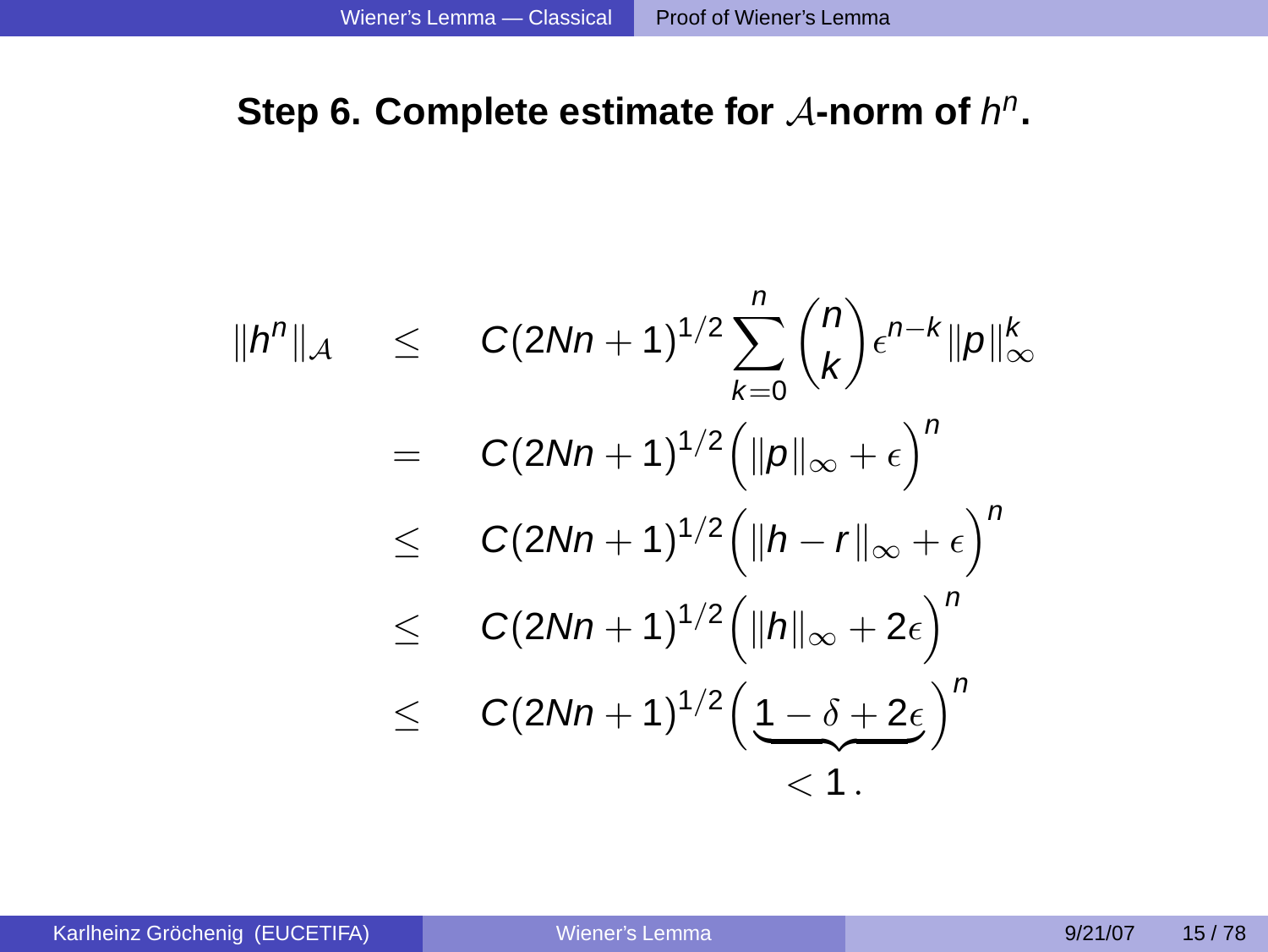# Step 6. Complete estimate for A-norm of  $h^n$ .

$$
||h^n||_{\mathcal{A}} \leq C(2Nn+1)^{1/2} \sum_{k=0}^{n} {n \choose k} \epsilon^{n-k} ||p||_{\infty}^k
$$
  
= C(2Nn+1)^{1/2} (||p||\_{\infty} + \epsilon)^n  

$$
\leq C(2Nn+1)^{1/2} (||h-r||_{\infty} + \epsilon)^n
$$
  

$$
\leq C(2Nn+1)^{1/2} (||h||_{\infty} + 2\epsilon)^n
$$
  

$$
\leq C(2Nn+1)^{1/2} (1-\delta + 2\epsilon)^n
$$
  

$$
< 1.
$$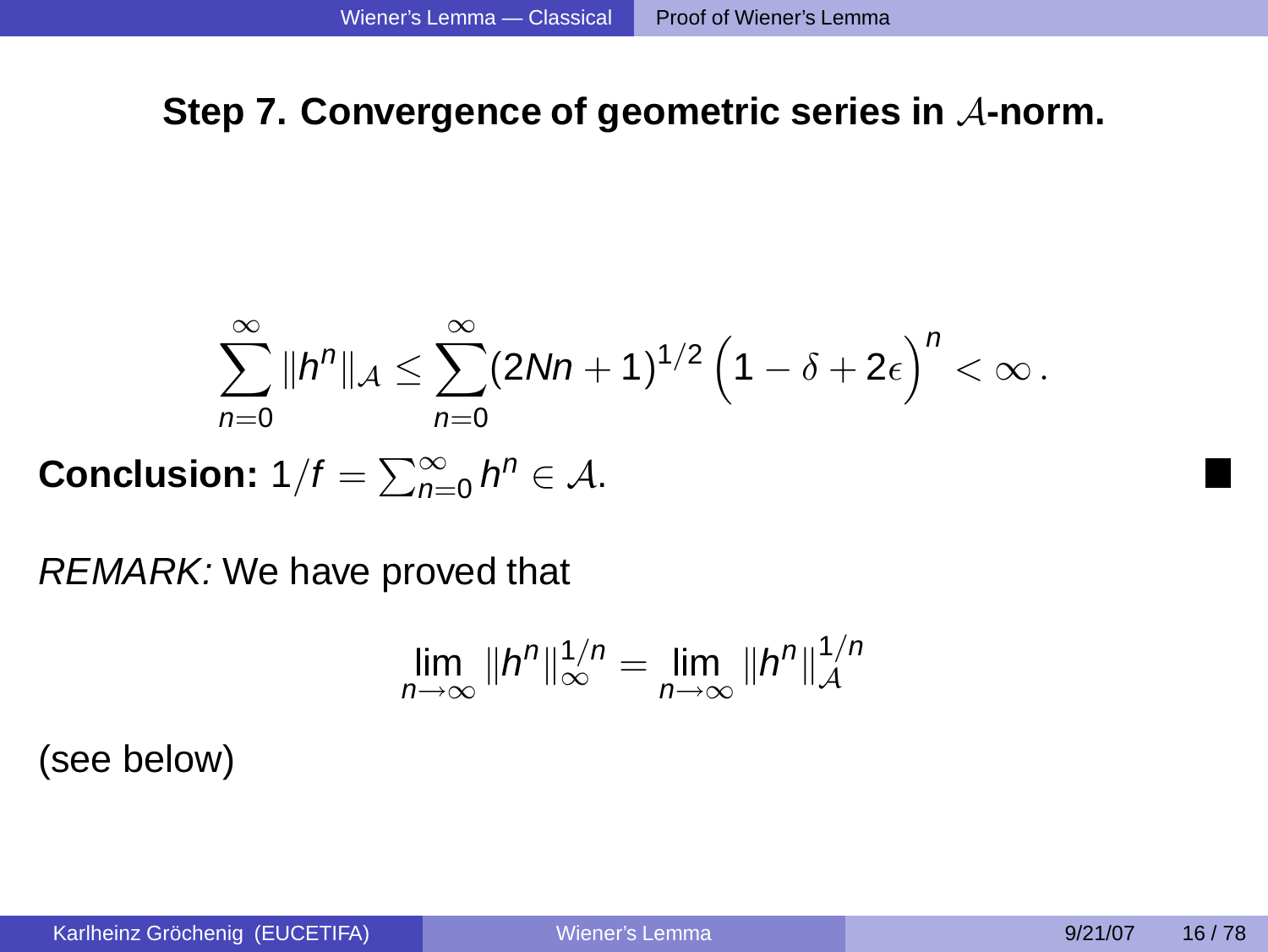### **Step 7. Convergence of geometric series in** A**-norm.**

$$
\sum_{n=0}^{\infty} \|h^n\|_{\mathcal{A}} \leq \sum_{n=0}^{\infty} (2Nn+1)^{1/2} \left(1-\delta+2\epsilon\right)^n < \infty.
$$

**Conclusion:**  $1/f = \sum_{n=0}^{\infty} h^n \in A$ .

REMARK: We have proved that

$$
\lim_{n\to\infty} \|h^n\|_{\infty}^{1/n} = \lim_{n\to\infty} \|h^n\|_{\mathcal{A}}^{1/n}
$$

(see below)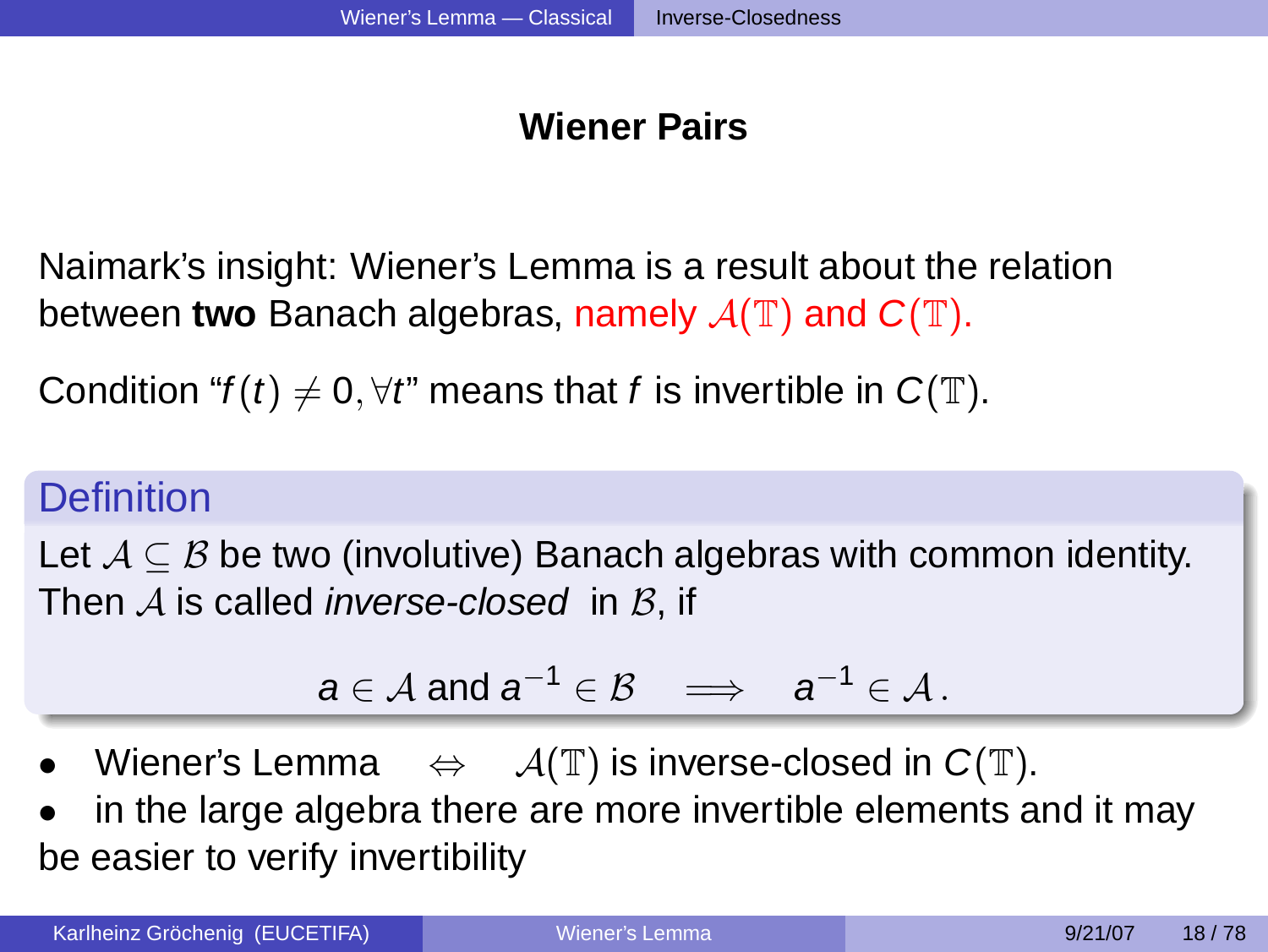# **Wiener Pairs**

Naimark's insight: Wiener's Lemma is a result about the relation between **two** Banach algebras, namely  $\mathcal{A}(\mathbb{T})$  and  $C(\mathbb{T})$ .

Condition " $f(t) \neq 0, \forall t$ " means that f is invertible in  $C(T)$ .

# **Definition**

Let  $\mathcal{A} \subseteq \mathcal{B}$  be two (involutive) Banach algebras with common identity. Then  $A$  is called *inverse-closed* in  $B$ , if

<span id="page-13-0"></span>
$$
a\in \mathcal{A} \text{ and } a^{-1}\in \mathcal{B} \quad \Longrightarrow \quad a^{-1}\in \mathcal{A}\,.
$$

- Wiener's Lemma  $\Leftrightarrow$   $\mathcal{A}(\mathbb{T})$  is inverse-closed in  $C(\mathbb{T})$ .
- in the large algebra there are more invertible elements and it may be easier to verify invertibility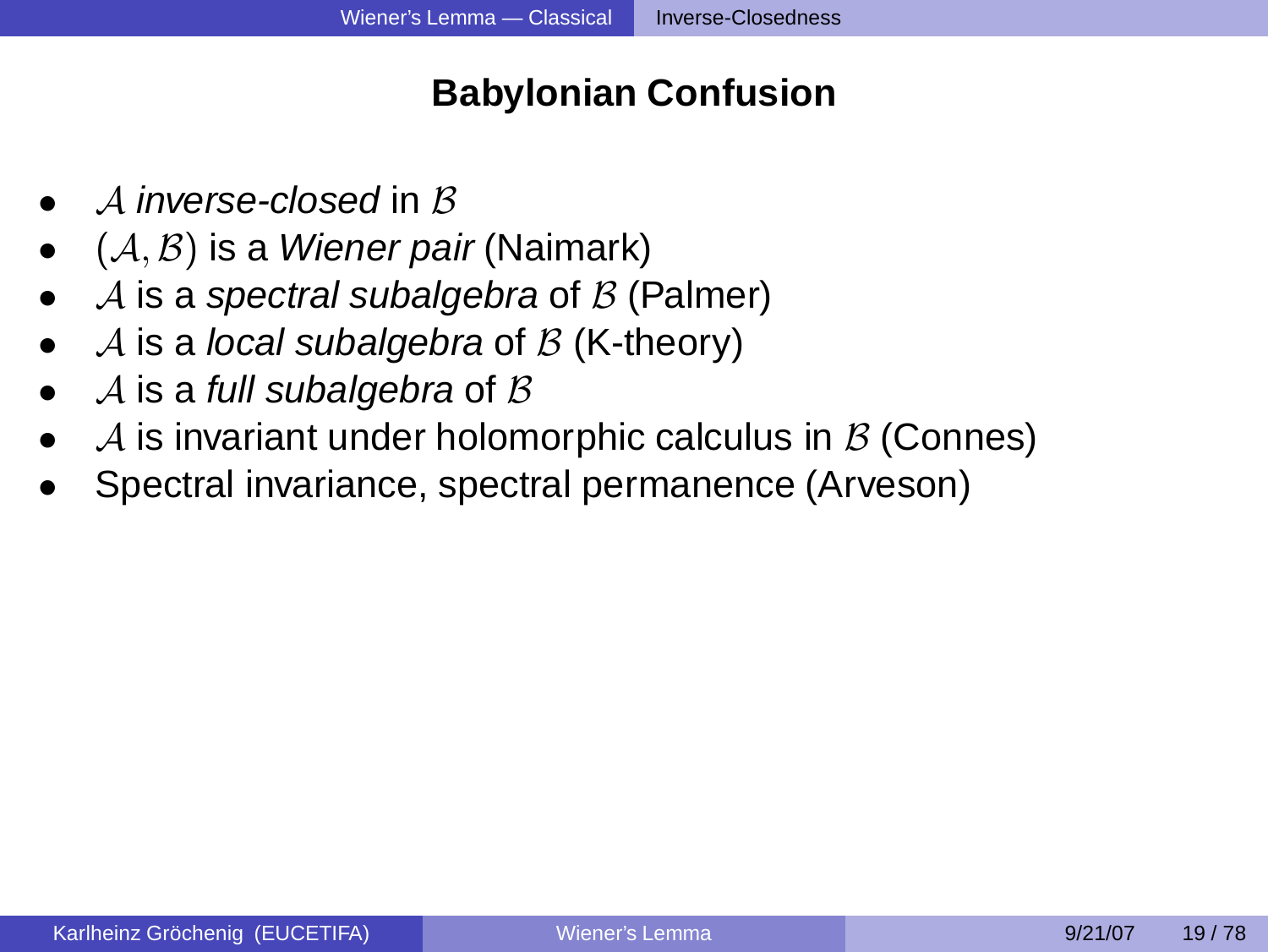# **Babylonian Confusion**

- $\Delta$  inverse-closed in  $\beta$
- $\bullet$   $(\mathcal{A}, \mathcal{B})$  is a *Wiener pair* (Naimark)
- A is a spectral subalgebra of  $\beta$  (Palmer)
- A is a local subalgebra of  $\beta$  (K-theory)
- A is a full subalgebra of  $\beta$
- A is invariant under holomorphic calculus in  $\beta$  (Connes)
- Spectral invariance, spectral permanence (Arveson)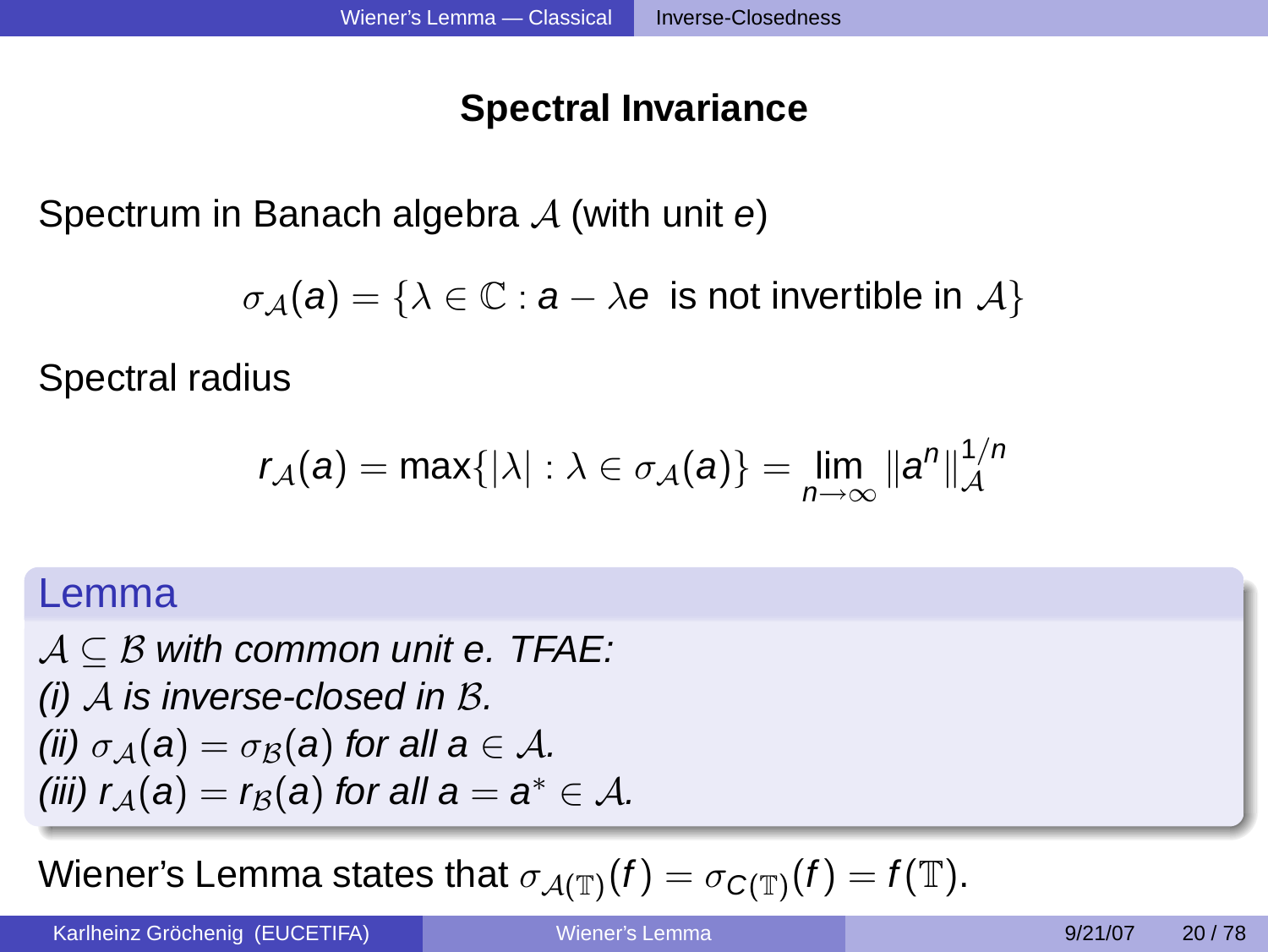# **Spectral Invariance**

Spectrum in Banach algebra  $A$  (with unit  $e$ )

 $\sigma_A(a) = \{\lambda \in \mathbb{C} : a - \lambda e$  is not invertible in  $\mathcal{A}\}\$ 

Spectral radius

$$
r_{\mathcal{A}}(a) = \max\{|\lambda| : \lambda \in \sigma_{\mathcal{A}}(a)\} = \lim_{n \to \infty} ||a^n||_{\mathcal{A}}^{1/n}
$$

### Lemma

 $A \subseteq B$  with common unit e. TFAE:  $(i)$  A is inverse-closed in B. (ii)  $\sigma_A(a) = \sigma_B(a)$  for all  $a \in A$ . (iii)  $r_{\mathcal{A}}(a) = r_{\mathcal{B}}(a)$  for all  $a = a^* \in \mathcal{A}$ .

Wiener's Lemma states that  $\sigma_{\mathcal{A}(\mathbb{T})}(f) = \sigma_{\mathcal{C}(\mathbb{T})}(f) = f(\mathbb{T}).$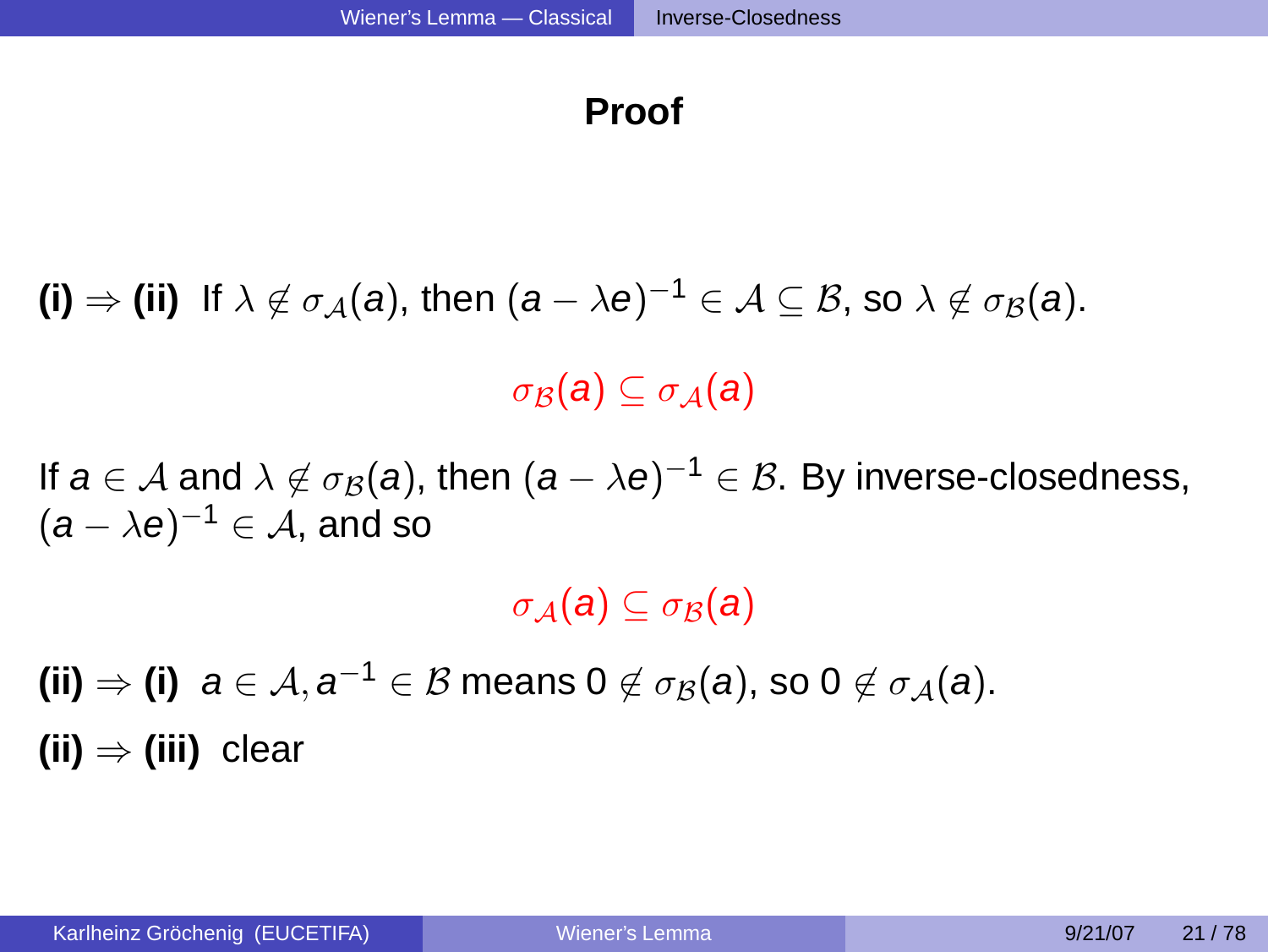### **Proof**

 $(\mathsf{i}) \Rightarrow (\mathsf{ii})$  If  $\lambda \not\in \sigma_\mathcal{A}(a)$ , then  $(a - \lambda e)^{-1} \in \mathcal{A} \subseteq \mathcal{B}$ , so  $\lambda \not\in \sigma_\mathcal{B}(a)$ .

 $\sigma_{\mathcal{B}}(a) \subset \sigma_{\mathcal{A}}(a)$ 

If  $\pmb{a}\in\mathcal{A}$  and  $\lambda\not\in\sigma_{\mathcal{B}}(\pmb{a}),$  then  $(\pmb{a}-\lambda\pmb{e})^{-1}\in\mathcal{B}.$  By inverse-closedness,  $(\boldsymbol{a} - \lambda \boldsymbol{e})^{-1} \in \mathcal{A}$ , and so

 $\sigma_A(a) \subset \sigma_B(a)$ 

 $(\mathsf{ii}) \Rightarrow (\mathsf{i})$  a  $\in$   $\mathcal{A},$   $\mathsf{a}^{-1} \in \mathcal{B}$  means  $0 \not\in \sigma_{\mathcal{B}}(\mathsf{a})$ , so  $0 \not\in \sigma_{\mathcal{A}}(\mathsf{a})$ . **(ii)** ⇒ **(iii)** clear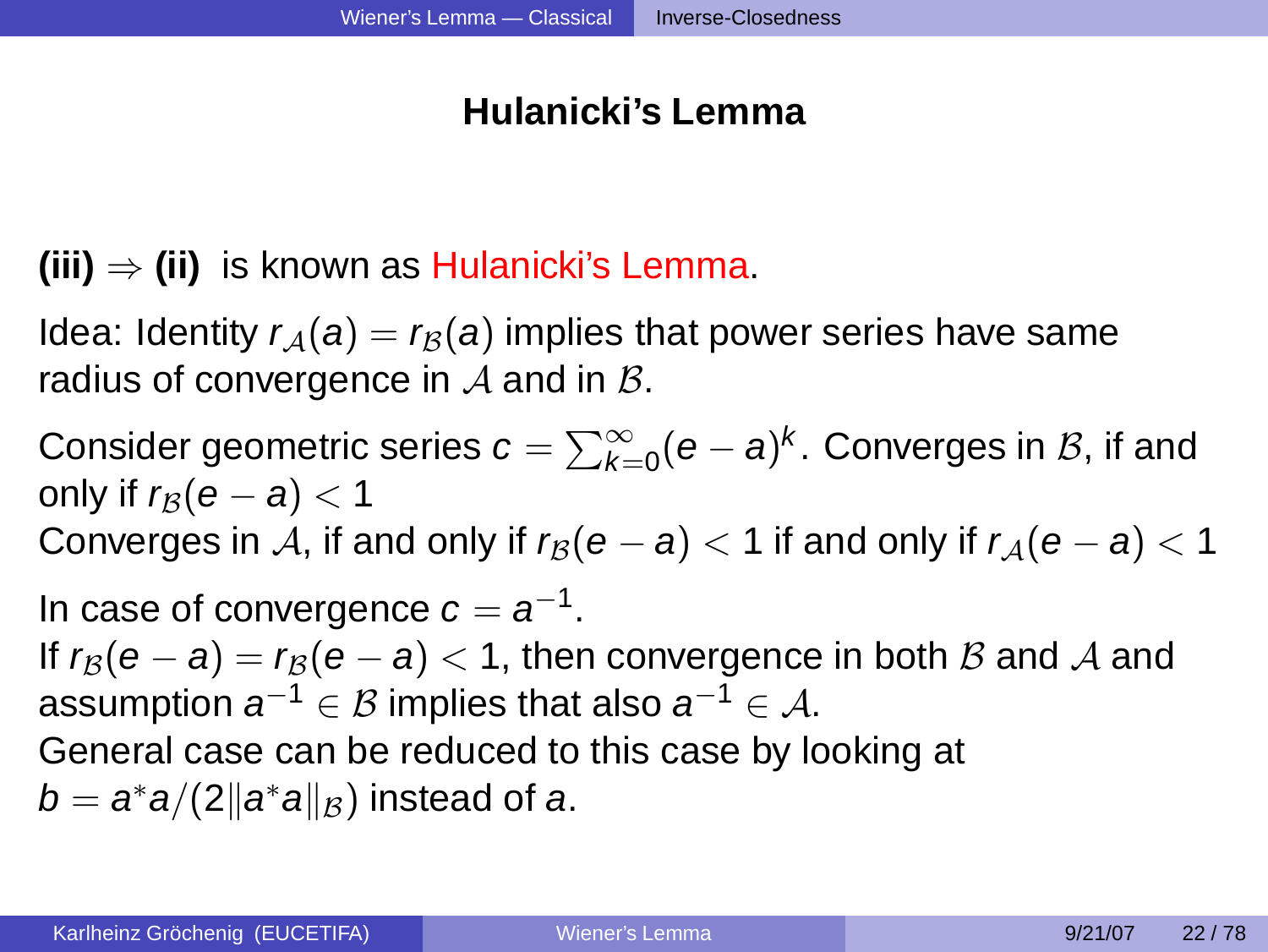# **Hulanicki's Lemma**

- **(iii)** ⇒ **(ii)** is known as Hulanicki's Lemma.
- Idea: Identity  $r_A(a) = r_B(a)$  implies that power series have same radius of convergence in  $A$  and in  $B$ .
- Consider geometric series  $\pmb{c} = \sum_{k=0}^\infty (\pmb{e}-\pmb{a})^k.$  Converges in  $\mathcal B,$  if and only if  $r_{\beta}(e - a) < 1$
- Converges in A, if and only if  $r_\beta(e a) < 1$  if and only if  $r_\beta(e a) < 1$

In case of convergence  $c = a^{-1}$ . If  $r_B(e - a) = r_B(e - a) < 1$ , then convergence in both B and A and assumption  $\boldsymbol{a}^{-1}\in\mathcal{B}$  implies that also  $\boldsymbol{a}^{-1}\in\mathcal{A}.$ General case can be reduced to this case by looking at  $b = a^*a/(2\|a^*a\|_{\mathcal{B}})$  instead of  $a$ .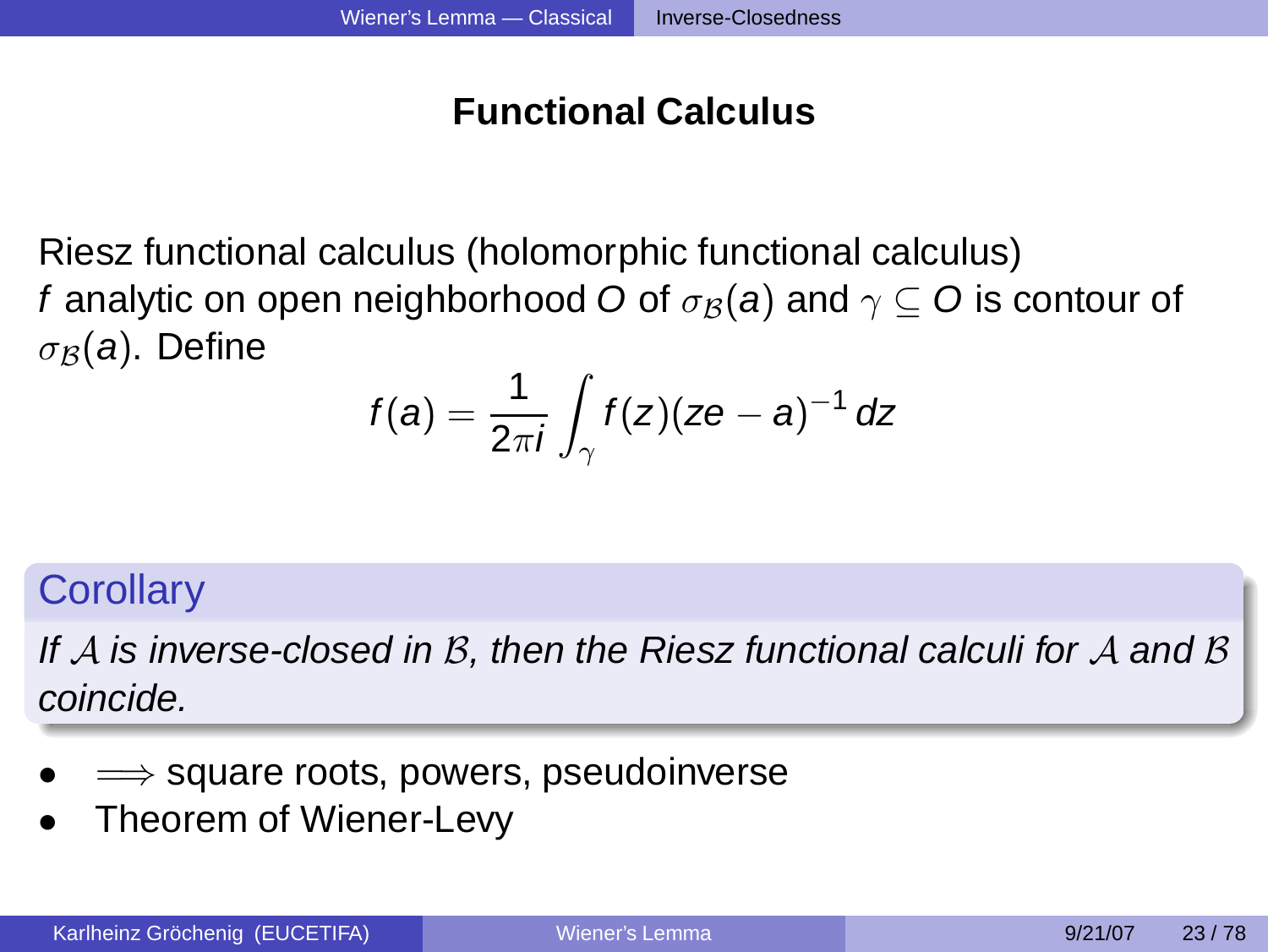# **Functional Calculus**

Riesz functional calculus (holomorphic functional calculus) f analytic on open neighborhood O of  $\sigma_B(a)$  and  $\gamma \subseteq O$  is contour of  $\sigma_B(a)$ . Define

$$
f(a) = \frac{1}{2\pi i} \int_{\gamma} f(z)(ze - a)^{-1} dz
$$

### **Corollary**

If  $A$  is inverse-closed in  $B$ , then the Riesz functional calculi for  $A$  and  $B$ coincide.

- $\implies$  square roots, powers, pseudoinverse
- Theorem of Wiener-Levy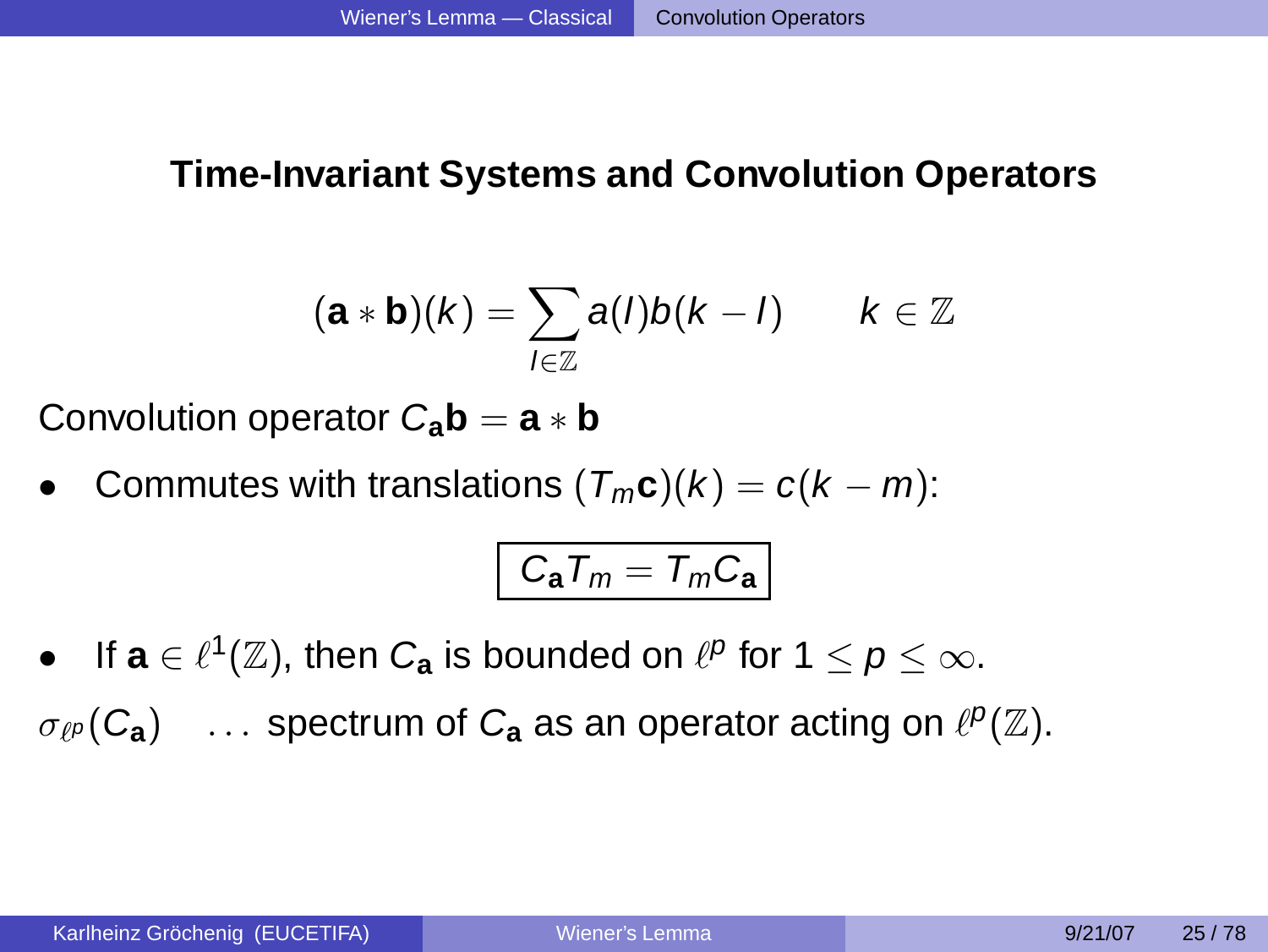### **Time-Invariant Systems and Convolution Operators**

$$
(\mathbf{a} * \mathbf{b})(k) = \sum_{l \in \mathbb{Z}} a(l)b(k-l) \qquad k \in \mathbb{Z}
$$

Convolution operator  $C_{\bf a} {\bf b} = {\bf a} * {\bf b}$ 

Commutes with translations  $(T_m c)(k) = c(k - m)$ :

<span id="page-19-0"></span>
$$
C_{\bm{a}}T_m=T_mC_{\bm{a}}
$$

- If  $\mathbf{a} \in \ell^1(\mathbb{Z})$ , then  $C_{\mathbf{a}}$  is bounded on  $\ell^p$  for  $1 \leq p \leq \infty$ .
- $\sigma_{\ell}P(C_{\bf a})$  ... spectrum of  $C_{\bf a}$  as an operator acting on  $\ell^p(\mathbb{Z})$ .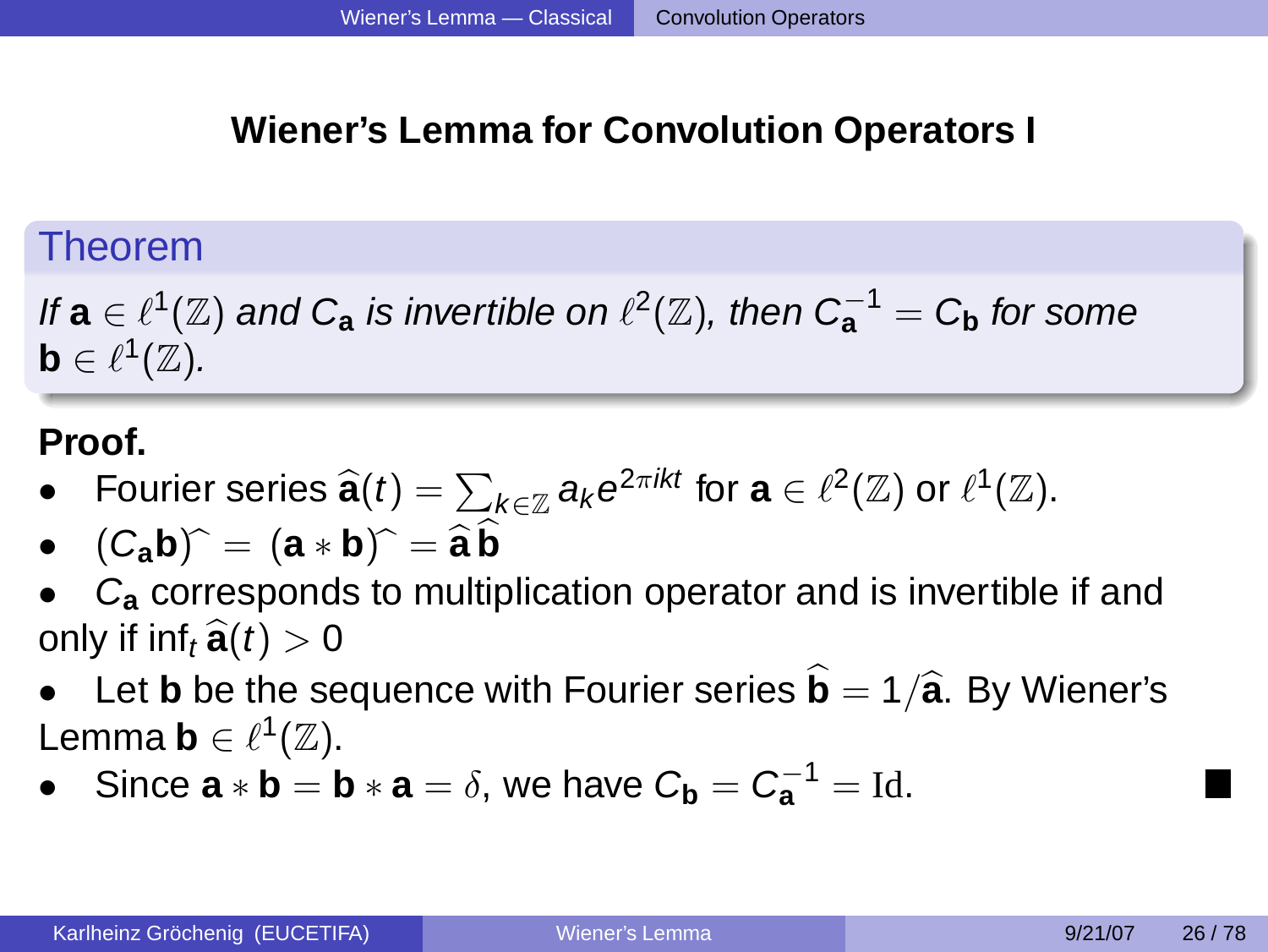# **Wiener's Lemma for Convolution Operators I**

# Theorem

If  $\mathbf{a}\in\ell^1(\mathbb{Z})$  and  $C_{\mathbf{a}}$  is invertible on  $\ell^2(\mathbb{Z})$ , then  $C_{\mathbf{a}}^{-1}=C_{\mathbf{b}}$  for some  $\mathsf{b}\in\ell^1(\mathbb{Z}).$ 

### **Proof.**

- **•** Fourier series  $\widehat{\mathbf{a}}(t) = \sum_{k \in \mathbb{Z}} a_k e^{2\pi ikt}$  for  $\mathbf{a} \in \ell^2(\mathbb{Z})$  or  $\ell^1(\mathbb{Z})$ .
- $(C_a b)^{\hat{}} = (a * b)^{\hat{}} = \hat{a} \hat{b}$
- C**<sup>a</sup>** corresponds to multiplication operator and is invertible if and only if  $inf_t \hat{\mathbf{a}}(t) > 0$
- Let **b** be the sequence with Fourier series  $\hat{\mathbf{b}} = 1/\hat{\mathbf{a}}$ . By Wiener's Lemma **b**  $\in \ell^1(\mathbb{Z})$ .
- Since  $\mathbf{a} * \mathbf{b} = \mathbf{b} * \mathbf{a} = \delta$ , we have  $C_{\mathbf{b}} = C_{\mathbf{a}}^{-1} = \text{Id}$ .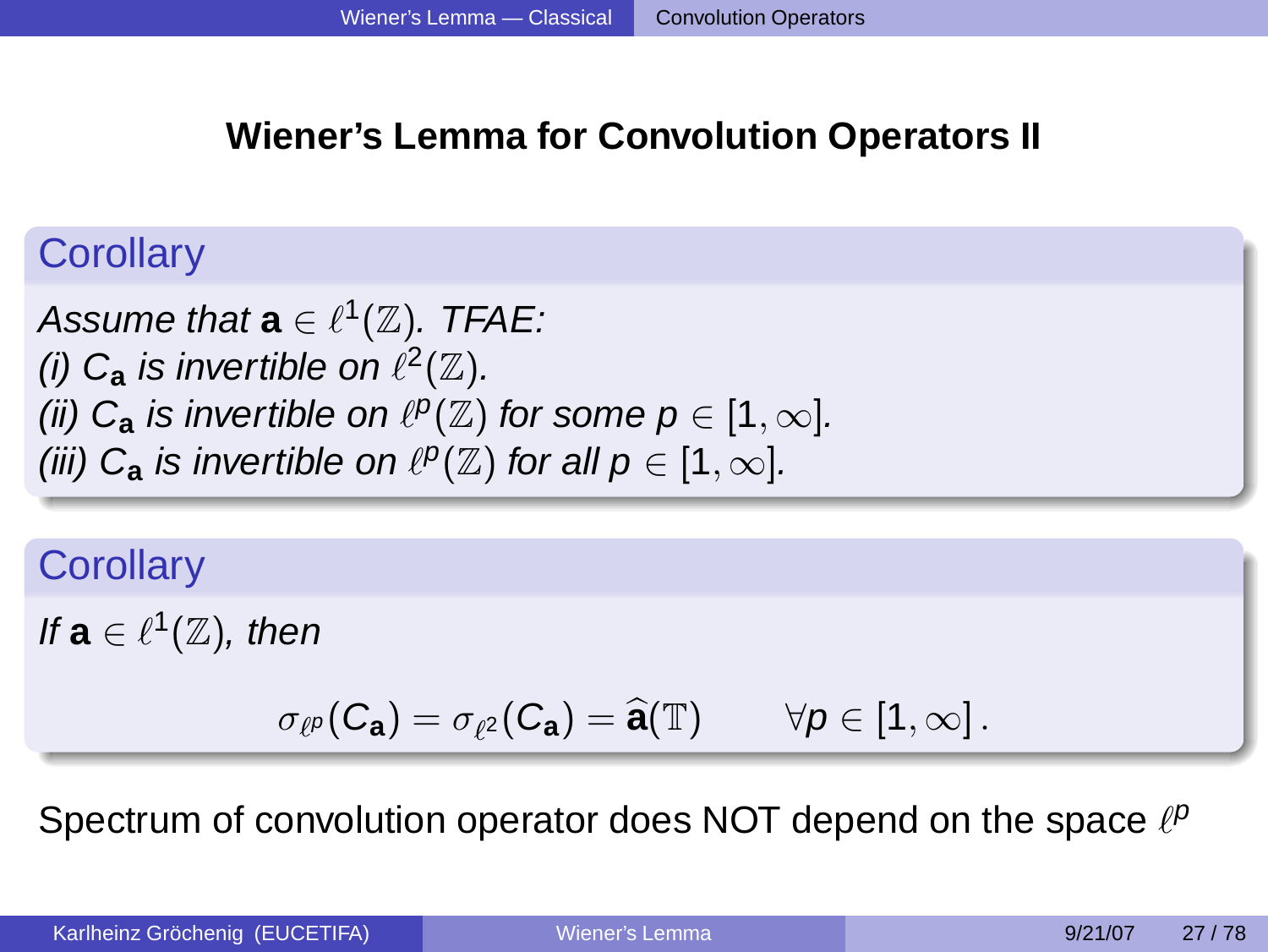# **Wiener's Lemma for Convolution Operators II**

# **Corollary**

Assume that  $\mathbf{a} \in \ell^1(\mathbb{Z}).$  TFAE: (i)  $C_a$  is invertible on  $\ell^2(\mathbb{Z})$ . (ii)  $C_{\mathbf{a}}$  is invertible on  $\ell^p(\mathbb{Z})$  for some  $p \in [1,\infty]$ . (iii)  $C_a$  is invertible on  $\ell^p(\mathbb{Z})$  for all  $p \in [1, \infty]$ .

# **Corollary**

If  $a \in \ell^1(\mathbb{Z})$ , then

$$
\sigma_{\ell^p}(C_{\mathbf{a}})=\sigma_{\ell^2}(C_{\mathbf{a}})=\widehat{\mathbf{a}}(\mathbb{T})\qquad \forall \rho\in [1,\infty]\,.
$$

Spectrum of convolution operator does NOT depend on the space  $\ell^p$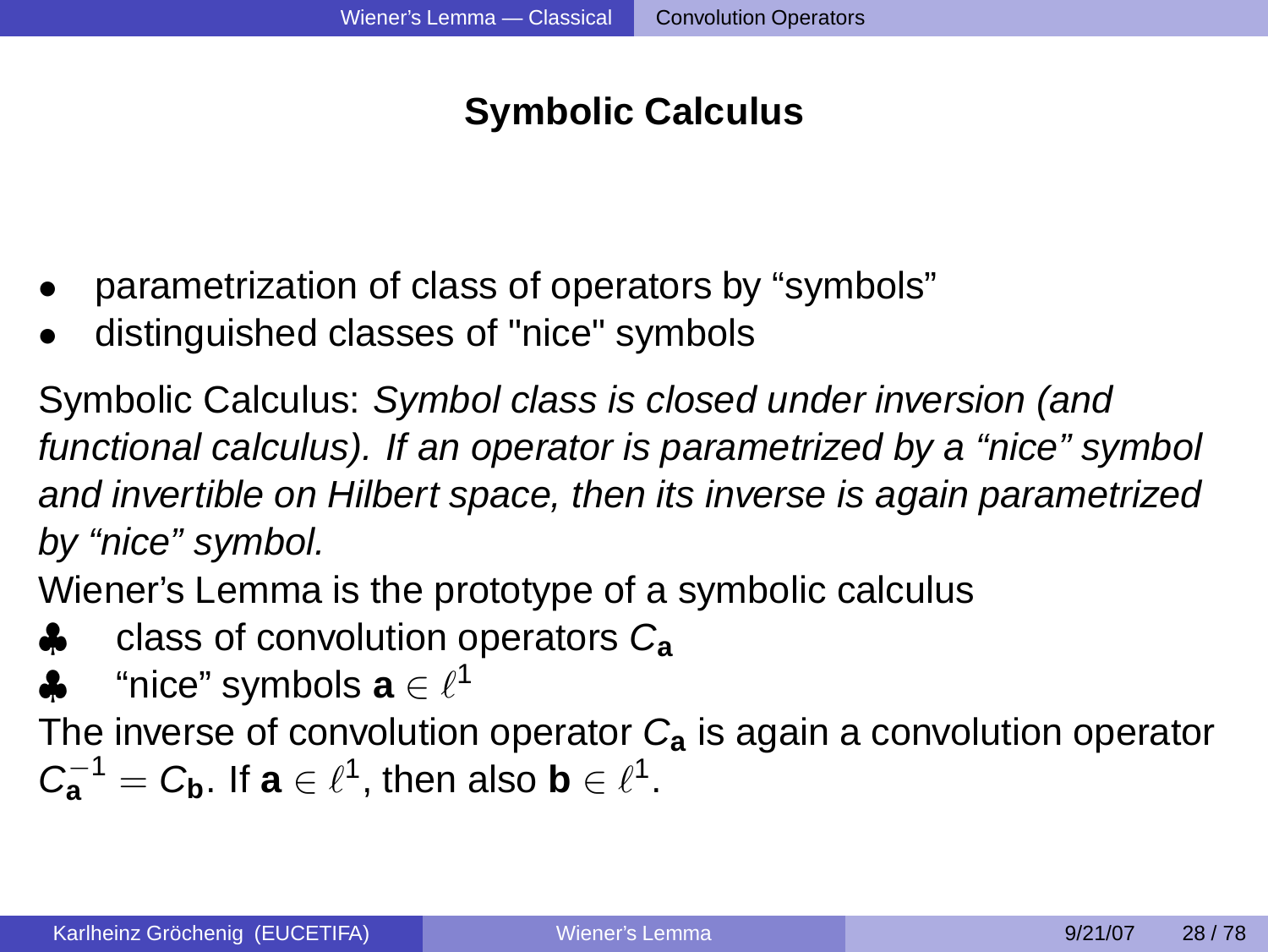# **Symbolic Calculus**

- parametrization of class of operators by "symbols"
- distinguished classes of "nice" symbols

Symbolic Calculus: Symbol class is closed under inversion (and functional calculus). If an operator is parametrized by a "nice" symbol and invertible on Hilbert space, then its inverse is again parametrized by "nice" symbol.

Wiener's Lemma is the prototype of a symbolic calculus

- ♣ class of convolution operators C**<sup>a</sup>**
- $\clubsuit$  "nice" symbols  $\mathbf{a} \in \ell^1$

The inverse of convolution operator C**<sup>a</sup>** is again a convolution operator  $C_{\mathbf{a}}^{-1} = C_{\mathbf{b}}$ . If  $\mathbf{a} \in \ell^1$ , then also  $\mathbf{b} \in \ell^1$ .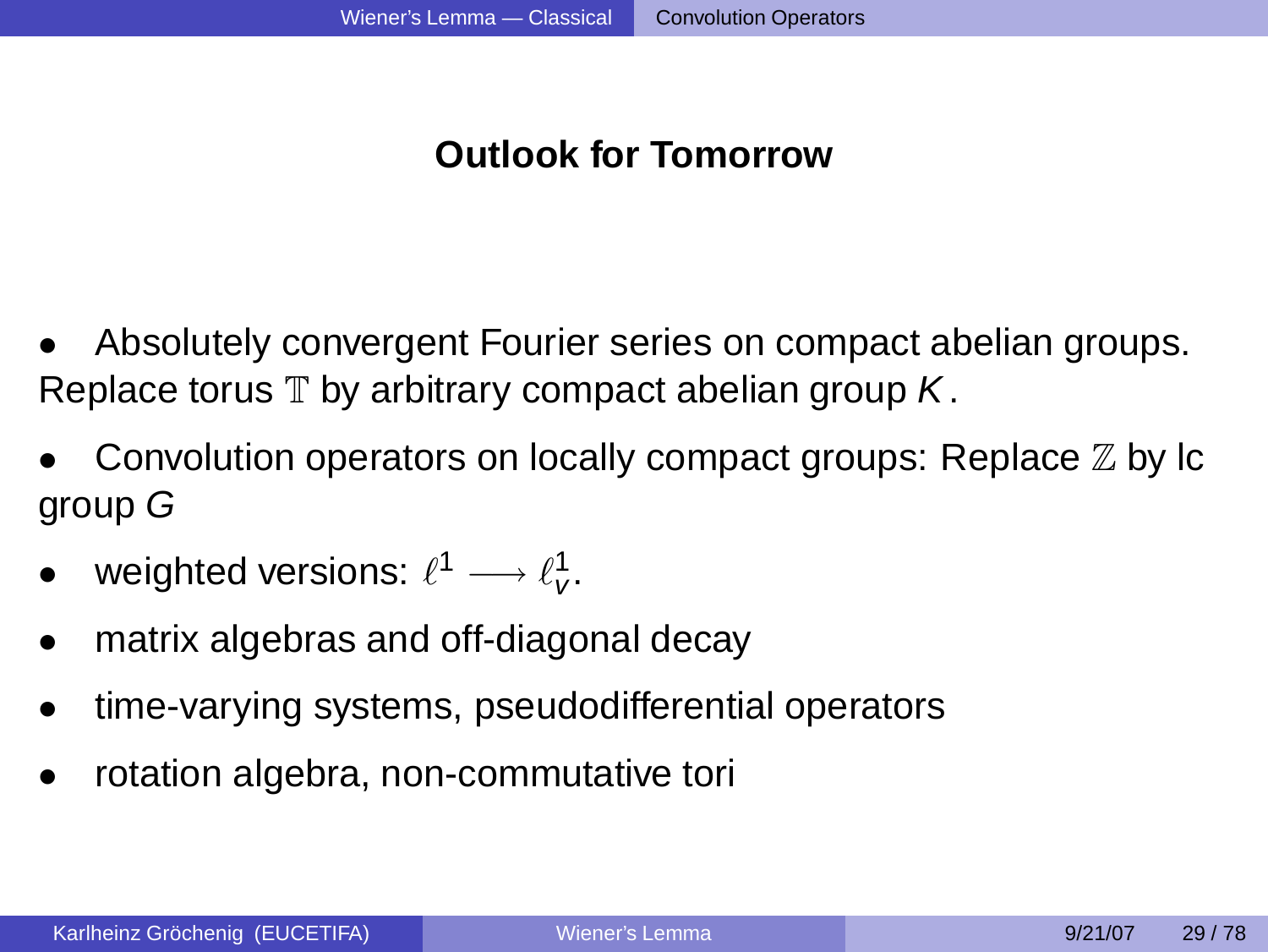# **Outlook for Tomorrow**

- Absolutely convergent Fourier series on compact abelian groups. Replace torus  $\mathbb T$  by arbitrary compact abelian group  $K$ .
- Convolution operators on locally compact groups: Replace Z by lc group G
- weighted versions:  $\ell^1 \longrightarrow \ell_\nu^1$ .
- matrix algebras and off-diagonal decay
- time-varying systems, pseudodifferential operators
- rotation algebra, non-commutative tori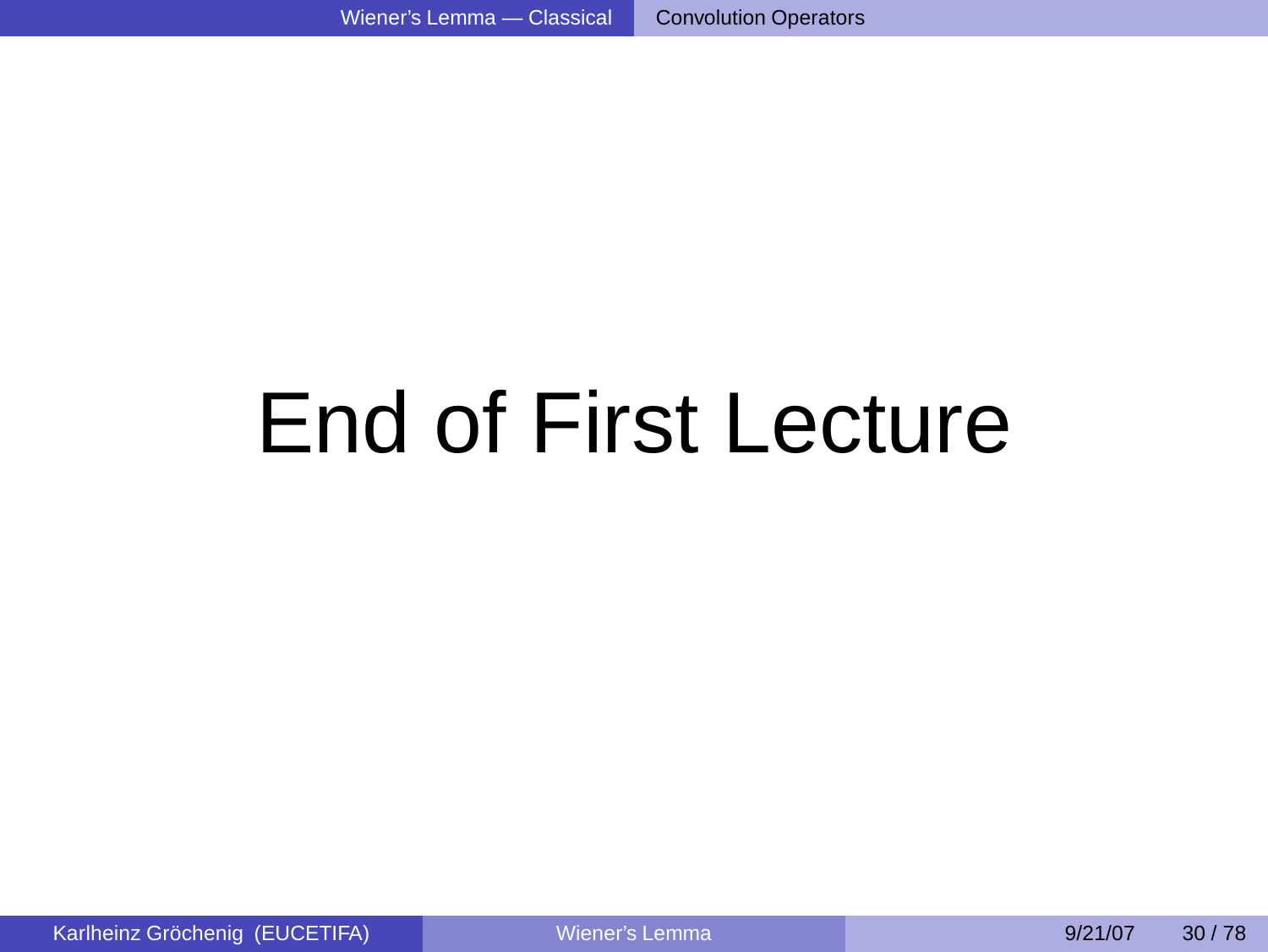# End of First Lecture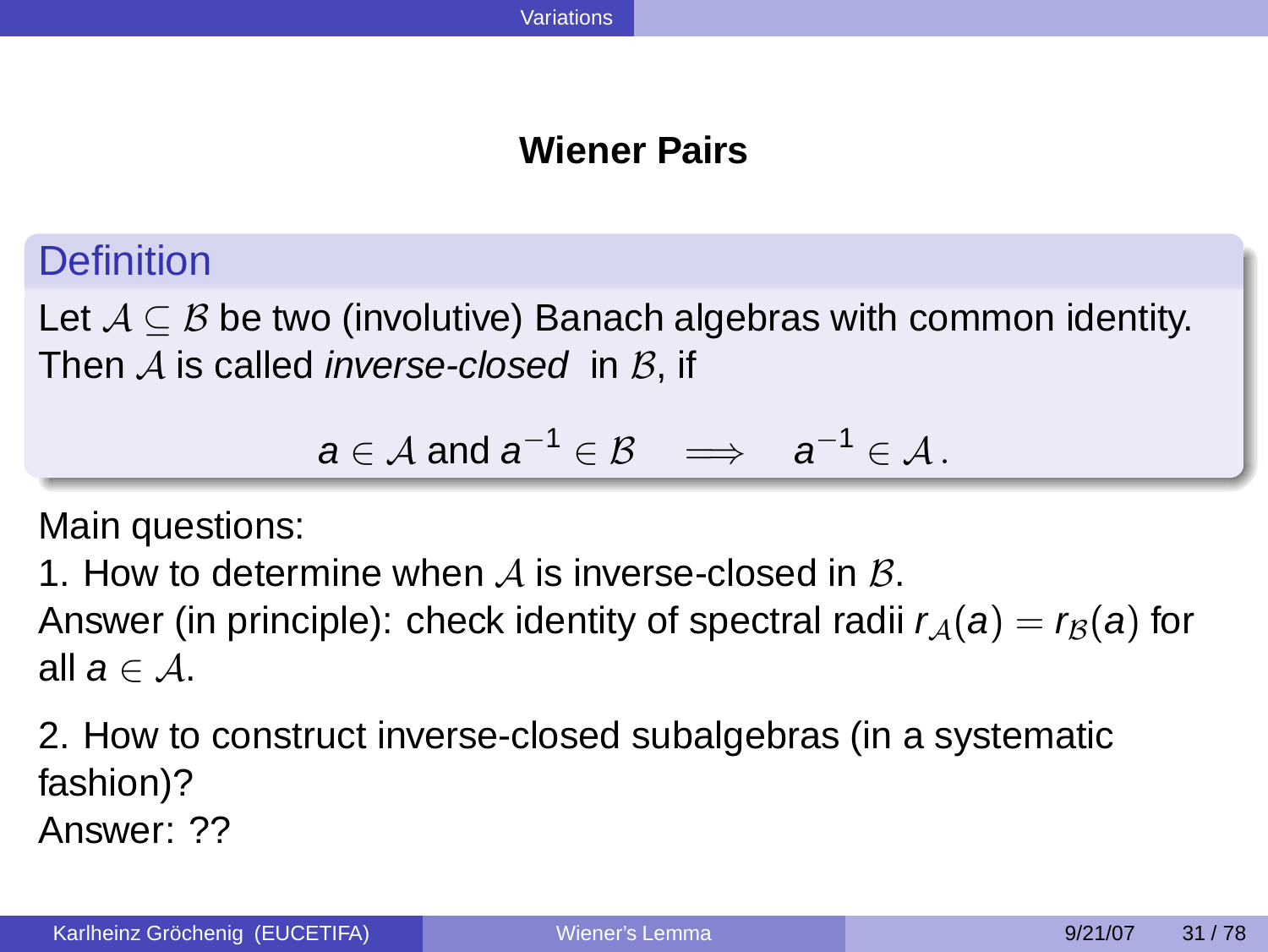### **Wiener Pairs**

**Definition** 

Let  $\mathcal{A} \subseteq \mathcal{B}$  be two (involutive) Banach algebras with common identity. Then  $A$  is called *inverse-closed* in  $B$ , if

<span id="page-25-0"></span>
$$
a\in\mathcal{A} \text{ and } a^{-1}\in\mathcal{B} \quad \Longrightarrow \quad a^{-1}\in\mathcal{A} \,.
$$

Main questions:

1. How to determine when A is inverse-closed in  $\beta$ .

Answer (in principle): check identity of spectral radii  $r_A(a) = r_B(a)$  for all  $a \in A$ .

2. How to construct inverse-closed subalgebras (in a systematic fashion)? Answer: ??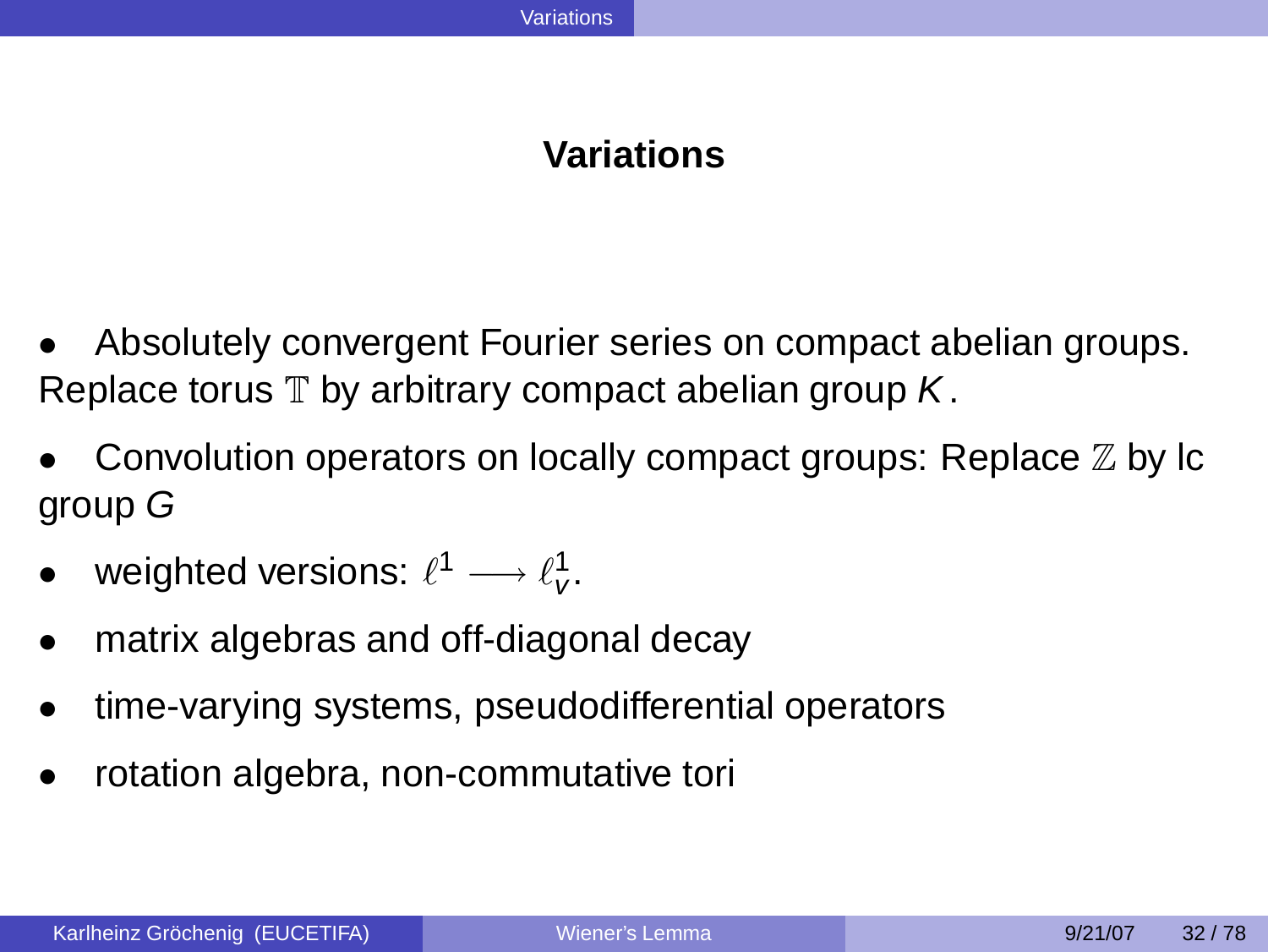### **Variations**

- Absolutely convergent Fourier series on compact abelian groups. Replace torus  $\mathbb T$  by arbitrary compact abelian group  $K$ .
- Convolution operators on locally compact groups: Replace Z by lc group G
- weighted versions:  $\ell^1 \longrightarrow \ell_\nu^1$ .
- matrix algebras and off-diagonal decay
- time-varying systems, pseudodifferential operators
- rotation algebra, non-commutative tori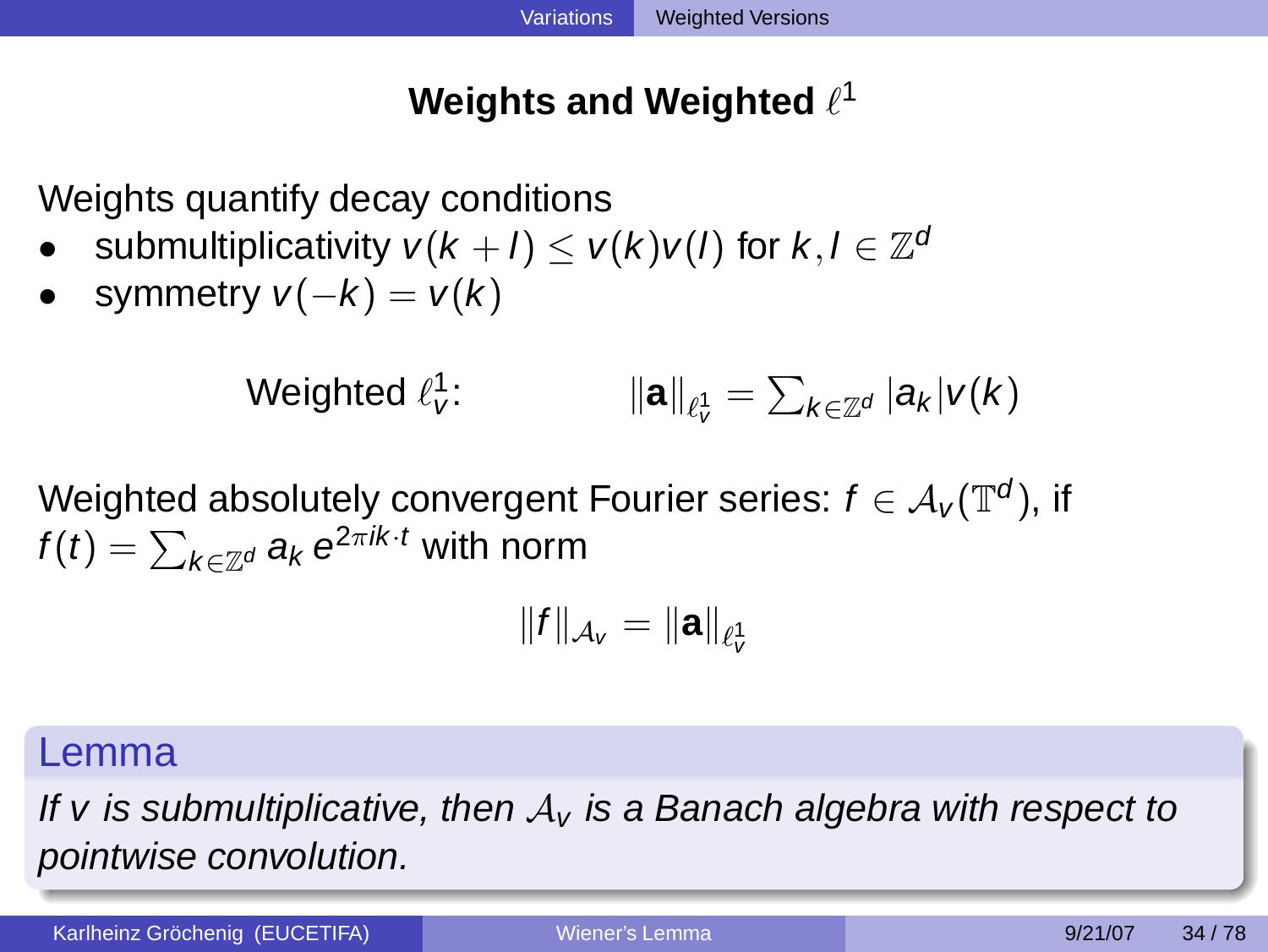# **Weights and Weighted ℓ**1

Weights quantify decay conditions

- submultiplicativity  $v(k+l) \le v(k)v(l)$  for  $k, l \in \mathbb{Z}^d$
- symmetry  $v(-k) = v(k)$

Weighted  $\ell_{\mathsf{v}}^{\mathsf{1}}$ :  $\|\mathbf{a}\|_{\ell^1_\mathcal{V}} = \sum_{k\in\mathbb{Z}^d} |a_k| \mathcal{V}(k)$ 

Weighted absolutely convergent Fourier series:  $f\in{\mathcal A}_{{\mathsf V}}({\mathbb T}^d),$  if  $f(t)=\sum_{k\in \mathbb{Z}^d} a_k \,\mathrm{e}^{2\pi\mathrm{i} k\cdot t}$  with norm

<span id="page-27-0"></span> $\|f\|_{\mathcal{A}_{\mathcal{V}}}=\|\mathbf{a}\|_{\ell_\mathcal{V}^1}$ 

### Lemma

If v is submultiplicative, then  $A<sub>v</sub>$  is a Banach algebra with respect to pointwise convolution.

Karlheinz Gröchenig (EUCETIFA) and the Multiple [Wiener's Lemma](#page-0-0) 1992/107 34/78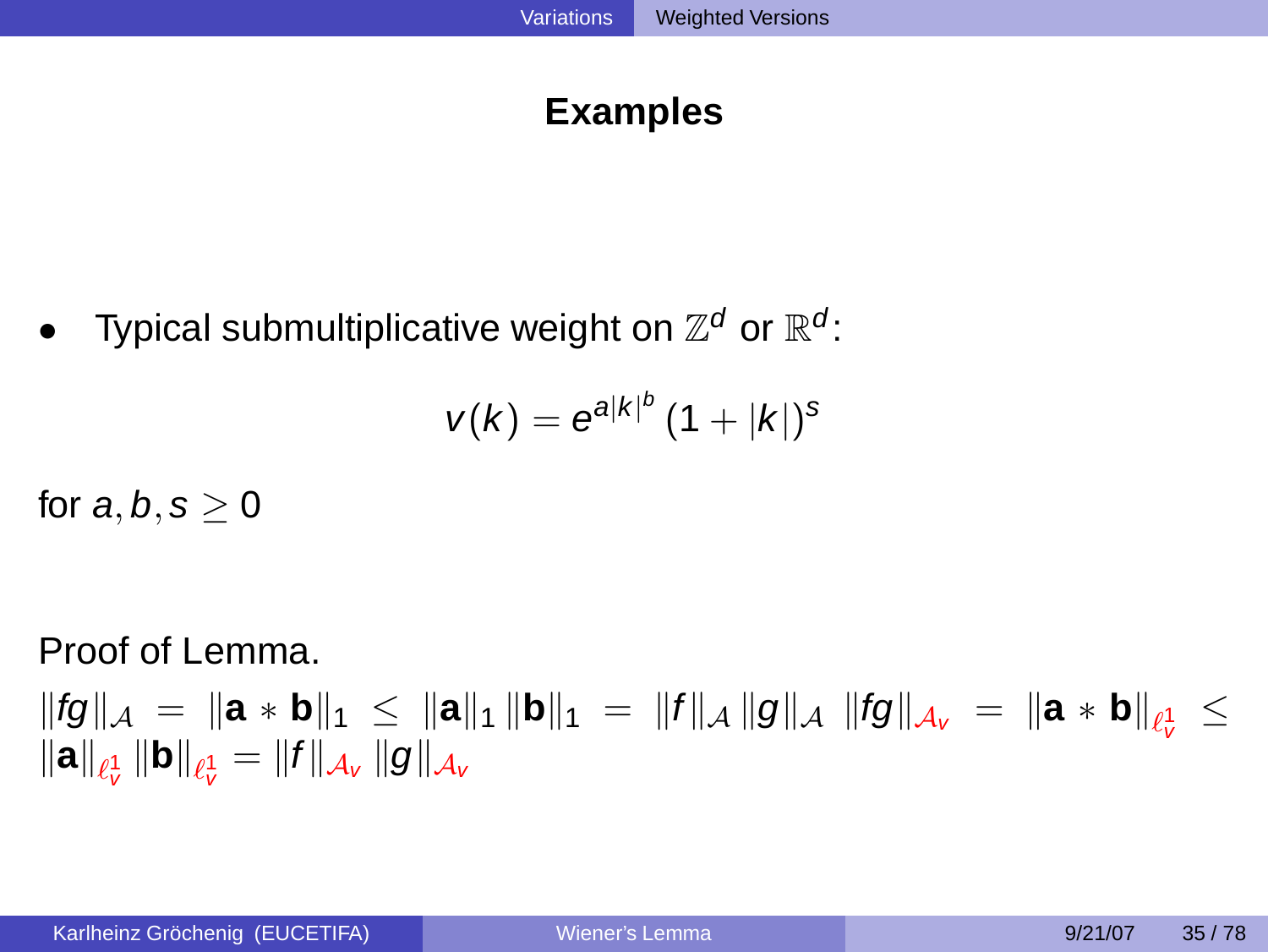### **Examples**

• Typical submultiplicative weight on  $\mathbb{Z}^d$  or  $\mathbb{R}^d$ :

$$
v(k) = e^{a|k|^b} (1+|k|)^s
$$

for  $a, b, s \geq 0$ 

Proof of Lemma.

 $\|fg\|_{\mathcal{A}} = \|a * b\|_1 \le \|a\|_1 \|b\|_1 = \|f\|_{\mathcal{A}} \|g\|_{\mathcal{A}} \|fg\|_{\mathcal{A}_V} = \|a * b\|_{\ell^1_V} \le$  $\left\Vert \mathbf{a}\right\Vert _{\ell_{\mathbf{v}}^{1}}\left\Vert \mathbf{b}\right\Vert _{\ell_{\mathbf{v}}^{1}}=\left\Vert f\right\Vert _{\mathcal{A}_{\mathbf{v}}}\left\Vert g\right\Vert _{\mathcal{A}_{\mathbf{v}}}$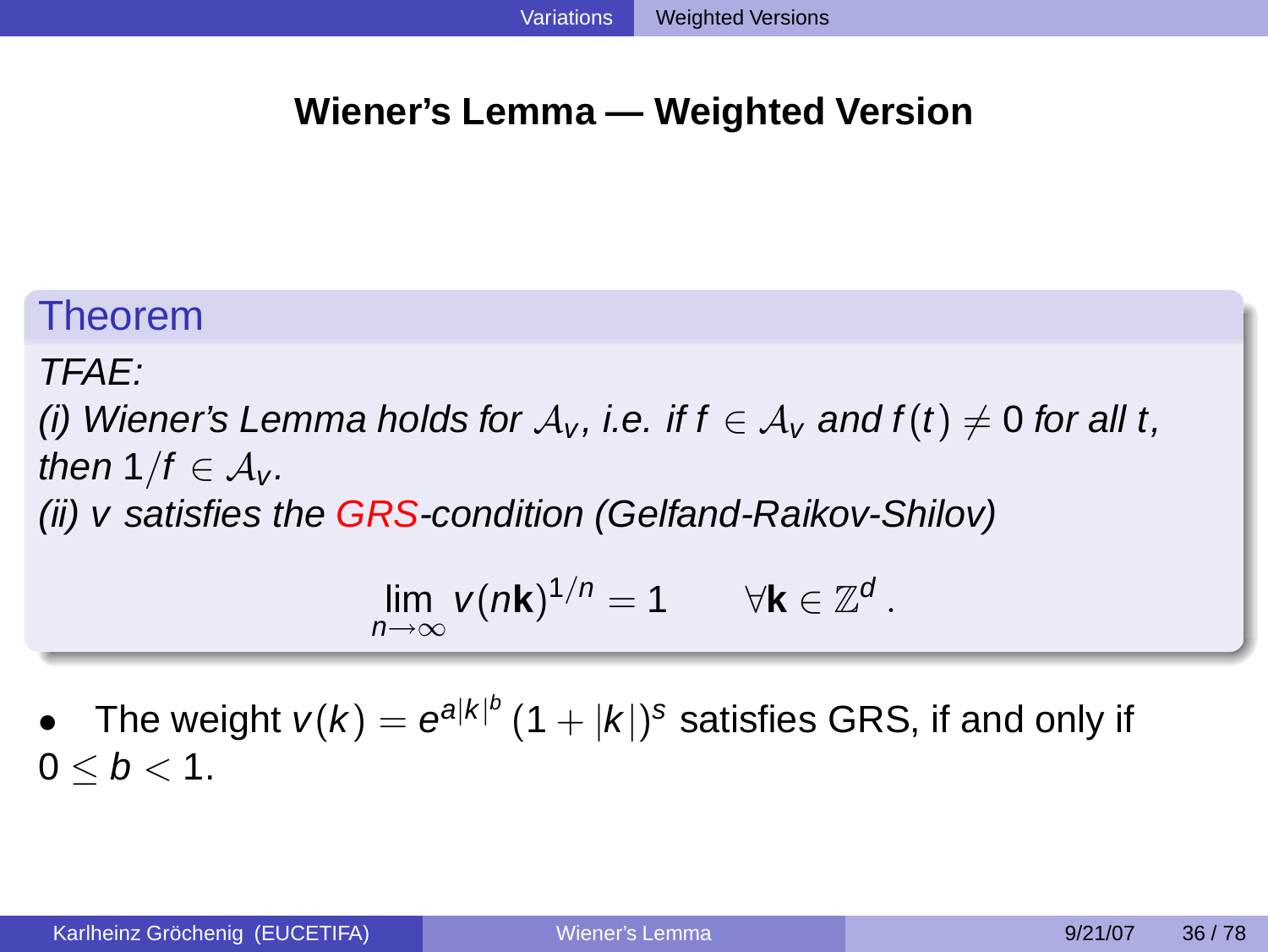### **Wiener's Lemma — Weighted Version**

# Theorem

# TFAE:

(i) Wiener's Lemma holds for  $A_v$ , i.e. if  $f \in A_v$  and  $f(t) \neq 0$  for all t, then  $1/f \in \mathcal{A}_{V}$ . (ii) v satisfies the  $GRS$ -condition (Gelfand-Raikov-Shilov)

$$
\lim_{n\to\infty} v(n\mathbf{k})^{1/n} = 1 \qquad \forall \mathbf{k} \in \mathbb{Z}^d.
$$

• The weight  $v(k) = e^{a|k|^b} (1+|k|)^s$  satisfies GRS, if and only if  $0 \le b \le 1$ .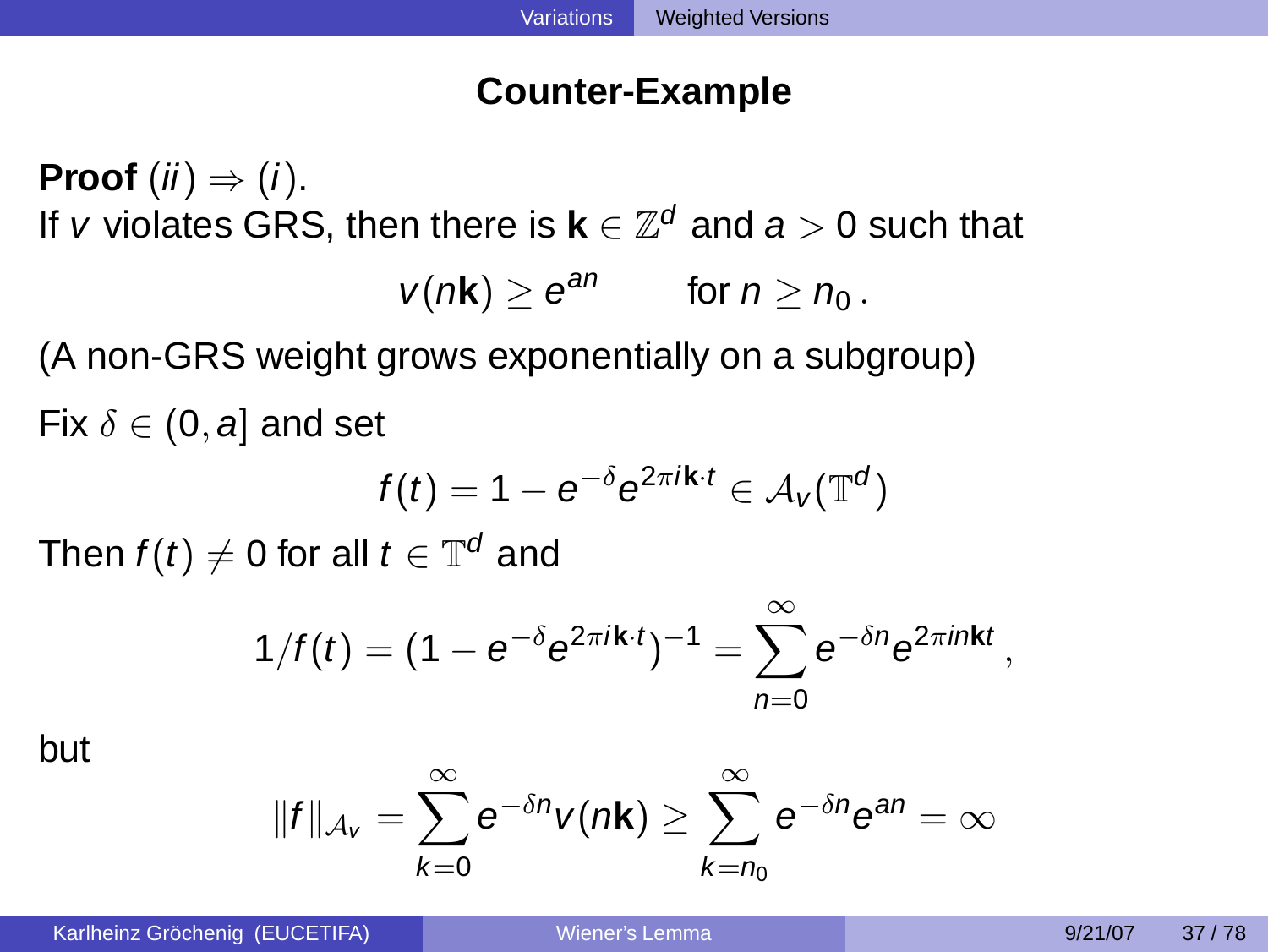### **Counter-Example**

**Proof**  $(ii) \Rightarrow (i)$ . If  $v$  violates GRS, then there is  $\mathbf{k} \in \mathbb{Z}^d$  and  $\boldsymbol{a} > 0$  such that

$$
v(n\mathbf{k}) \geq e^{an} \qquad \text{for } n \geq n_0.
$$

(A non-GRS weight grows exponentially on a subgroup) Fix  $\delta \in (0, a]$  and set

$$
f(t) = 1 - e^{-\delta} e^{2\pi i \mathbf{k} \cdot t} \in \mathcal{A}_V(\mathbb{T}^d)
$$

Then  $f(t)\neq 0$  for all  $t\in \mathbb{T}^d$  and

$$
1/f(t)=(1-e^{-\delta}e^{2\pi i\mathbf{k}\cdot t})^{-1}=\sum_{n=0}^{\infty}e^{-\delta n}e^{2\pi i n\mathbf{k}t},
$$

but

$$
||f||_{\mathcal{A}_V} = \sum_{k=0}^{\infty} e^{-\delta n} v(n\mathbf{k}) \geq \sum_{k=n_0}^{\infty} e^{-\delta n} e^{an} = \infty
$$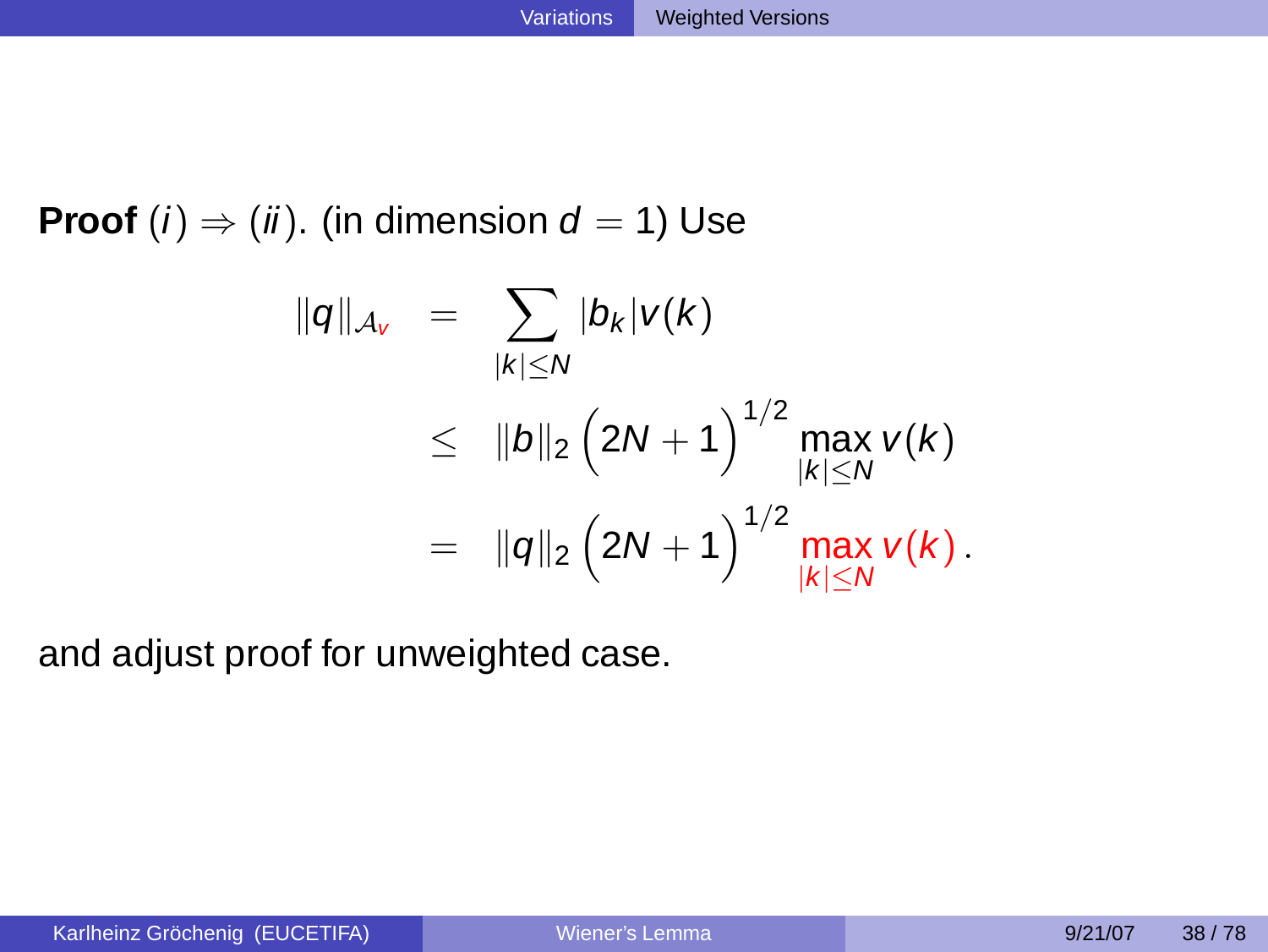**Proof** (*i*)  $\Rightarrow$  (*ii*). (in dimension  $d = 1$ ) Use

$$
||q||_{A_{V}} = \sum_{|k| \leq N} |b_{k}|v(k)
$$
  
\n
$$
\leq ||b||_{2} (2N+1)^{1/2} \max_{|k| \leq N} v(k)
$$
  
\n
$$
= ||q||_{2} (2N+1)^{1/2} \max_{|k| \leq N} v(k).
$$

and adjust proof for unweighted case.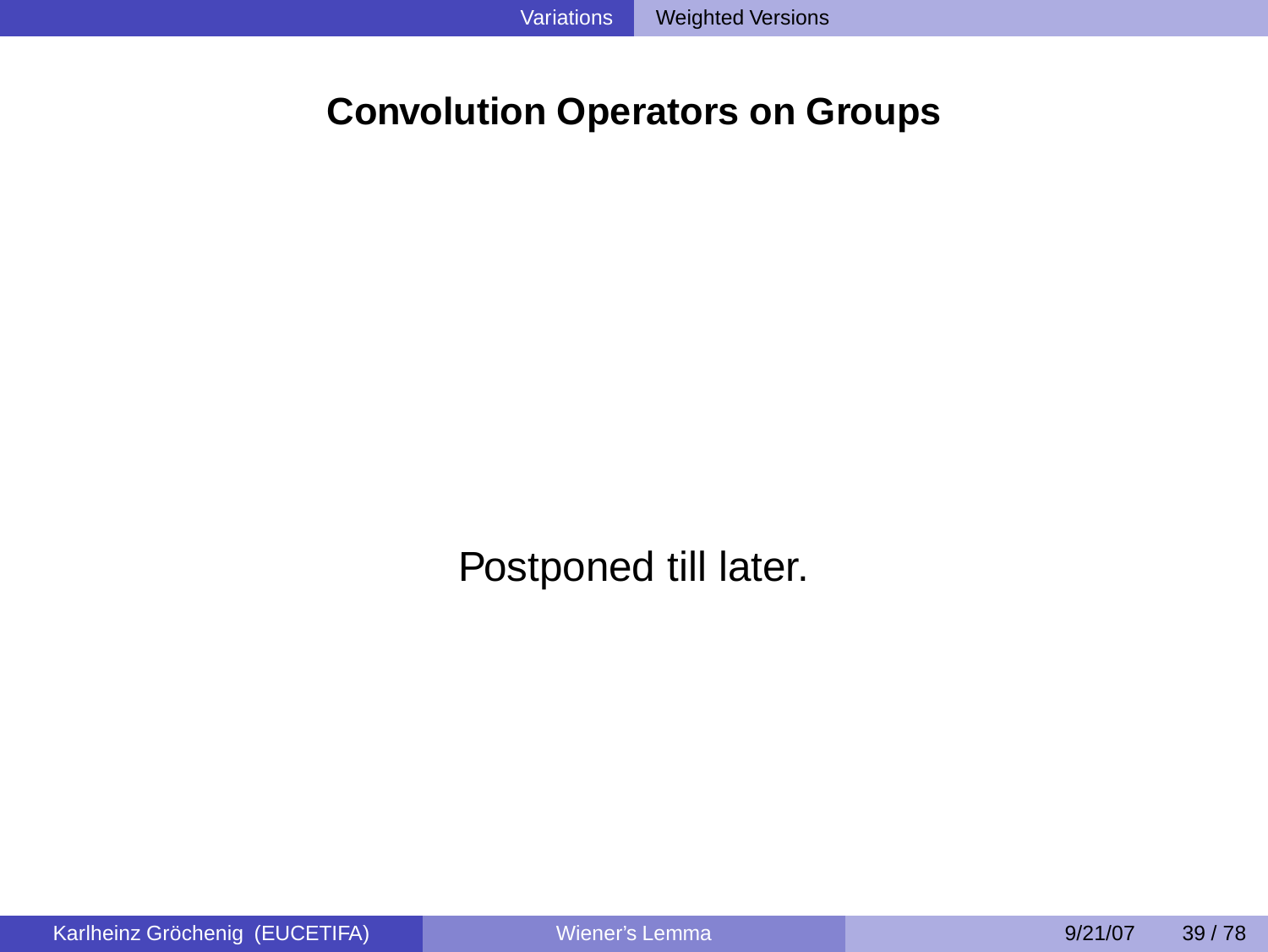# **Convolution Operators on Groups**

Postponed till later.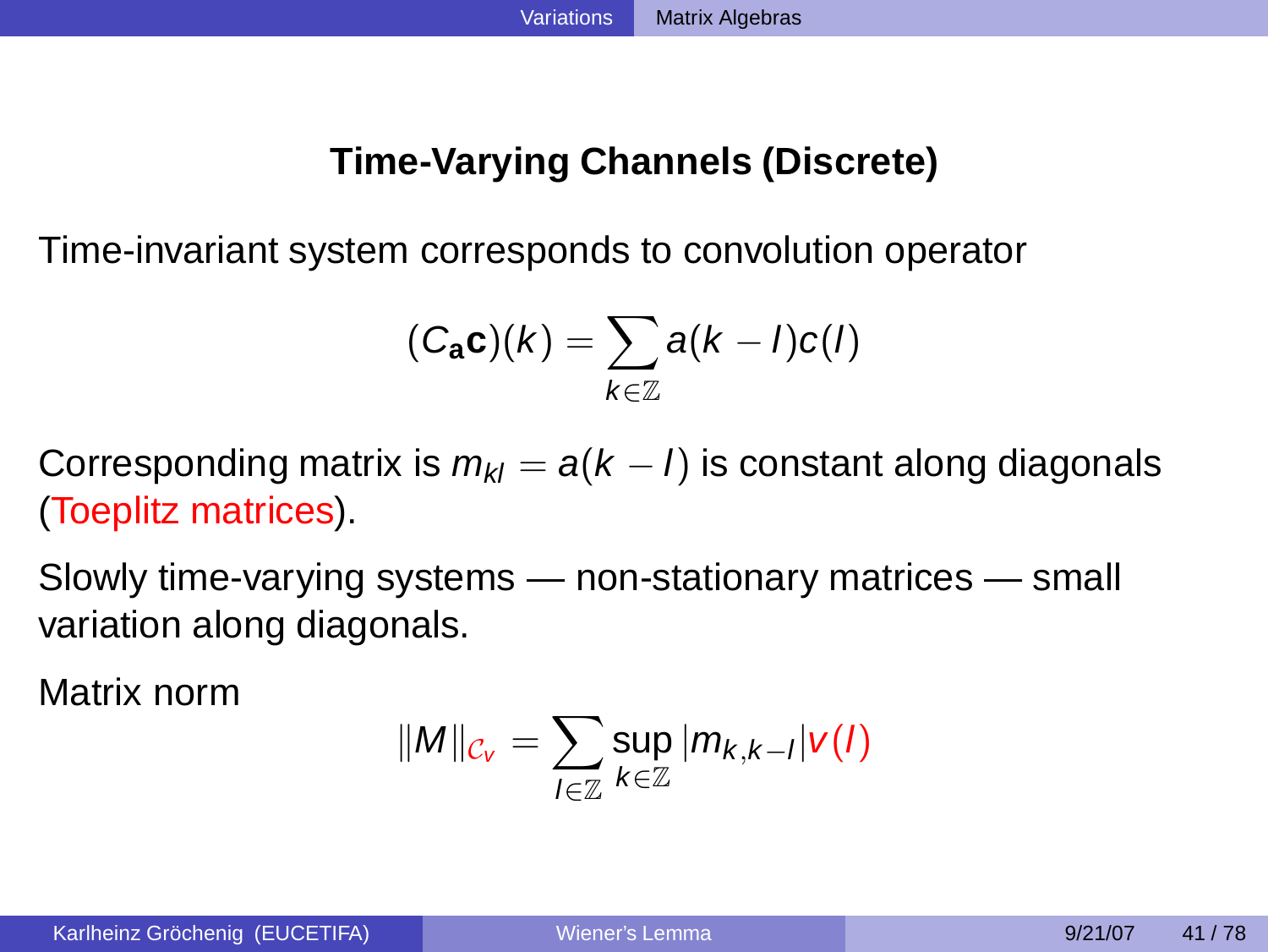# **Time-Varying Channels (Discrete)**

Time-invariant system corresponds to convolution operator

$$
(C_{\mathbf{a}}\mathbf{c})(k) = \sum_{k \in \mathbb{Z}} a(k-l)c(l)
$$

Corresponding matrix is  $m_{kl} = a(k - l)$  is constant along diagonals (Toeplitz matrices).

Slowly time-varying systems — non-stationary matrices — small variation along diagonals.

Matrix norm

<span id="page-33-0"></span>
$$
\|M\|_{\mathcal{C}_V}=\sum_{I\in\mathbb{Z}}\sup_{k\in\mathbb{Z}}|m_{k,k-I}|v(I)
$$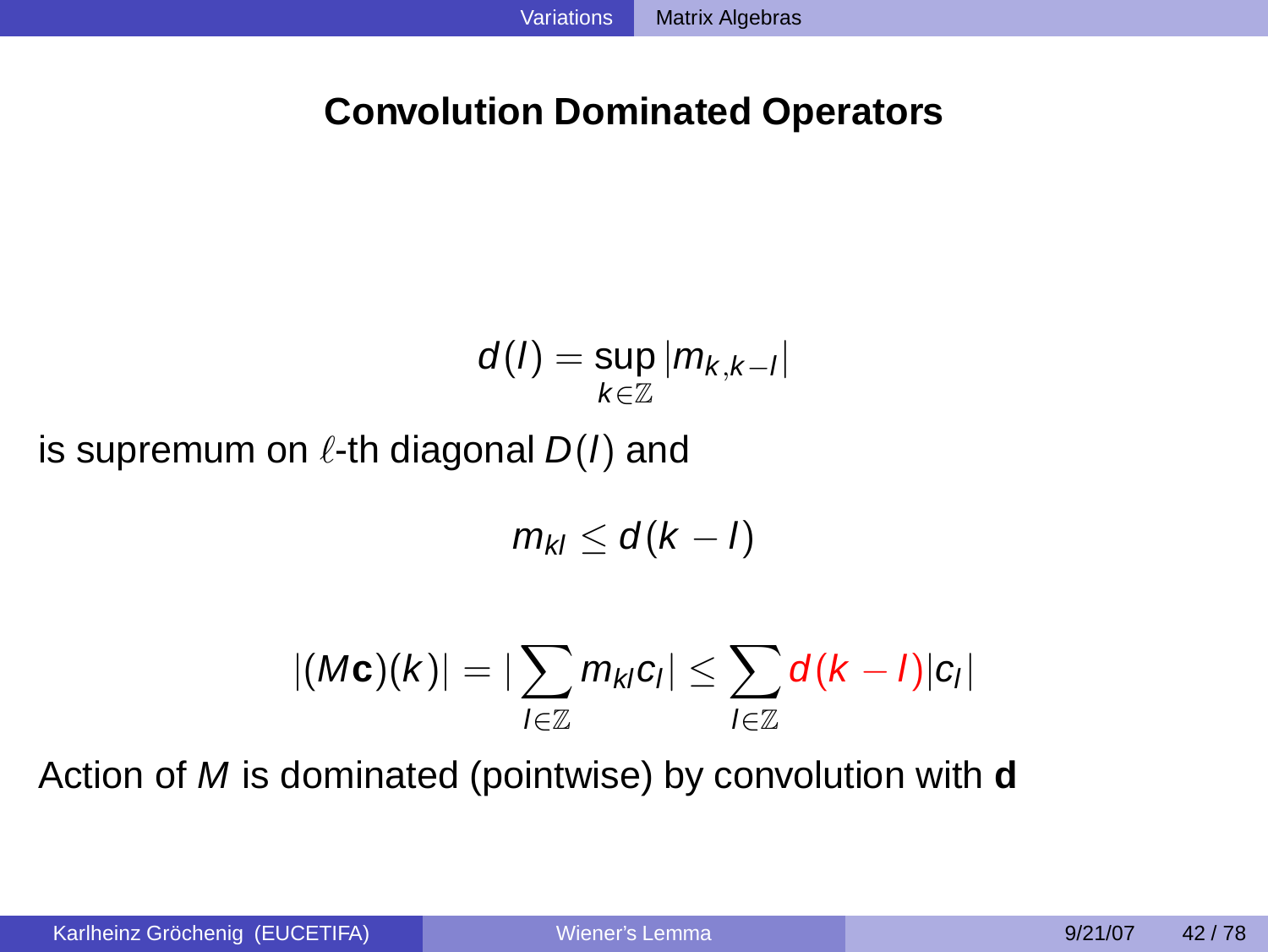# **Convolution Dominated Operators**

$$
d(I) = \sup_{k \in \mathbb{Z}} |m_{k,k-l}|
$$
 is supremum on  $\ell$ -th diagonal  $D(I)$  and

$$
m_{kl} \leq d(k-l)
$$

$$
|(M\mathbf{c})(k)| = |\sum_{l \in \mathbb{Z}} m_{kl} c_l| \leq \sum_{l \in \mathbb{Z}} d(k-l)|c_l|
$$

Action of M is dominated (pointwise) by convolution with **d**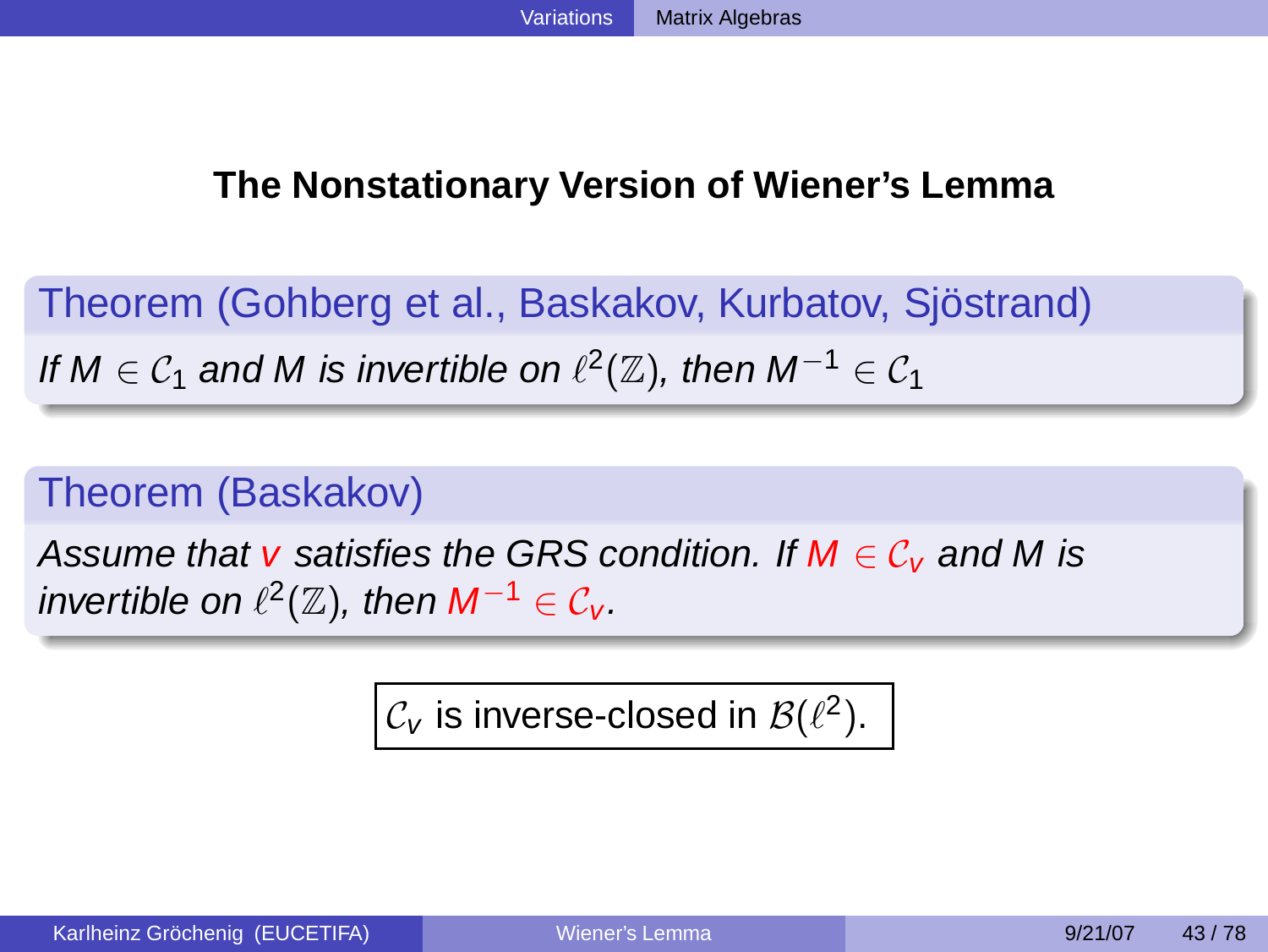# **The Nonstationary Version of Wiener's Lemma**

Theorem (Gohberg et al., Baskakov, Kurbatov, Sjöstrand) If  $M \in C_1$  and M is invertible on  $\ell^2(\mathbb{Z})$ , then  $M^{-1} \in C_1$ 

# Theorem (Baskakov)

Assume that v satisfies the GRS condition. If  $M \in \mathcal{C}_V$  and M is invertible on  $\ell^2(\mathbb{Z})$ , then  $M^{-1}\in \mathcal{C}_V$ .

 $\mathcal{C}_{\pmb{\nu}}$  is inverse-closed in  $\mathcal{B}(\ell^2).$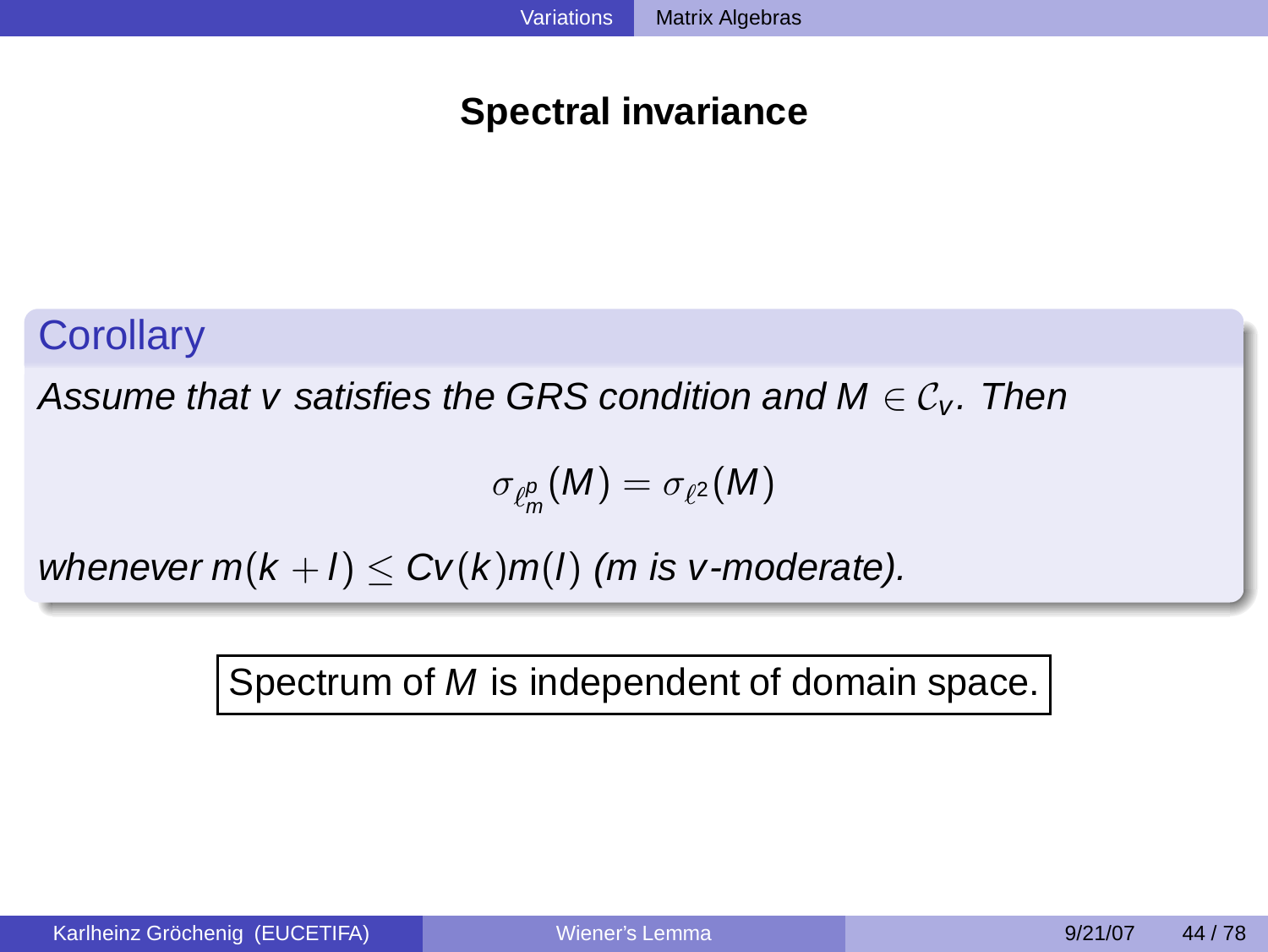# **Spectral invariance**

# **Corollary**

Assume that v satisfies the GRS condition and  $M \in \mathcal{C}_V$ . Then

$$
\sigma_{\ell^p_m}(M)=\sigma_{\ell^2}(M)
$$

whenever  $m(k + l) \leq Cv(k)m(l)$  (m is v-moderate).

Spectrum of M is independent of domain space.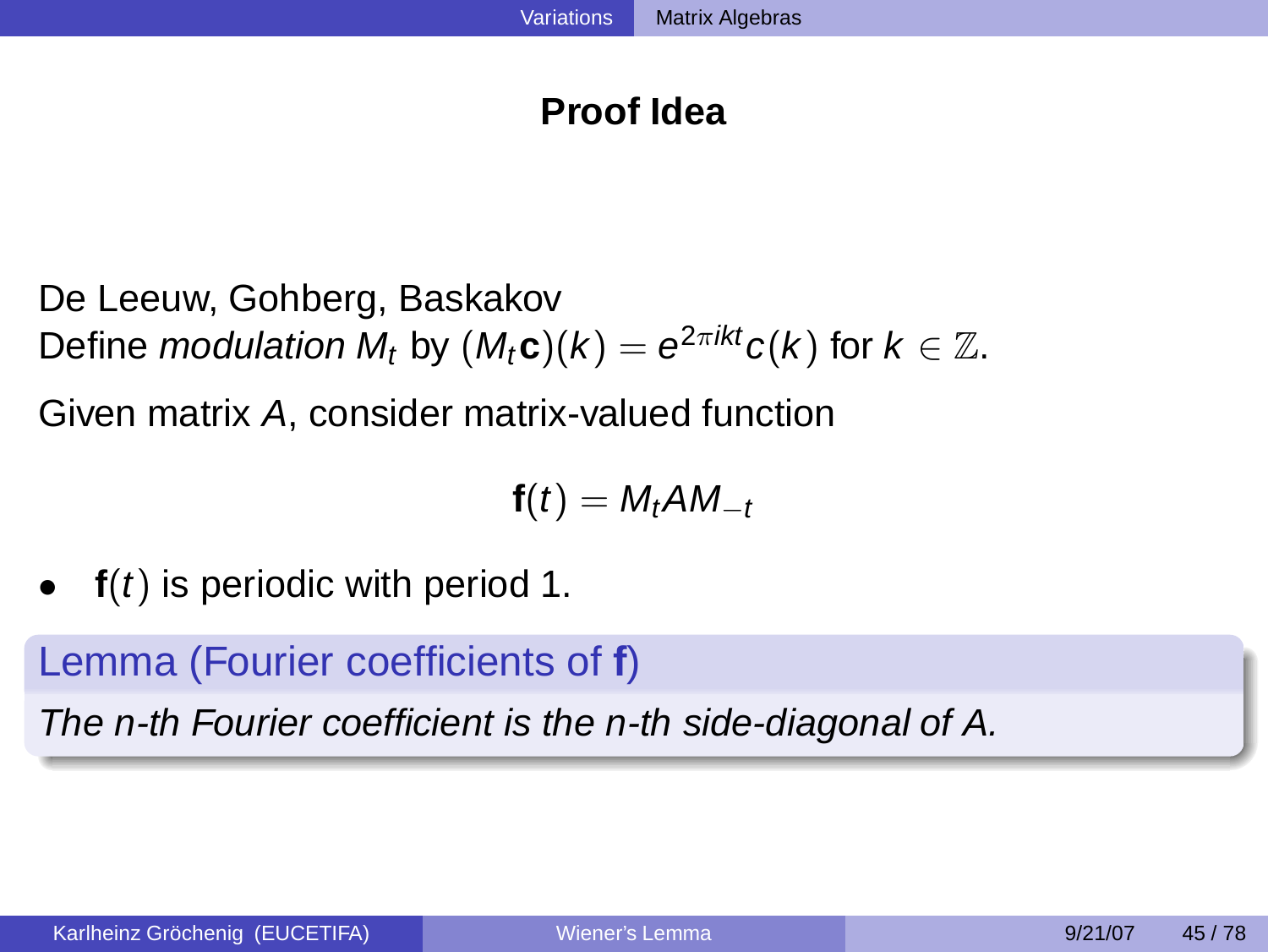# **Proof Idea**

De Leeuw, Gohberg, Baskakov Define *modulation M<sub>t</sub>* by  $(M_t\mathbf{c})(k) = e^{2\pi ikt}c(k)$  for  $k \in \mathbb{Z}$ .

Given matrix A, consider matrix-valued function

$$
f(t) = M_t A M_{-t}
$$

• **f**(*t*) is periodic with period 1.

Lemma (Fourier coefficients of **f**)

The n-th Fourier coefficient is the n-th side-diagonal of A.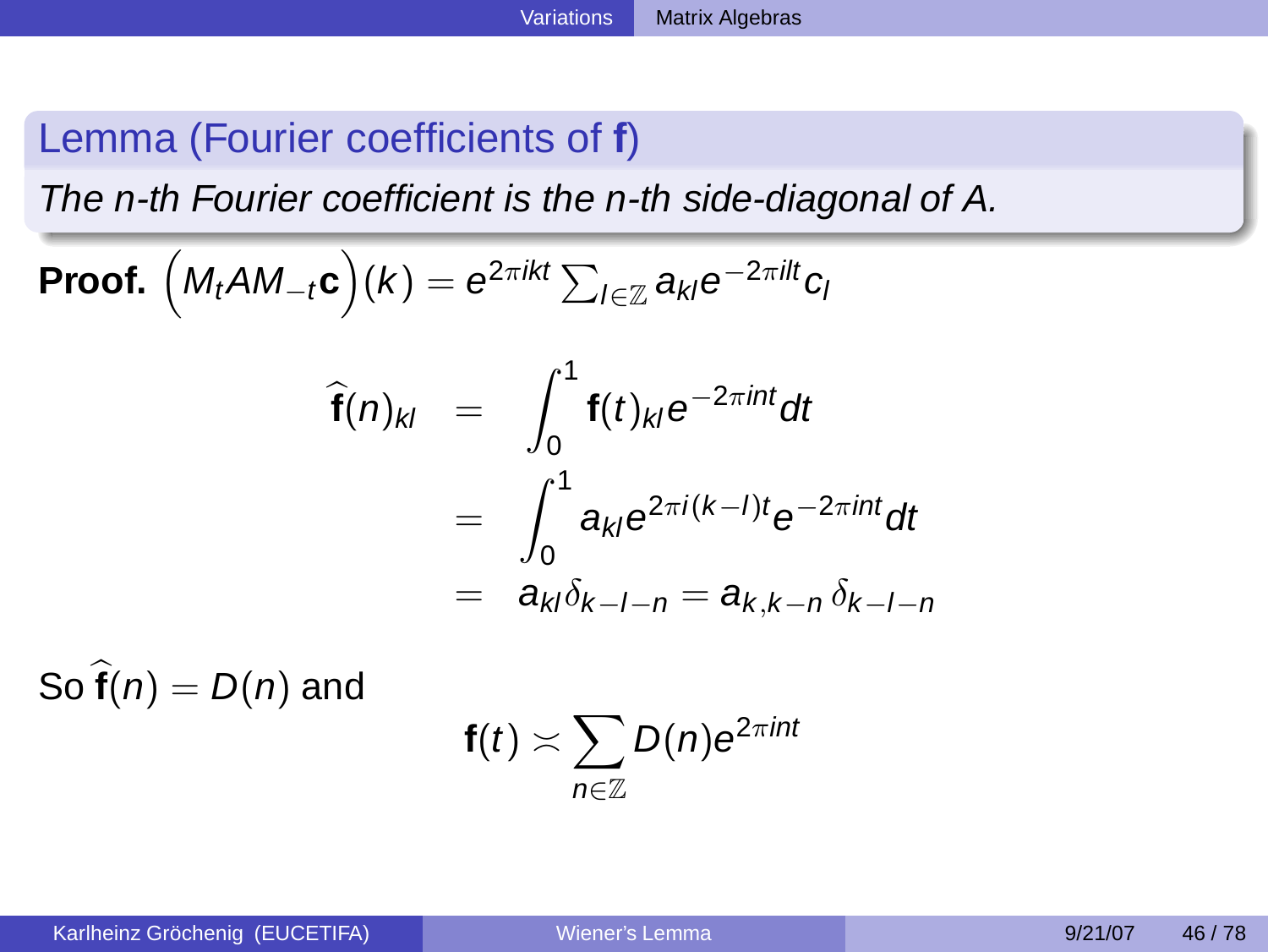# Lemma (Fourier coefficients of **f**)

 $\overline{\phantom{a}}$ 

The n-th Fourier coefficient is the n-th side-diagonal of A.

**Proof.** 
$$
(M_tAM_{-t}c)(k) = e^{2\pi ikt} \sum_{l \in \mathbb{Z}} a_{kl}e^{-2\pi ilt}c_l
$$

$$
\begin{aligned}\n\widehat{\mathbf{f}}(n)_{kl} &= \int_0^1 \mathbf{f}(t)_{kl} e^{-2\pi int} dt \\
&= \int_0^1 a_{kl} e^{2\pi i (k-l)t} e^{-2\pi int} dt \\
&= a_{kl} \delta_{k-l-n} = a_{k,k-n} \delta_{k-l-n}\n\end{aligned}
$$

So  $\hat{\mathbf{f}}(n) = D(n)$  and

$$
\mathbf{f}(t) \asymp \sum_{n \in \mathbb{Z}} D(n) e^{2\pi int}
$$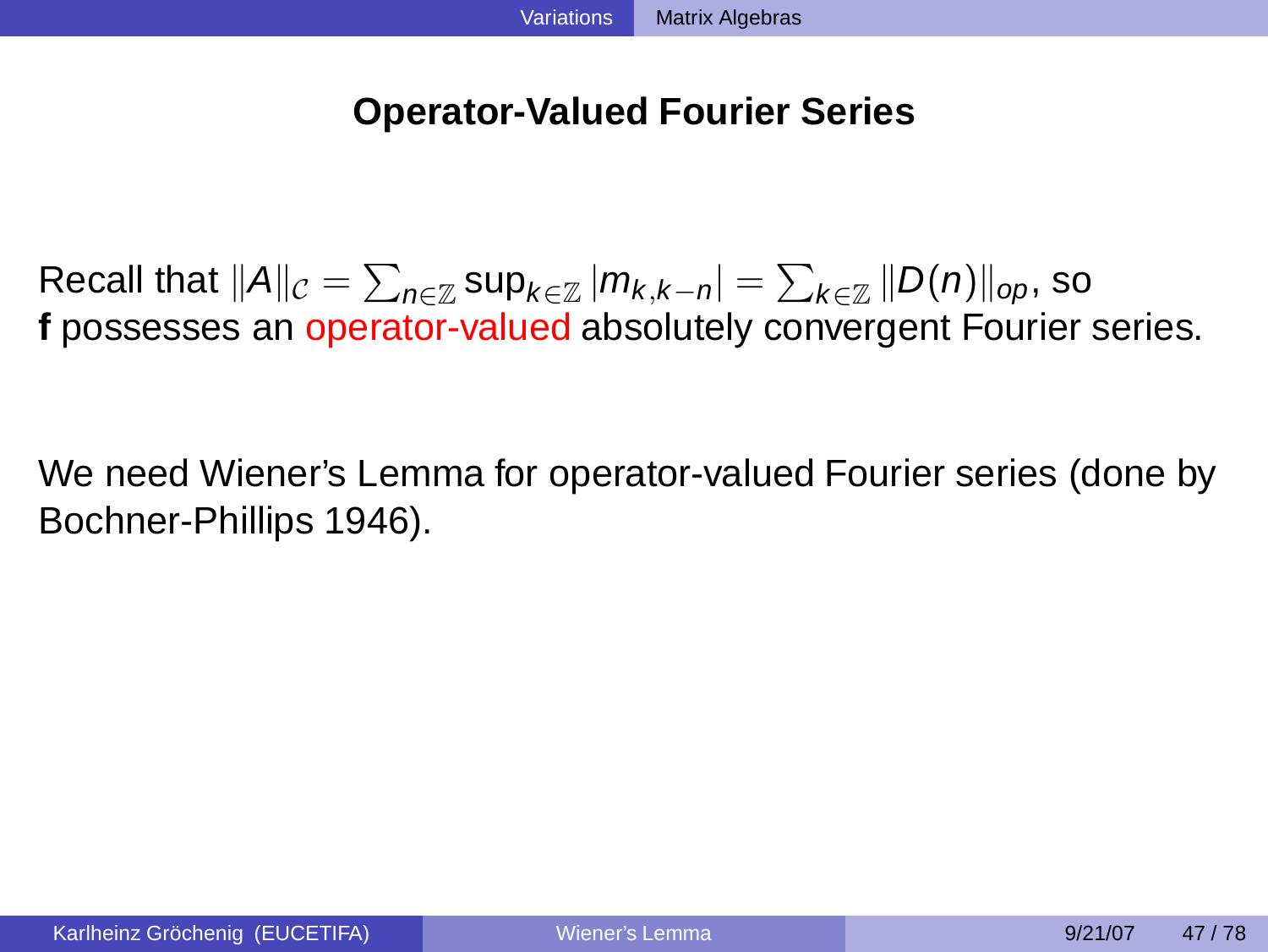### **Operator-Valued Fourier Series**

Recall that  $\|A\|_{\mathcal{C}} = \sum_{n\in\mathbb{Z}}\sup_{k\in\mathbb{Z}}|m_{k,k-n}| = \sum_{k\in\mathbb{Z}}\|D(n)\|_{op}$ , so **f** possesses an operator-valued absolutely convergent Fourier series.

We need Wiener's Lemma for operator-valued Fourier series (done by Bochner-Phillips 1946).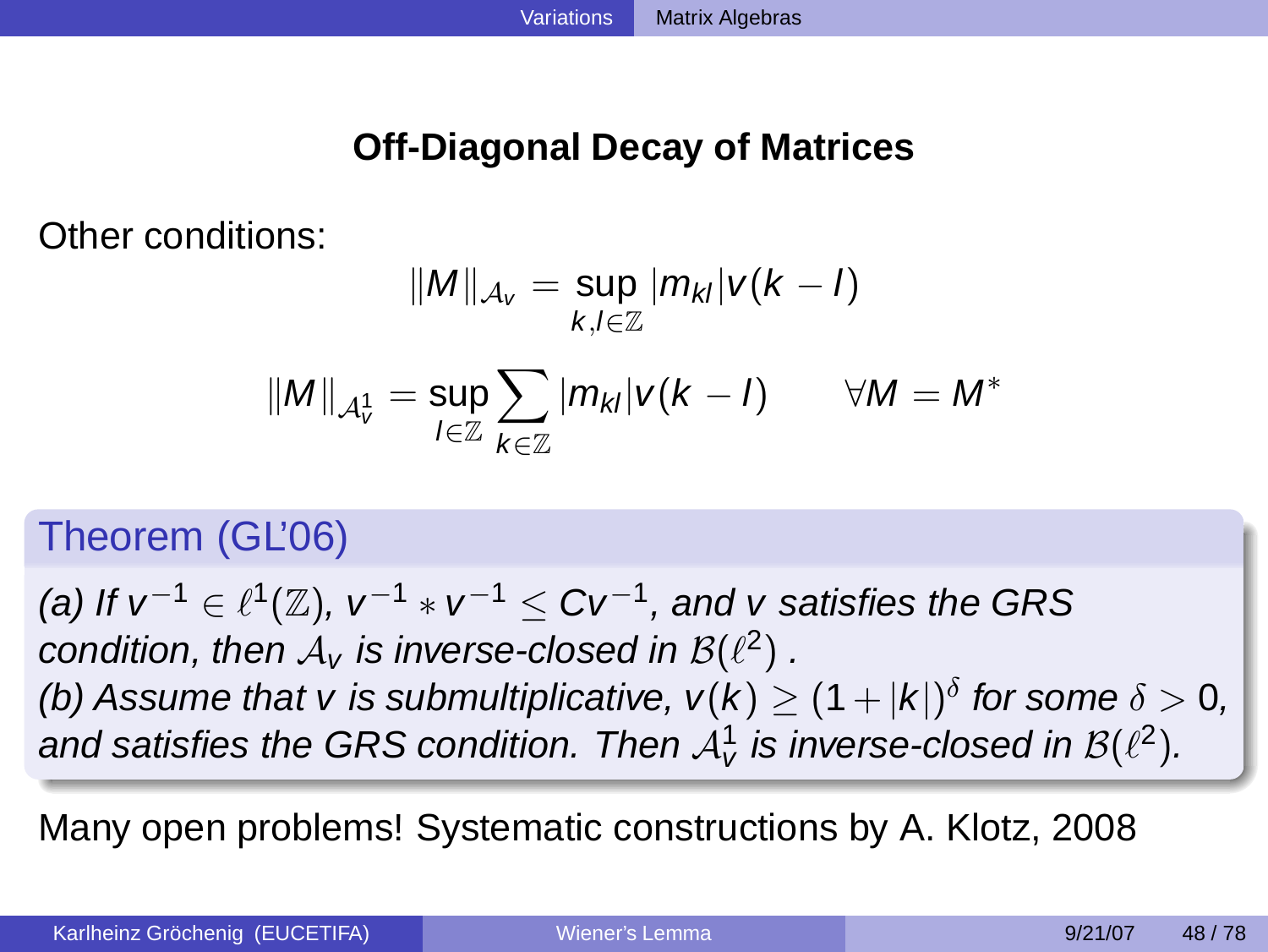# **Off-Diagonal Decay of Matrices**

Other conditions:

$$
||M||_{\mathcal{A}_V} = \sup_{k,l \in \mathbb{Z}} |m_{kl}| v(k-l)
$$

$$
||M||_{\mathcal{A}_V^1} = \sup_{l \in \mathbb{Z}} \sum_{k \in \mathbb{Z}} |m_{kl}| v(k-l) \qquad \forall M = M^*
$$

# Theorem (GL'06)

(a) If  $v^{-1} \in \ell^1(\mathbb{Z})$ ,  $v^{-1} * v^{-1} \leq C v^{-1}$ , and  $v$  satisfies the GRS condition, then  $A_v$  is inverse-closed in  $\mathcal{B}(\ell^2)$  . (b) Assume that v is submultiplicative,  $v(k) \geq (1+|k|)^{\delta}$  for some  $\delta > 0$ , and satisfies the GRS condition. Then  ${\cal A}^1_{\rm v}$  is inverse-closed in  ${\cal B}(\ell^2).$ 

Many open problems! Systematic constructions by A. Klotz, 2008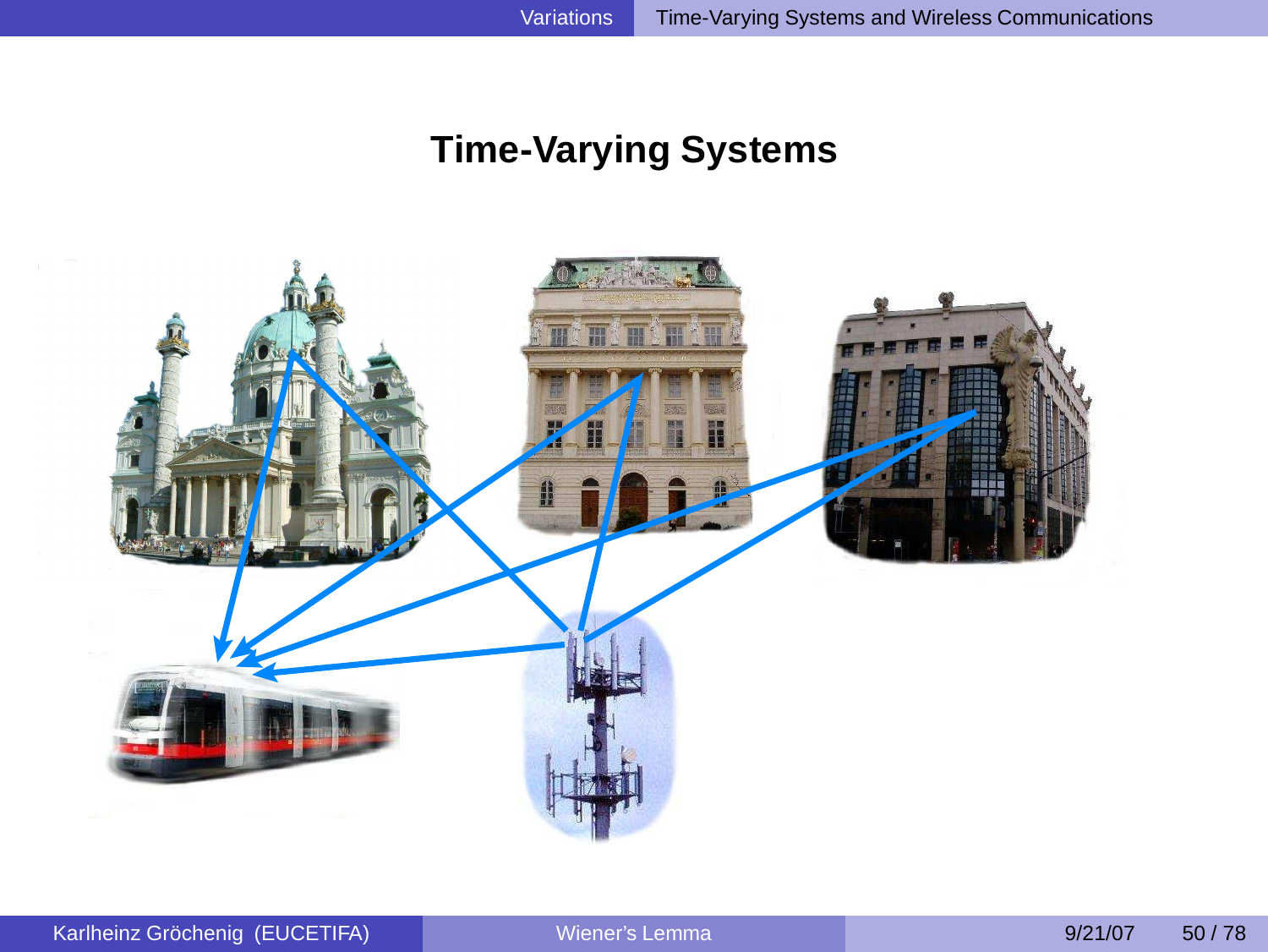# <span id="page-41-0"></span>**Time-Varying Systems**

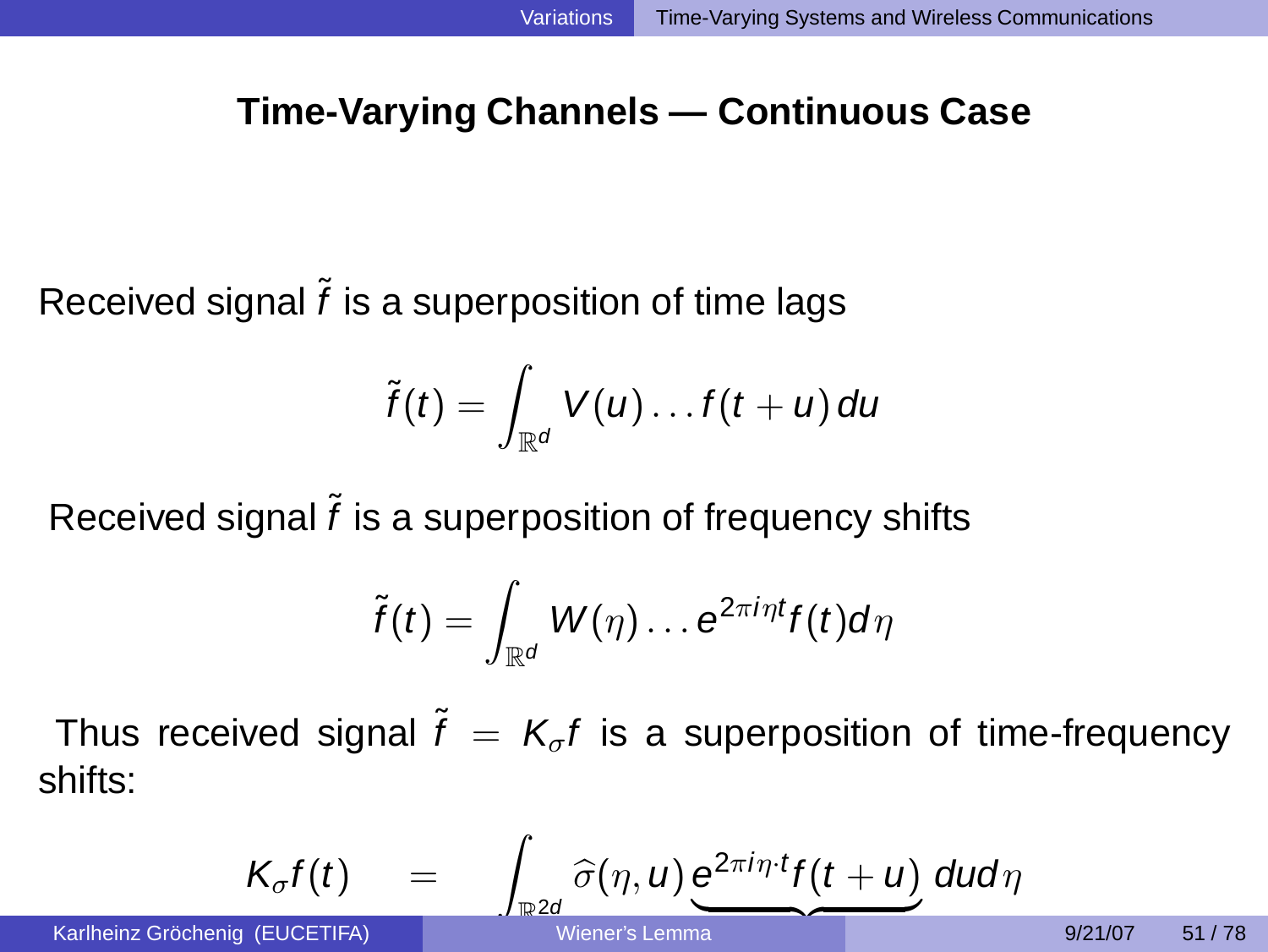### **Time-Varying Channels — Continuous Case**

Received signal  $\tilde{f}$  is a superposition of time lags

Karlheinz Gröchenig

$$
\widetilde{f}(t) = \int_{\mathbb{R}^d} V(u) \ldots f(t+u) \, du
$$

Received signal  $\tilde{f}$  is a superposition of frequency shifts

$$
\tilde{f}(t) = \int_{\mathbb{R}^d} W(\eta) \dots \mathrm{e}^{2\pi i \eta t} f(t) d\eta
$$

Thus received signal  $\tilde{f} = K_{\sigma} f$  is a superposition of time-frequency shifts:

$$
K_{\sigma}f(t) = \int_{\substack{\mathbb{R}^2 d \\ \text{Wiener's Lemma}}} \frac{\partial(\eta, u) e^{2\pi i \eta \cdot t} f(t+u)}{\partial t} du d\eta
$$
\n
$$
g_{\text{Nener's Lemma}} \qquad g_{\text{N1/78}} \qquad g_{\text{N21/87}} \qquad g_{\text{N1/78}}
$$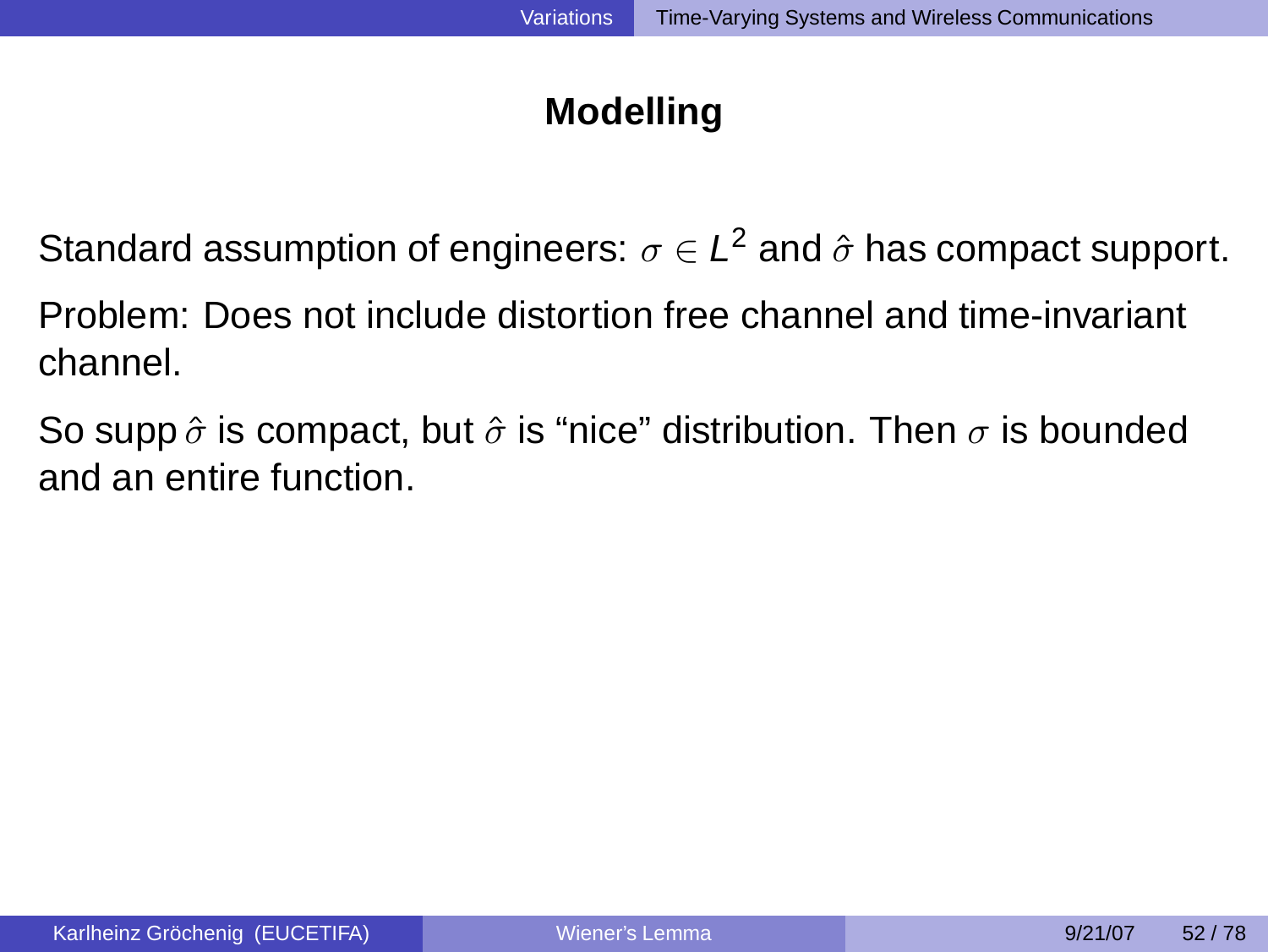# **Modelling**

Standard assumption of engineers:  $\sigma \in L^2$  and  $\hat{\sigma}$  has compact support. Problem: Does not include distortion free channel and time-invariant

channel.

So supp  $\hat{\sigma}$  is compact, but  $\hat{\sigma}$  is "nice" distribution. Then  $\sigma$  is bounded and an entire function.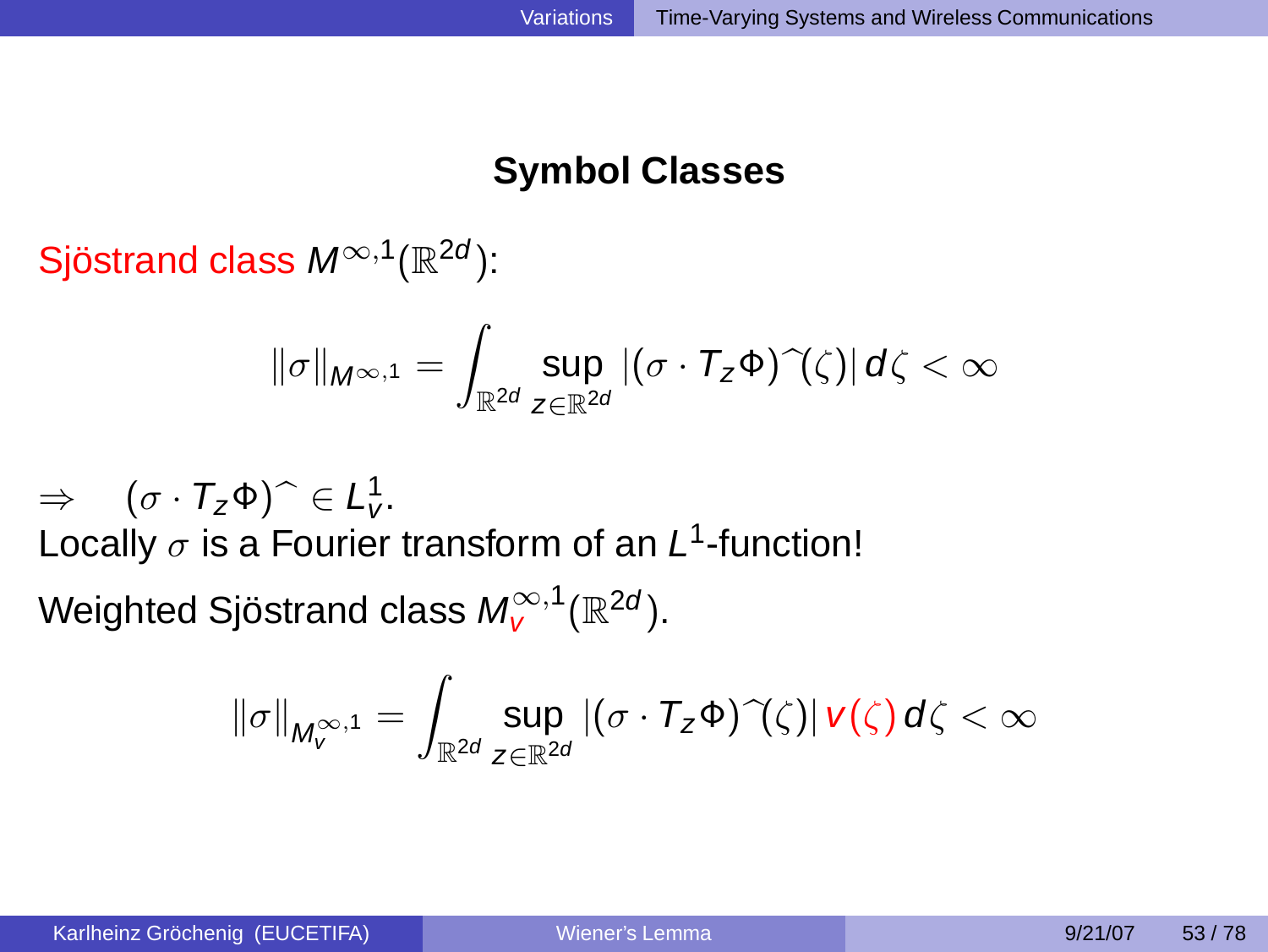# **Symbol Classes**

Sjöstrand class  $M^{\infty,1}(\mathbb{R}^{2d})$ :

$$
\|\sigma\|_{M^{\infty,1}}=\int_{\mathbb{R}^{2d}}\sup_{z\in\mathbb{R}^{2d}}|(\sigma\cdot\mathcal{T}_{z}\Phi)\,\,\hat{ }\,(\zeta)|\,d\zeta<\infty
$$

 $\Rightarrow$   $(\sigma \cdot T_z \Phi) \hat{ } \in L^1_V.$ Locally  $\sigma$  is a Fourier transform of an  $L^1$ -function! Weighted Sjöstrand class  $M_{\mathsf{V}}^{\infty,1}(\mathbb{R}^{2d}).$ 

$$
\|\sigma\|_{M^{\infty,1}_v}=\int_{\mathbb{R}^{2d}}\sup_{z\in\mathbb{R}^{2d}}|(\sigma\cdot T_z\Phi)\,\widehat{\ }\,(\zeta)|\,\nu(\zeta)\,d\zeta<\infty
$$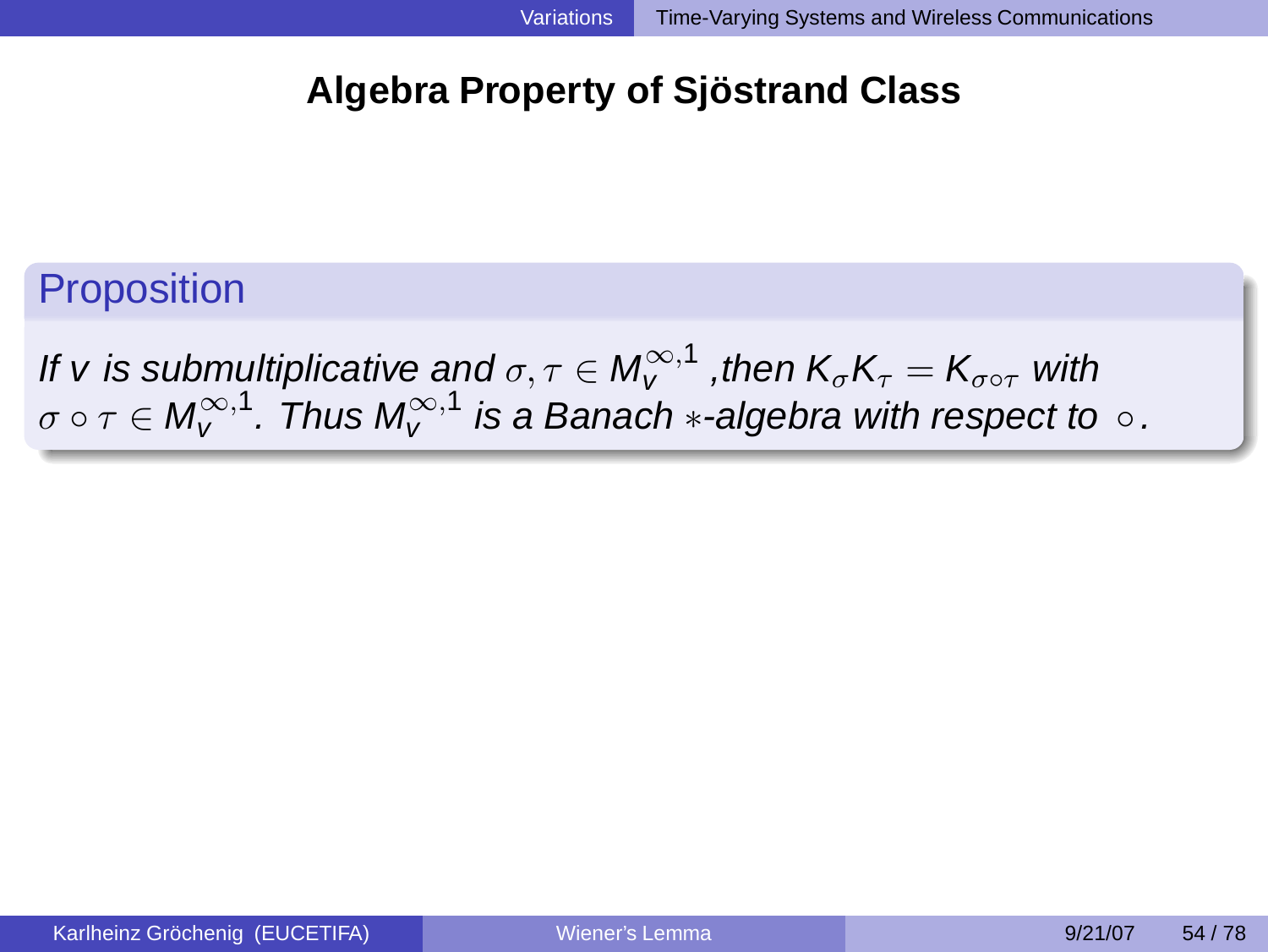# **Algebra Property of Sjöstrand Class**

**Proposition** 

If v is submultiplicative and  $\sigma,\tau\in M_{\tt V}^{\infty,1}$  ,then  $\mathsf{K}_{\sigma} \mathsf{K}_{\tau}=\mathsf{K}_{\sigma\circ\tau}$  with  $\sigma \circ \tau \in \mathsf{M}_{\mathsf{V}}^{\infty,1}$  . Thus  $\mathsf{M}_{\mathsf{V}}^{\infty,1}$  is a Banach  $\ast$ -algebra with respect to  $\circ$  .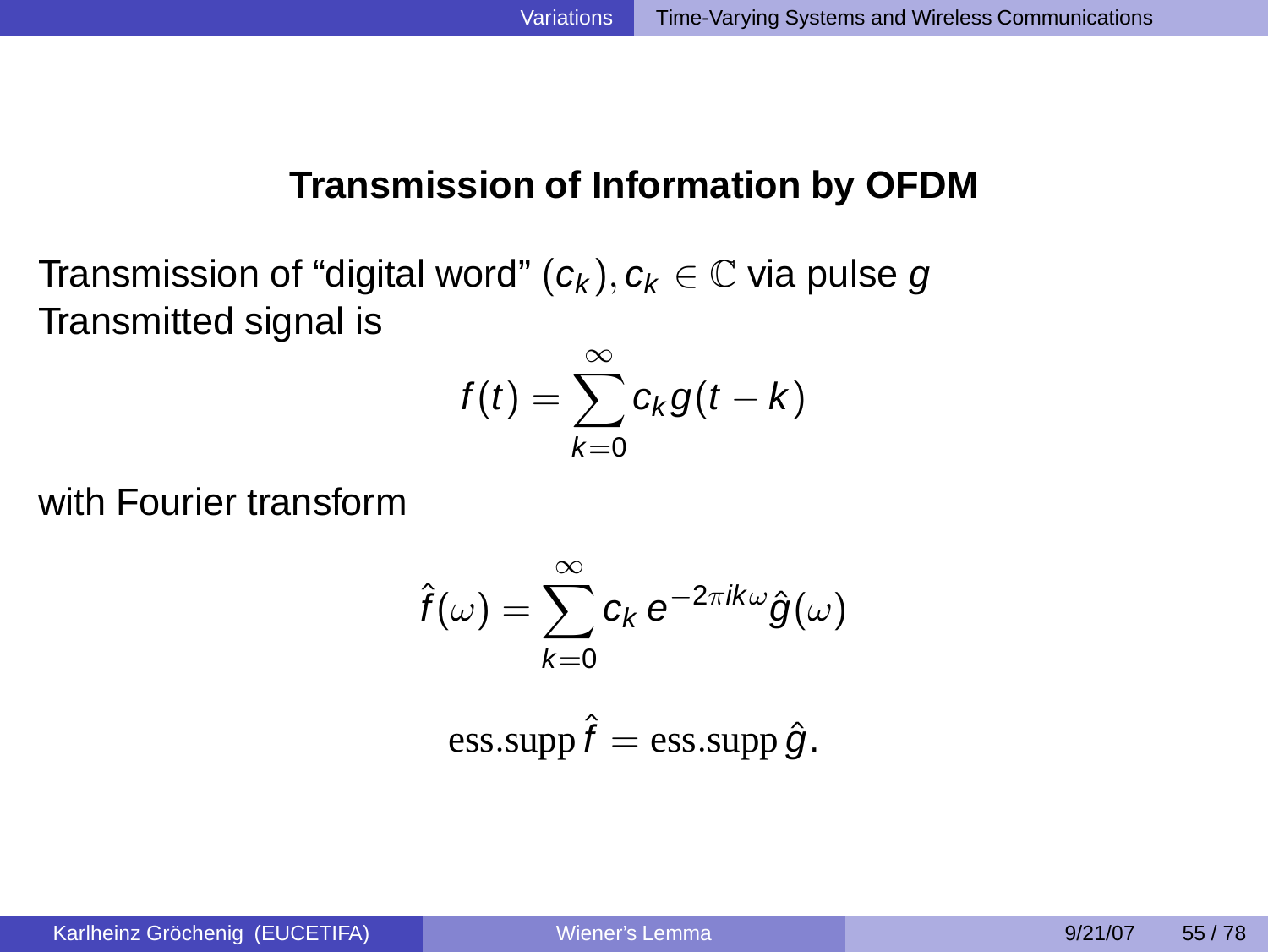### **Transmission of Information by OFDM**

Transmission of "digital word"  $(c_k)$ ,  $c_k \in \mathbb{C}$  via pulse g Transmitted signal is

$$
f(t)=\sum_{k=0}^{\infty}c_kg(t-k)
$$

with Fourier transform

$$
\hat{f}(\omega) = \sum_{k=0}^{\infty} c_k e^{-2\pi i k \omega} \hat{g}(\omega)
$$

ess.supp 
$$
\hat{f}
$$
 = ess.supp  $\hat{g}$ .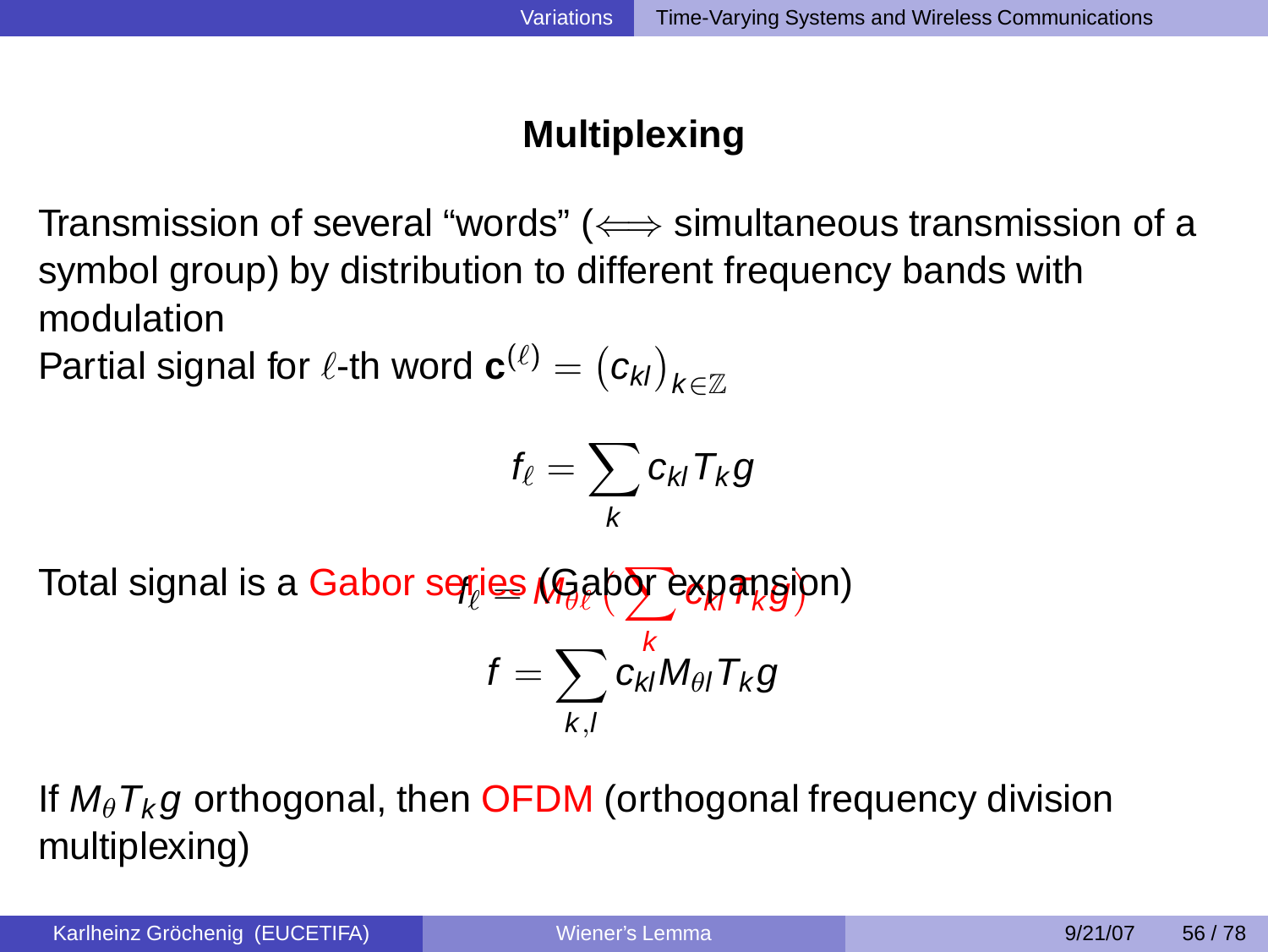# **Multiplexing**

Transmission of several "words" ( $\Longleftrightarrow$  simultaneous transmission of a symbol group) by distribution to different frequency bands with modulation

Partial signal for  $\ell$ -th word  $\mathbf{c}^{(\ell)}=\left(c_{\mathsf{k}\mathsf{I}}\right)_{\mathsf{k}\in\mathbb{Z}}$ 

$$
f_{\ell} = \sum_{k} c_{kl} T_{k} g
$$

Total signal is a Gabor s<del>qr̥ies (</del>Gabor expansion)

$$
f=\sum_{k,l}c_{kl}^K M_{\theta l}T_k g
$$

If  $M_{\theta}T_{k}g$  orthogonal, then **OFDM** (orthogonal frequency division multiplexing)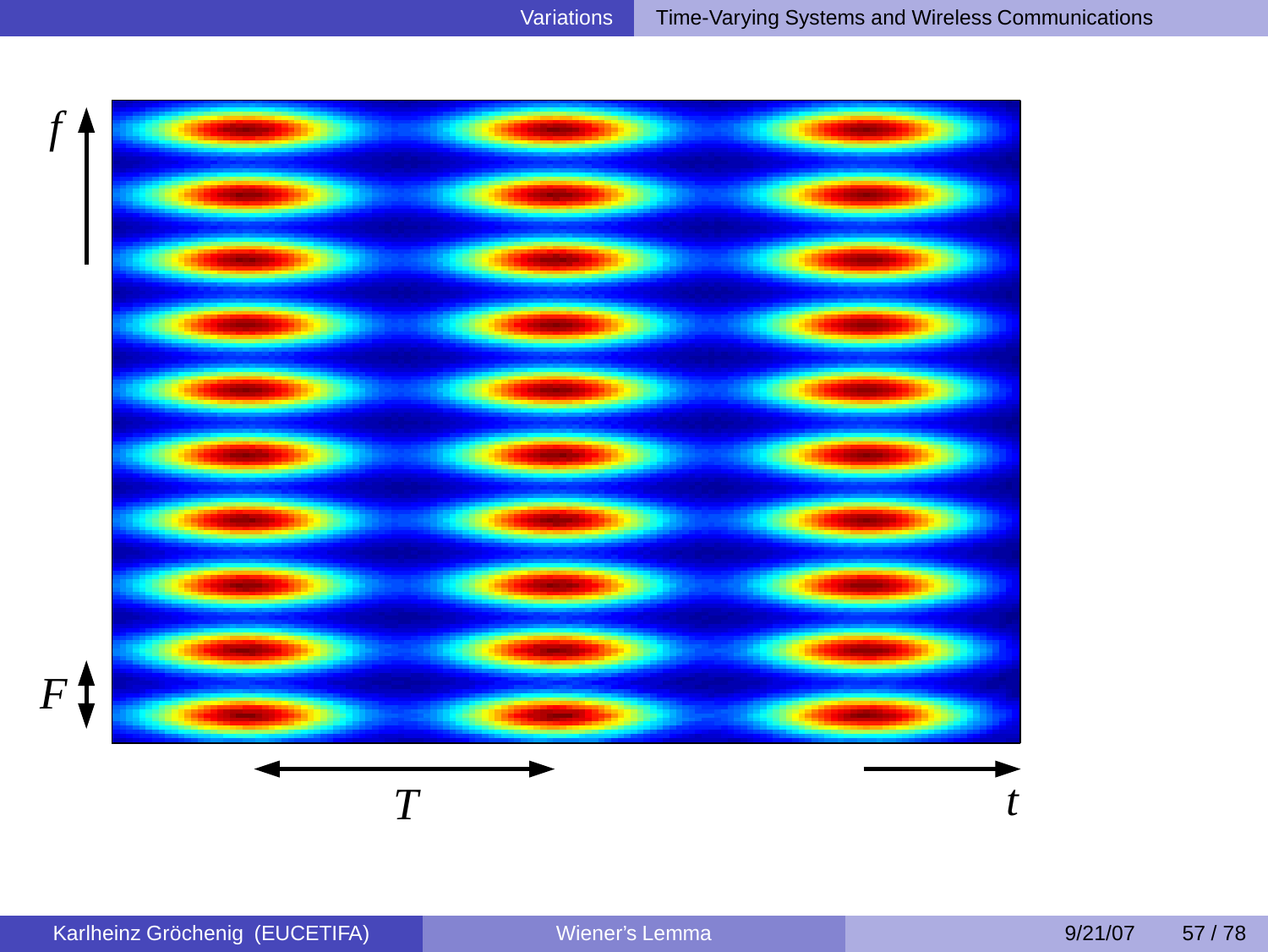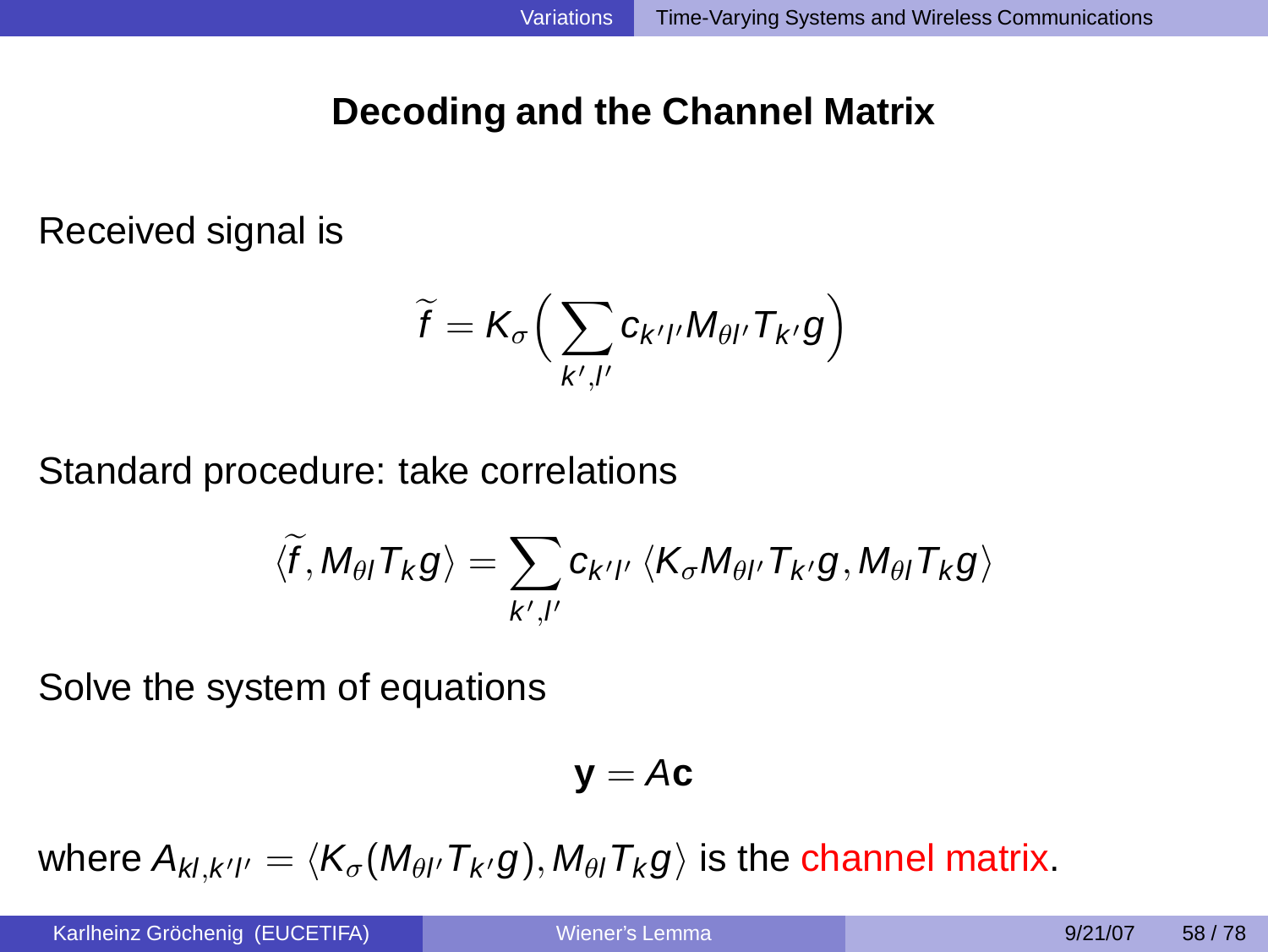# **Decoding and the Channel Matrix**

Received signal is

$$
\widetilde{f} = K_{\sigma} \Big( \sum_{k',l'} c_{k'l'} M_{\theta l'} T_{k'} g \Big)
$$

Standard procedure: take correlations

$$
\langle \widetilde{f}, M_{\theta I} T_K g \rangle = \sum_{k',I'} c_{k'I'} \, \langle K_{\sigma} M_{\theta I'} T_{k'} g, M_{\theta I} T_K g \rangle
$$

Solve the system of equations

$$
\bm{y} = A\bm{c}
$$

where  $A_{kl,k'l'}=\langle \mathcal{K}_{\sigma} (M_{\theta l'}\mathcal{T}_{k'} g), M_{\theta l}\mathcal{T}_k g\rangle$  is the channel matrix.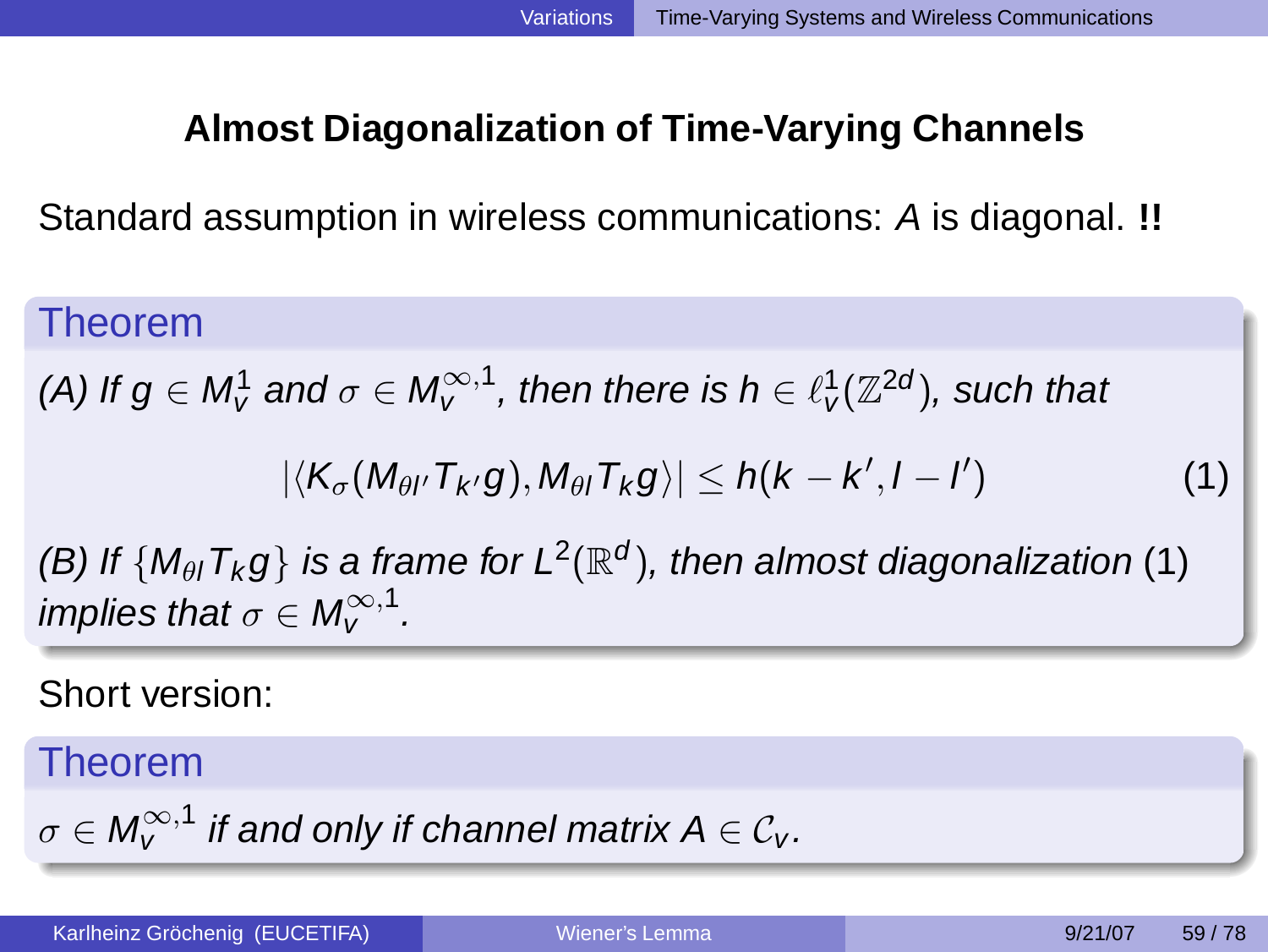# **Almost Diagonalization of Time-Varying Channels**

Standard assumption in wireless communications: A is diagonal. **!!**

Theorem

(A) If  $g\in M_{v}^{1}$  and  $\sigma\in M_{v}^{\infty,1}$ , then there is  $h\in \ell_{v}^{1}(\mathbb{Z}^{2d}),$  such that

$$
|\langle K_{\sigma}(M_{\theta I'}T_{k'}g),M_{\theta I}T_{k}g\rangle|\leq h(k-k',l-l')\qquad \qquad (1)
$$

<span id="page-50-0"></span>(B) If  $\{M_{\theta}$ ,  $T_k g\}$  is a frame for  $L^2(\mathbb{R}^d)$ , then almost diagonalization [\(1\)](#page-50-0) implies that  $\sigma \in M_{V}^{\infty,1}$  .

Short version:

Theorem

$$
\sigma\in M_{\tt V}^{\infty,1}\,\,\hbox{if and only if channel matrix}\,\hbox{A}\in{\mathcal C}_{\tt V}.
$$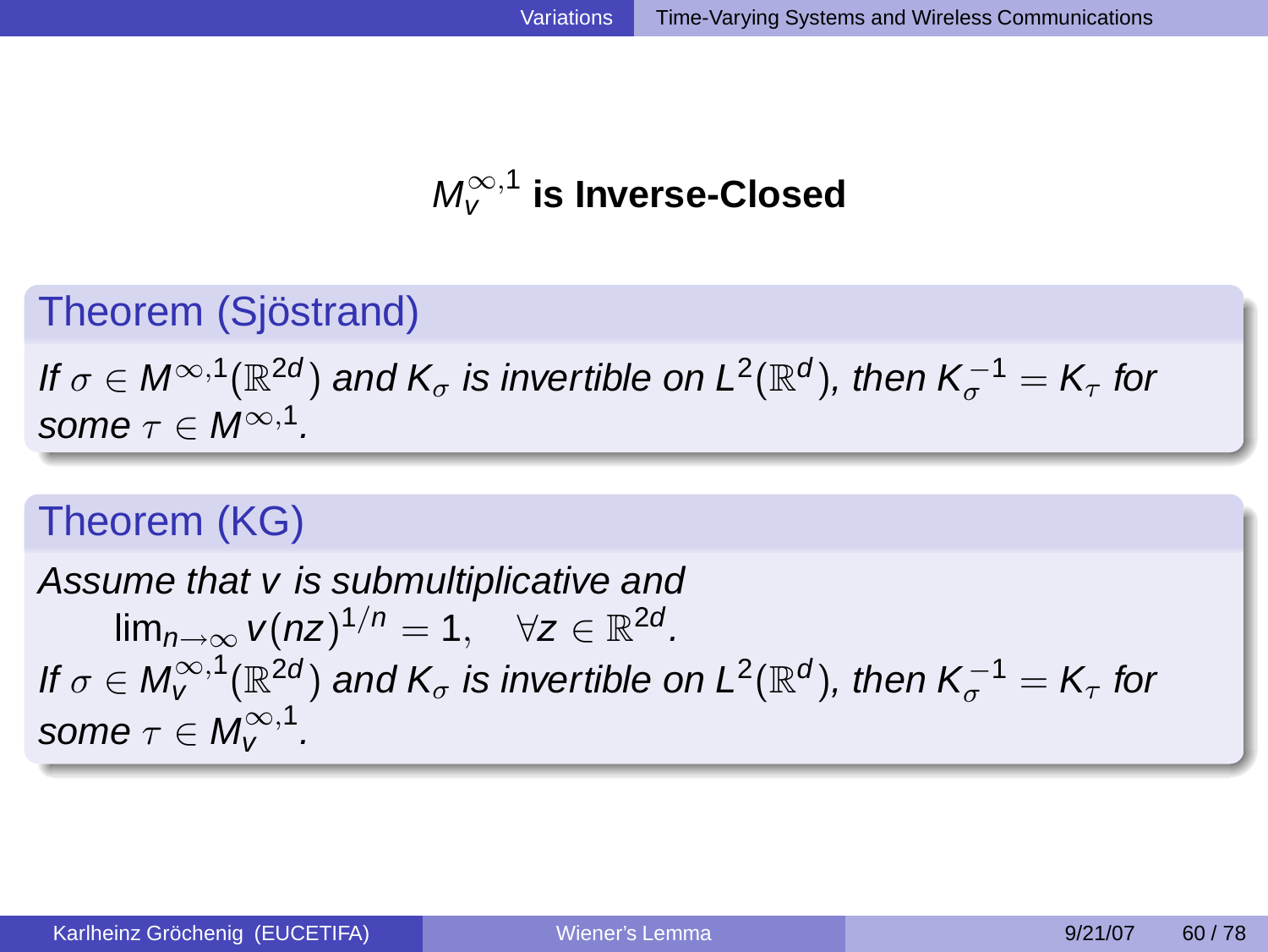# $M_V^{\infty,1}$  is Inverse-Closed

# Theorem (Sjöstrand)

If  $\sigma\in\mathsf{M}^{\infty,1}(\mathbb{R}^{2d})$  and  $\mathsf{K}_\sigma$  is invertible on  $\mathsf{L}^2(\mathbb{R}^d)$ , then  $\mathsf{K}_\sigma^{-1}=\mathsf{K}_\tau$  for some  $\tau \in M^{\infty,1}$ .

# Theorem (KG)

Assume that v is submultiplicative and  $\lim_{n\to\infty} v(nz)^{1/n} = 1$ ,  $\forall z \in \mathbb{R}^{2d}$ . If  $\sigma\in \mathsf M^{\infty,1}_\mathsf V(\mathbb R^{2d})$  and  $\mathsf K_\sigma$  is invertible on  $\mathsf L^2(\mathbb R^d),$  then  $\mathsf K^{-1}_\sigma=\mathsf K_\tau$  for some  $\tau \in M_V^{\infty,1}$  .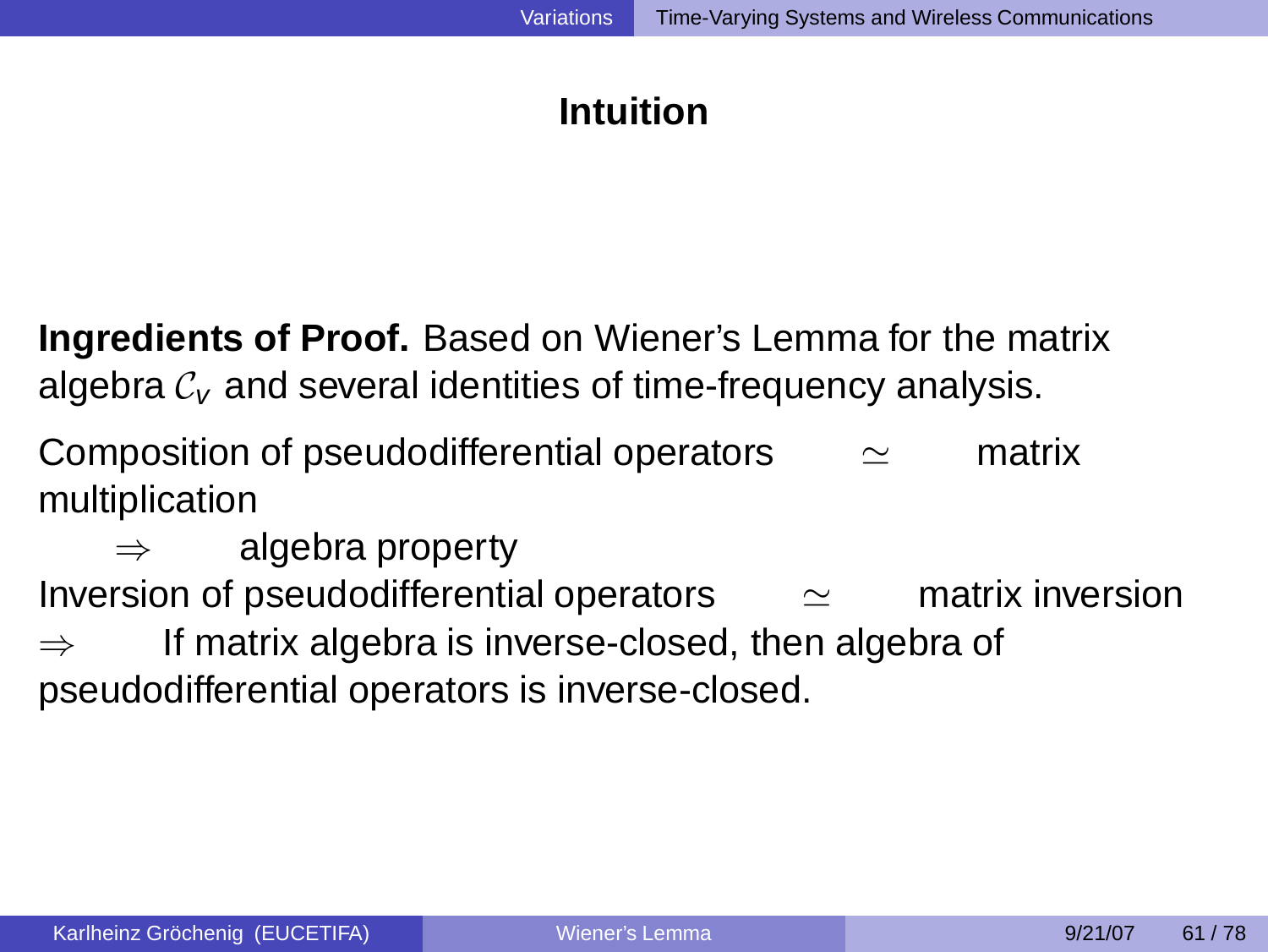# **Intuition**

**Ingredients of Proof.** Based on Wiener's Lemma for the matrix algebra  $\mathcal{C}_{V}$  and several identities of time-frequency analysis.

Composition of pseudodifferential operators  $\sim$  matrix multiplication

algebra property Inversion of pseudodifferential operators ≃ matrix inversion  $\Rightarrow$  If matrix algebra is inverse-closed, then algebra of pseudodifferential operators is inverse-closed.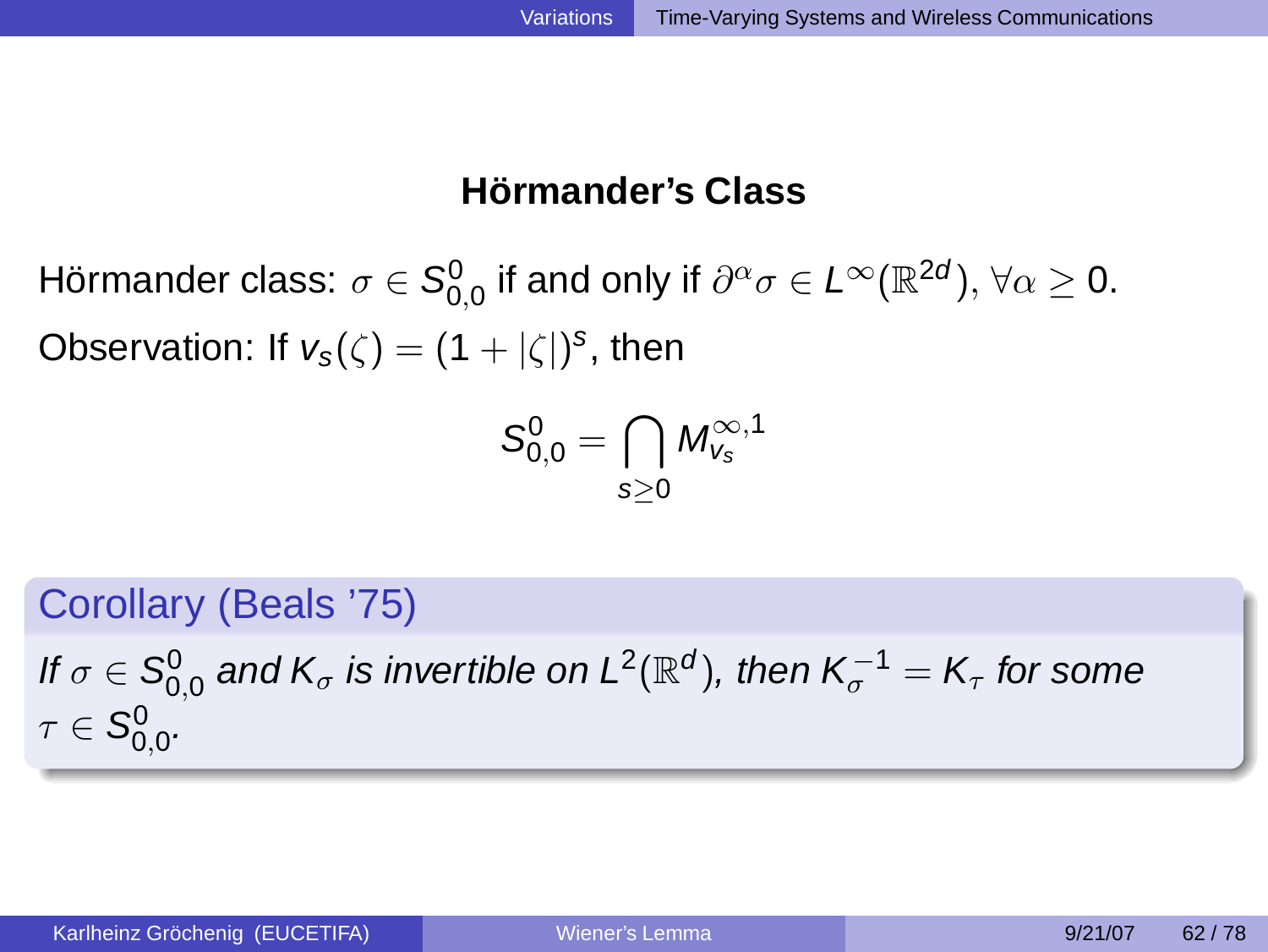### **Hörmander's Class**

Hörmander class:  $\sigma\in{\mathcal S}^0_{0,0}$  if and only if  $\partial^\alpha\sigma\in L^\infty({\mathbb R}^{2d}),\,\forall\alpha\ge0.$ Observation: If  $v_s(\zeta) = (1 + |\zeta|)^s$ , then

$$
S_{0,0}^0=\bigcap_{s\geq 0}\textit{M}_{\textit{V}_s}^{\infty,1}
$$

Corollary (Beals '75)

If  $\sigma\in\mathsf{S}_{0,0}^0$  and  $\mathsf{K}_\sigma$  is invertible on  $\mathsf{L}^2(\mathbb{R}^d)$ , then  $\mathsf{K}_\sigma^{-1}=\mathsf{K}_\tau$  for some  $\tau\in\mathcal{S}_{0,0}^{0}.$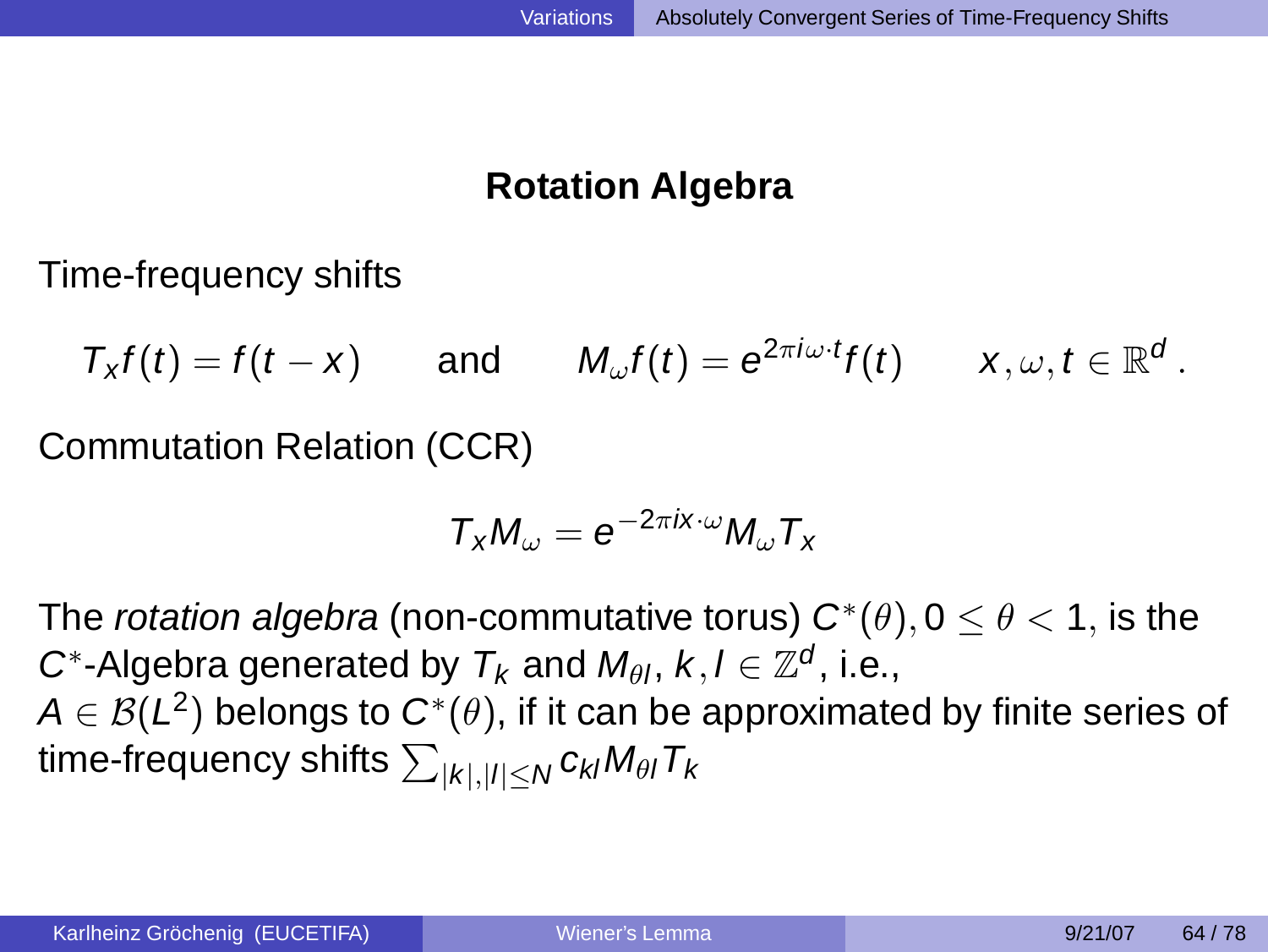# **Rotation Algebra**

Time-frequency shifts

 $T_x f(t) = f(t - x)$  and  $M_{\omega}f(t)=e^{2\pi i\omega\cdot t}f(t)$  $f(t) \qquad x, \omega, t \in \mathbb{R}^d$  .

Commutation Relation (CCR)

<span id="page-54-0"></span>
$$
T_x M_\omega = e^{-2\pi i x \cdot \omega} M_\omega T_x
$$

The *rotation algebra* (non-commutative torus)  $\bm{C}^*(\theta), 0\leq \theta < 1,$  is the C<sup>\*</sup>-Algebra generated by  $T_k$  and  $M_{\theta l}$ ,  $k, l \in \mathbb{Z}^d$ , i.e.,  $\mathcal{A} \in \mathcal{B}( \mathsf{L}^2)$  belongs to  $\mathsf{C}^*(\theta),$  if it can be approximated by finite series of time-frequency shifts  $\sum_{|k|,|l|\leq N} c_{kl} M_{\theta l} T_k$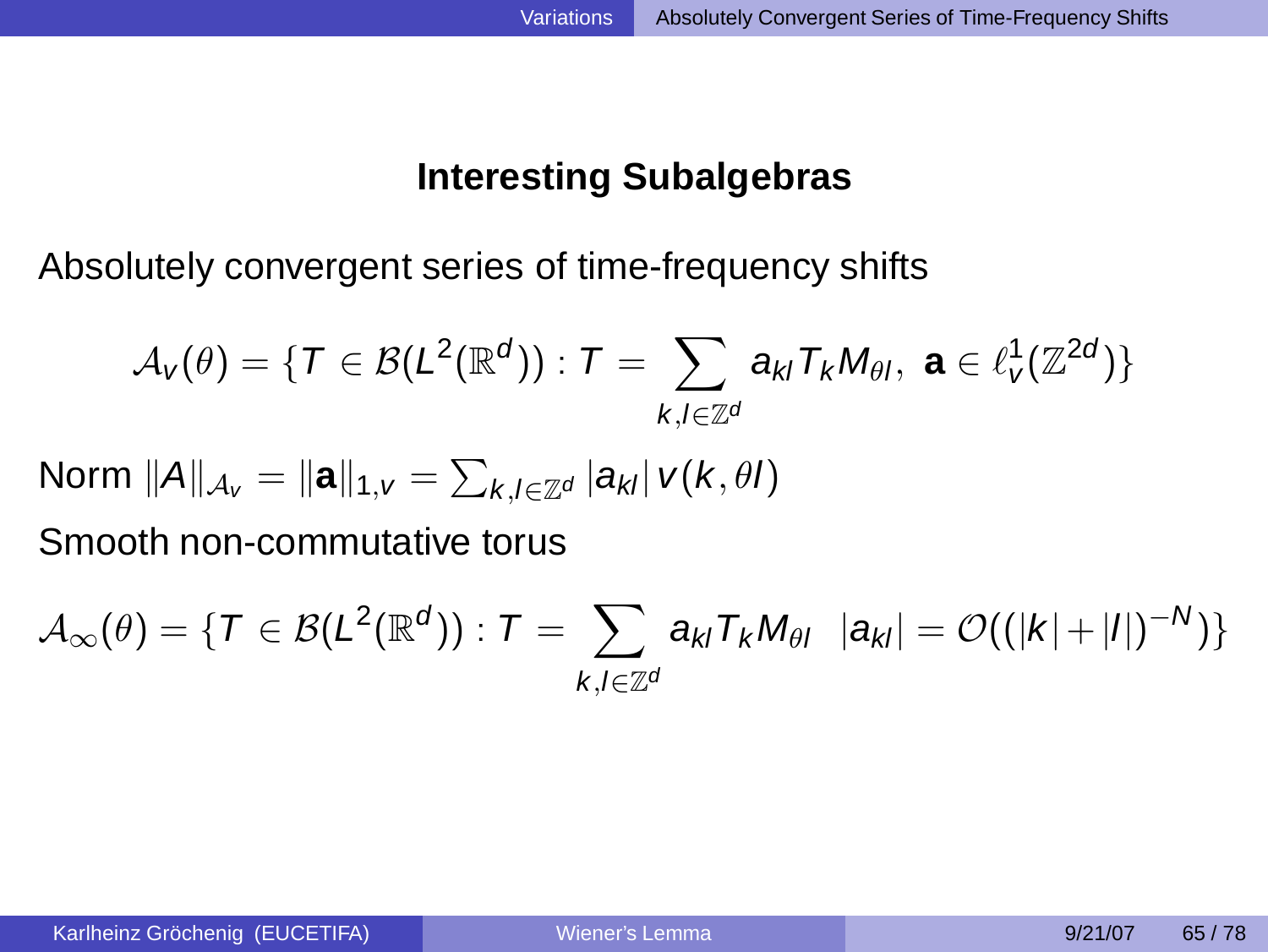# **Interesting Subalgebras**

Absolutely convergent series of time-frequency shifts

$$
\mathcal{A}_{\nu}(\theta) = \{ T \in \mathcal{B}(L^2(\mathbb{R}^d)): T = \sum_{k,l \in \mathbb{Z}^d} a_{kl} T_k M_{\theta l}, \ \mathbf{a} \in \ell_{\nu}^1(\mathbb{Z}^{2d}) \}
$$

Norm  $\|A\|_{\mathcal{A}_{V}} = \|{\bf a}\|_{1,V} = \sum_{k,l\in\mathbb{Z}^{d}}|a_{kl}| \text{ } v(k,\theta l)$ 

Smooth non-commutative torus

$$
\mathcal{A}_\infty(\theta)=\{ \, \mathcal{T} \in \mathcal{B}( \mathcal{L}^2(\mathbb{R}^d)): \, \mathcal{T}=\sum_{k,l\in \mathbb{Z}^d} a_{kl} \mathcal{T}_k M_{\theta l} \;\; |a_{kl}|=\mathcal{O}((|k|+|l|)^{-N})\}
$$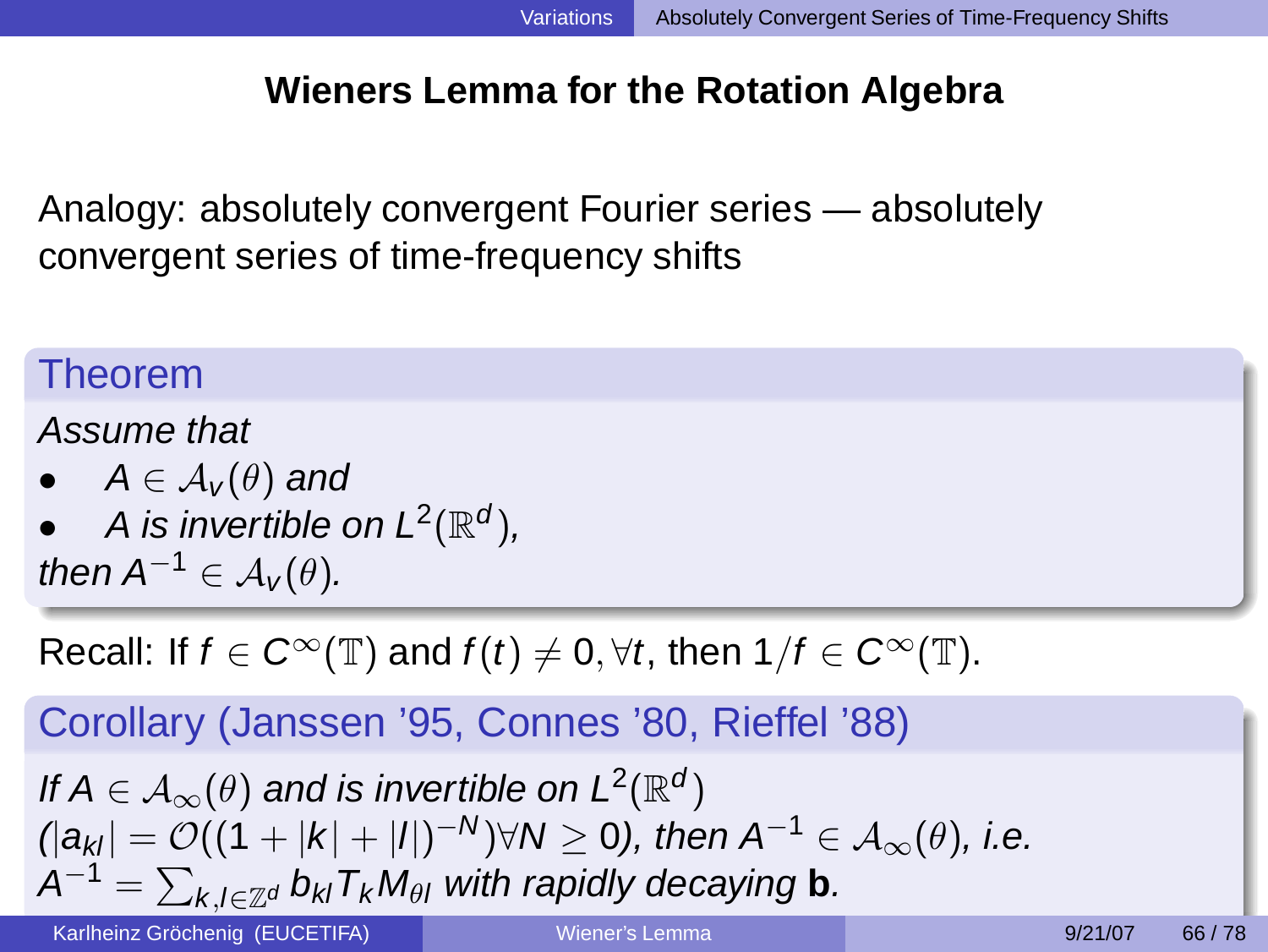# **Wieners Lemma for the Rotation Algebra**

Analogy: absolutely convergent Fourier series — absolutely convergent series of time-frequency shifts

# Theorem

Assume that

- $A \in \mathcal{A}_{\nu}(\theta)$  and
- A is invertible on  $L^2(\mathbb{R}^d)$ ,

then  $A^{-1} \in \mathcal{A}_{V}(\theta)$ .

Recall: If  $f \in C^{\infty}(\mathbb{T})$  and  $f(t) \neq 0, \forall t$ , then  $1/f \in C^{\infty}(\mathbb{T})$ .

Corollary (Janssen '95, Connes '80, Rieffel '88)

If 
$$
A \in \mathcal{A}_{\infty}(\theta)
$$
 and is invertible on  $L^2(\mathbb{R}^d)$   
\n
$$
||a_{kl}| = O((1+|k|+|l|)^{-N}) \forall N \ge 0
$$
, then  $A^{-1} \in \mathcal{A}_{\infty}(\theta)$ , i.e.  
\n $A^{-1} = \sum_{k,l \in \mathbb{Z}^d} b_{kl} T_k M_{\theta l}$  with rapidly decaying **b**.

Karlheinz Gröchenig (EUCETIFA) ([Wiener's Lemma](#page-0-0) 19/21/07 66/78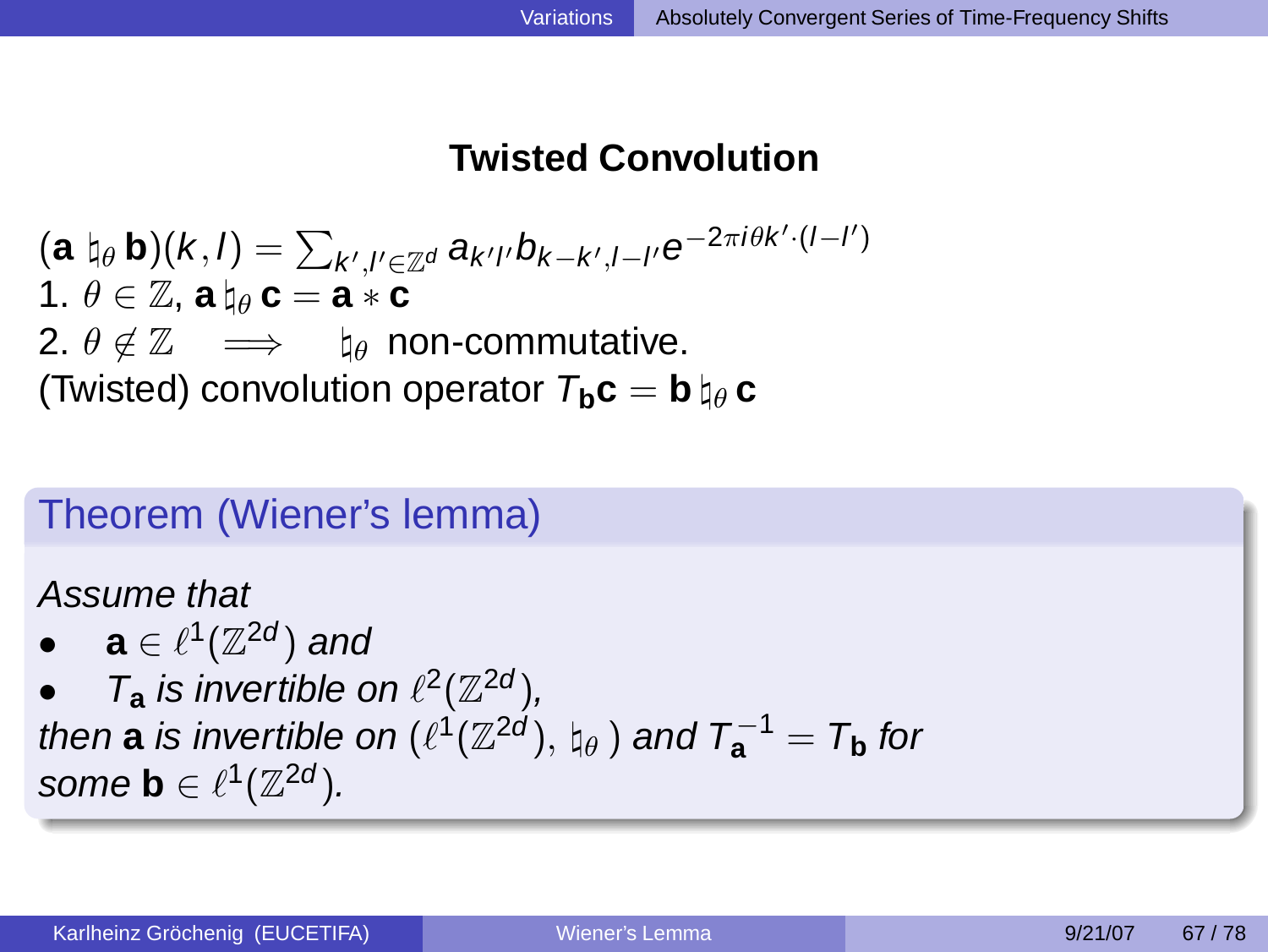# **Twisted Convolution**

 $(\textbf{a} \; \natural_{\theta} \, \textbf{b})(k,l) = \sum_{k',l' \in \mathbb{Z}^d} a_{k'l'} b_{k-k',l-l'} \mathrm{e}^{-2 \pi i \theta k' \cdot (l-l')}$ 1.  $\theta \in \mathbb{Z}$ , **a**  $h_{\theta}$  **c** = **a**  $*$  **c** 2.  $\theta \notin \mathbb{Z} \implies \mathbb{I}_{\theta}$  non-commutative. (Twisted) convolution operator  $T_h c = b \nvert_a c$ 

# Theorem (Wiener's lemma)

Assume that

 $\bullet \quad \mathbf{a} \in \ell^1(\mathbb{Z}^{2d})$  and

•  $T_a$  is invertible on  $\ell^2(\mathbb{Z}^{2d})$ , then  $\bf a$  is invertible on  $(\ell^1(\mathbb{Z}^{2d}),\natural_{\theta})$  and  $T_{\bf a}^{-1}=T_{\bf b}$  for some **b**  $\in \ell^{1}(\mathbb{Z}^{2d})$ .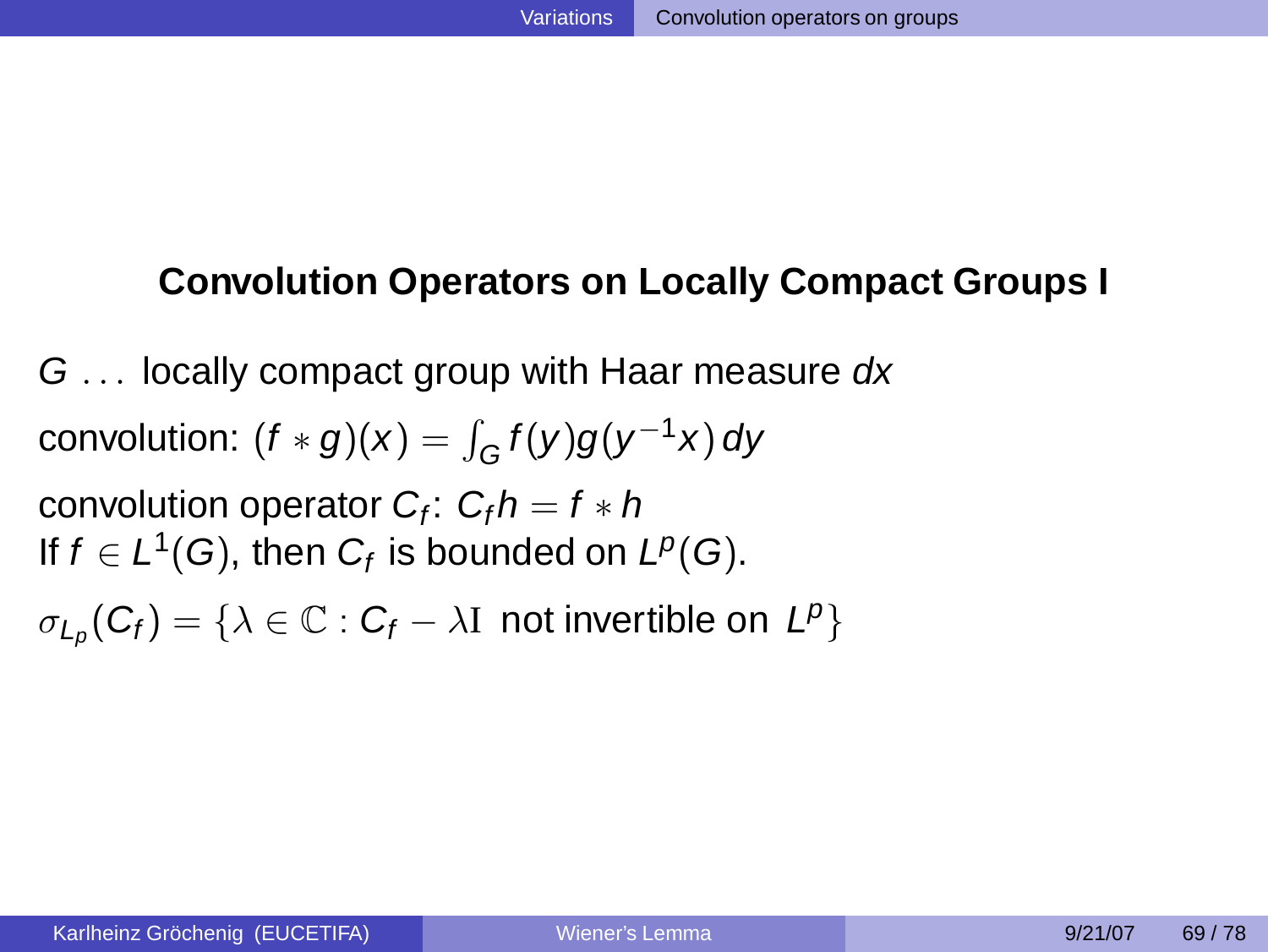### **Convolution Operators on Locally Compact Groups I**

G ... locally compact group with Haar measure dx convolution:  $(f*g)(x) = \int_G f(y)g(y^{-1}x) dy$ convolution operator  $C_f$ :  $C_f h = f \ast h$ If  $f\in L^1(G),$  then  $C_f$  is bounded on  $L^p(G).$ 

<span id="page-58-0"></span> $\sigma_{L_p}(C_f) = \{ \lambda \in \mathbb{C} : C_f - \lambda I \text{ not invertible on } L^p \}$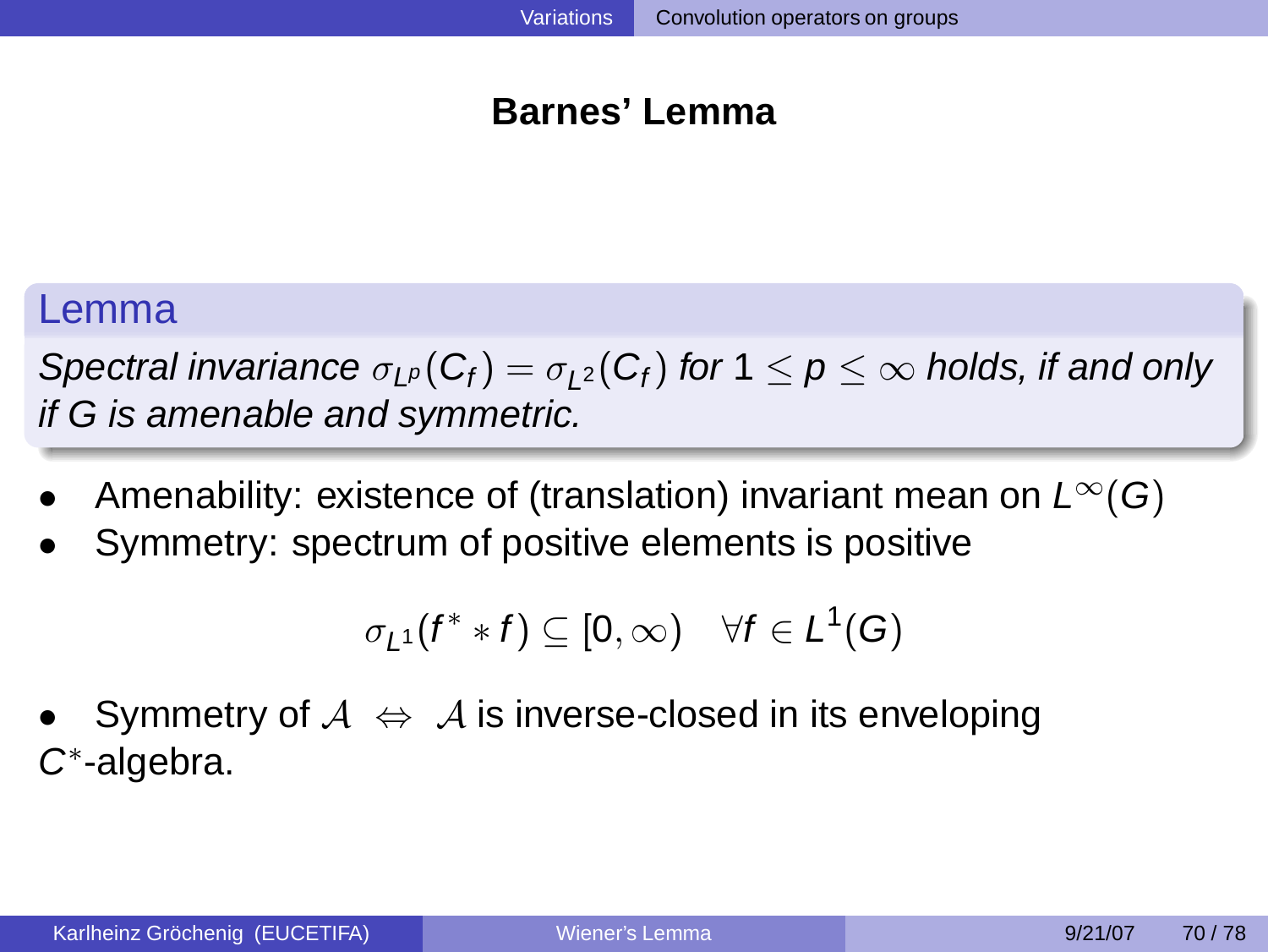### **Barnes' Lemma**

### Lemma

Spectral invariance  $\sigma_{L^p}(C_f)=\sigma_{L^2}(C_f)$  for  $1\leq p\leq\infty$  holds, if and only if G is amenable and symmetric.

- Amenability: existence of (translation) invariant mean on  $L^{\infty}(G)$
- Symmetry: spectrum of positive elements is positive

$$
\sigma_{L^1}(f^**f)\subseteq [0,\infty)\quad \forall f\in L^1(G)
$$

Symmetry of  $A \Leftrightarrow A$  is inverse-closed in its enveloping C ∗ -algebra.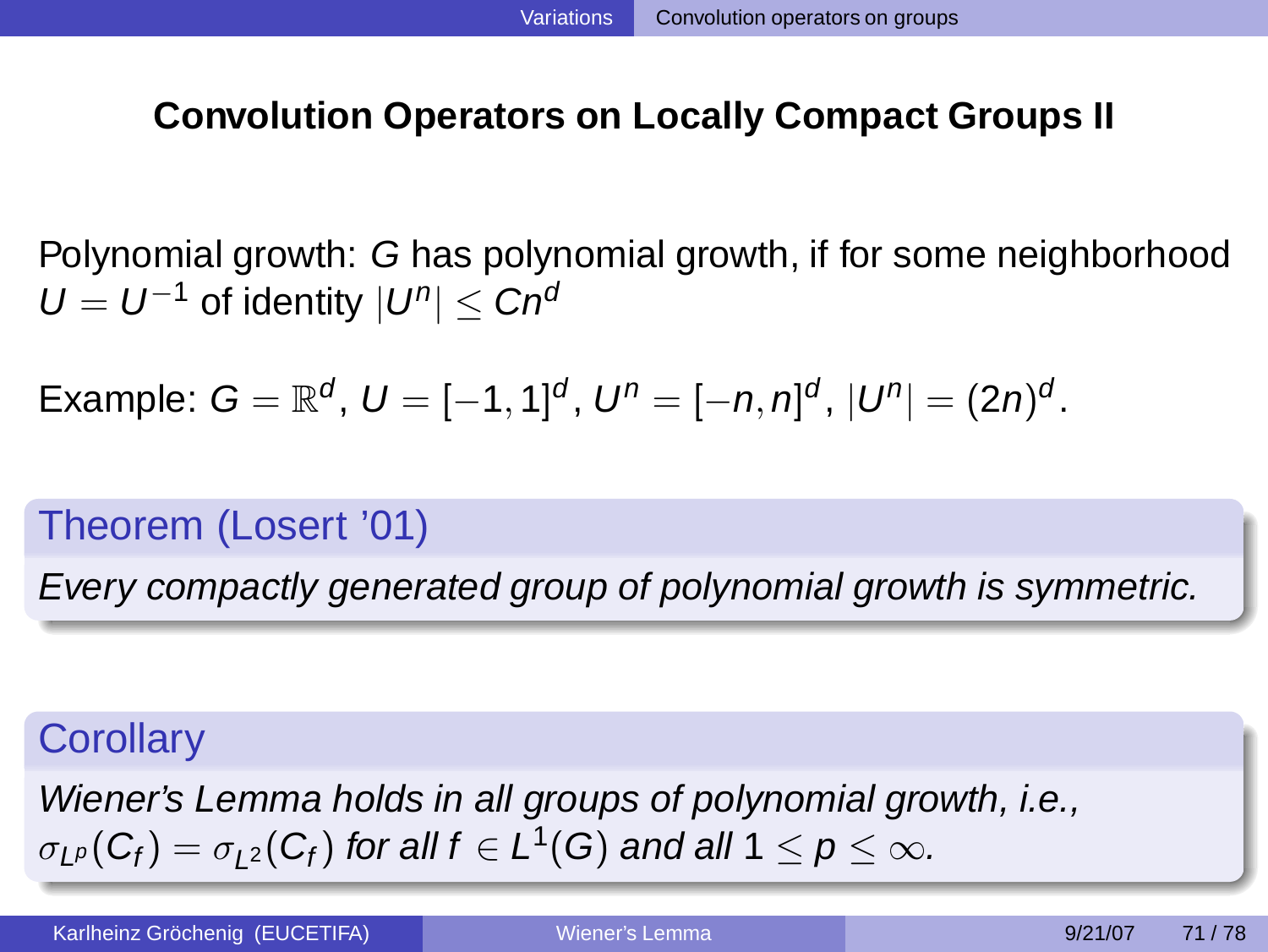# **Convolution Operators on Locally Compact Groups II**

Polynomial growth: G has polynomial growth, if for some neighborhood  $U = U^{-1}$  of identity  $|U^n| \leq C n^{\alpha}$ 

Example:  $G = \mathbb{R}^d$ ,  $U = [-1, 1]^d$ ,  $U^n = [-n, n]^d$ ,  $|U^n| = (2n)^d$ .

# Theorem (Losert '01)

Every compactly generated group of polynomial growth is symmetric.

# **Corollary**

Wiener's Lemma holds in all groups of polynomial growth, i.e.,  $\sigma_{L^p}(C_f)=\sigma_{L^2}(C_f)$  for all  $f\in L^1(G)$  and all  $1\leq p\leq\infty.$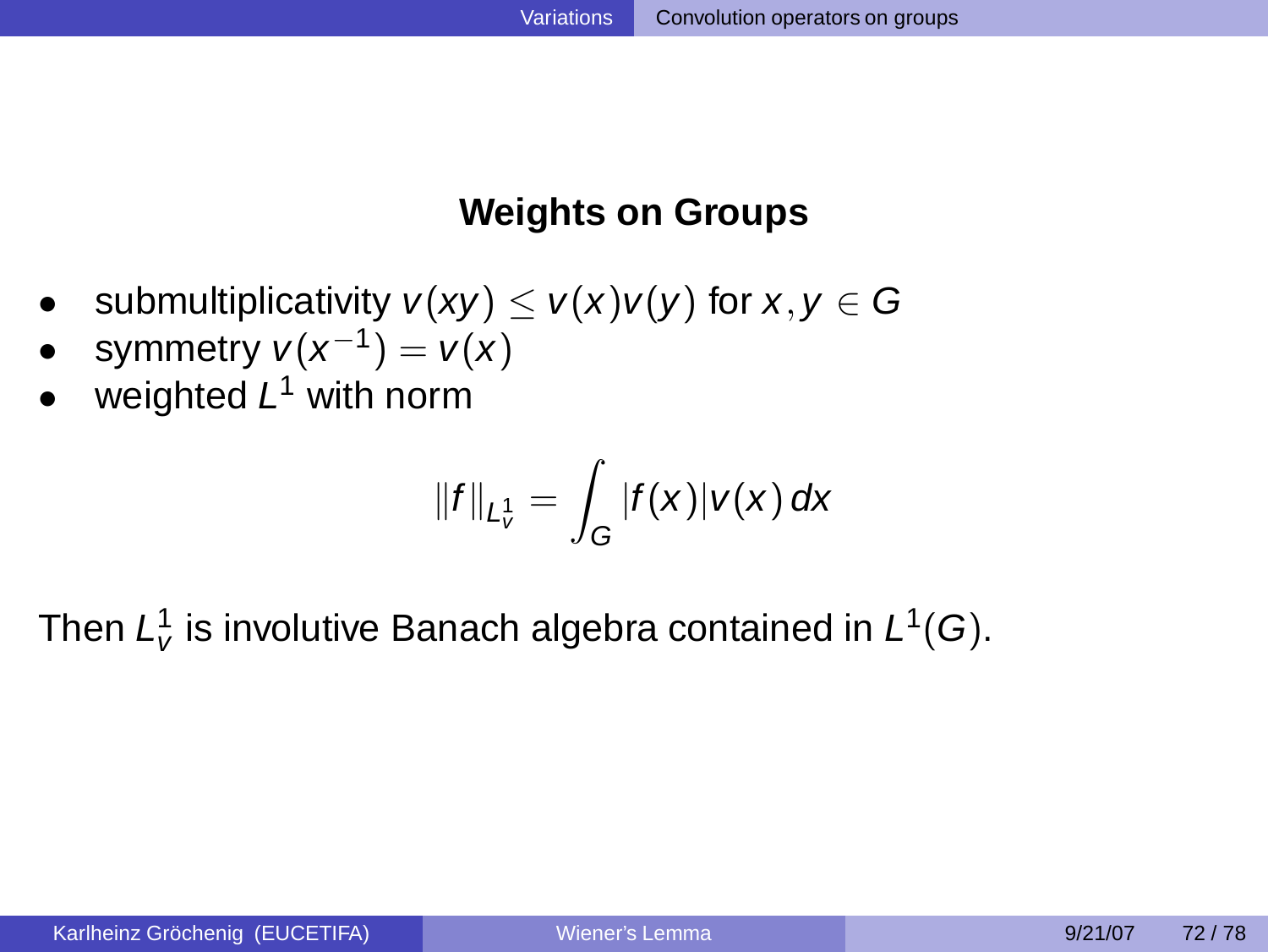# **Weights on Groups**

- submultiplicativity  $v(xy) \le v(x)v(y)$  for  $x, y \in G$
- symmetry  $v(x^{-1}) = v(x)$
- weighted  $L^1$  with norm

$$
||f||_{L^1_v} = \int_G |f(x)|v(x) dx
$$

Then  $L^1_{\nu}$  is involutive Banach algebra contained in  $L^1(G).$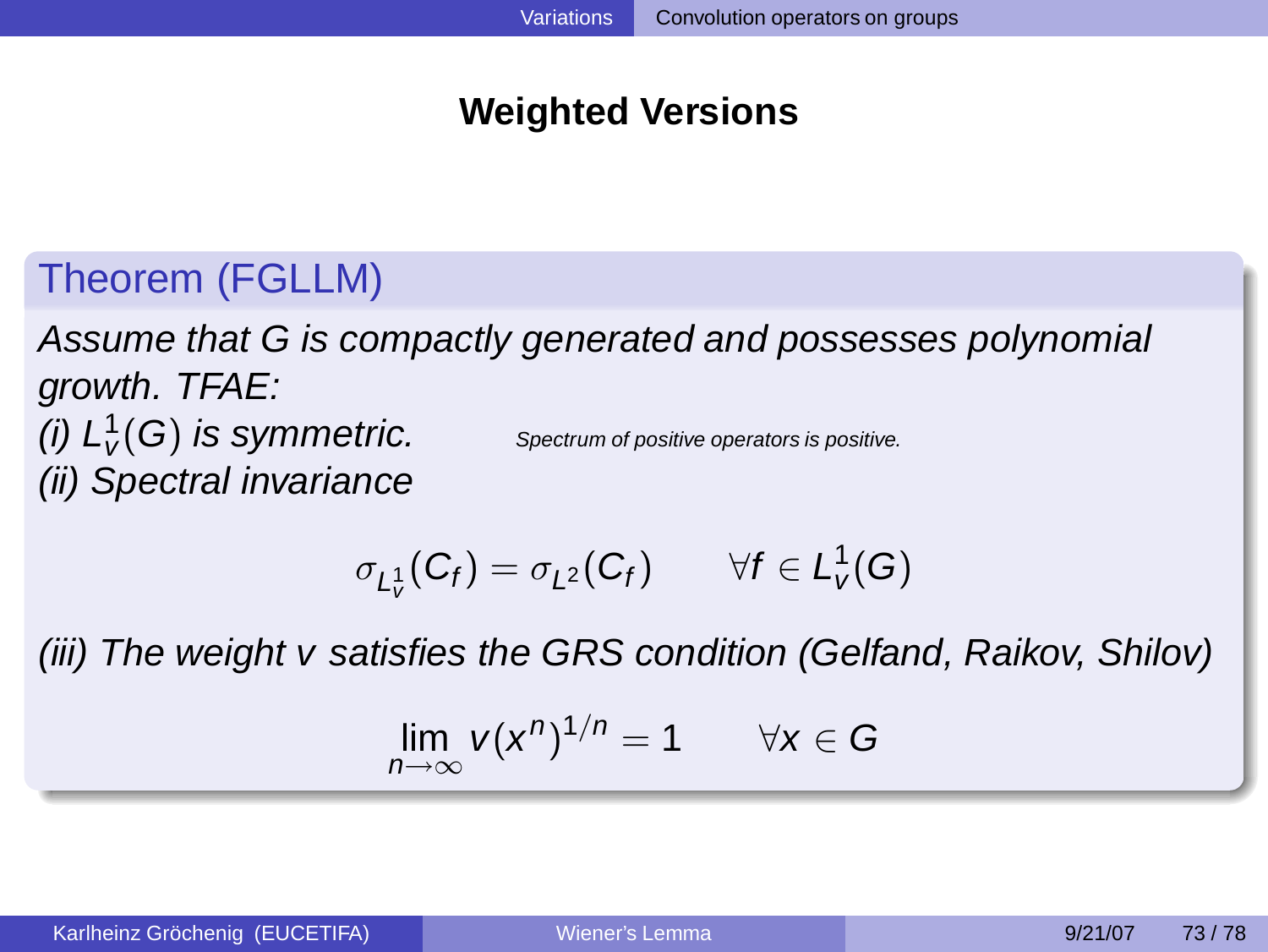# **Weighted Versions**

# Theorem (FGLLM)

Assume that G is compactly generated and possesses polynomial growth. TFAE: (i)  $L^1_V(G)$  is symmetric. Spectrum of positive operators is positive. (ii) Spectral invariance

$$
\sigma_{L^1_v}(C_f)=\sigma_{L^2}(C_f)\qquad \forall f\in L^1_v(G)
$$

(iii) The weight v satisfies the GRS condition (Gelfand, Raikov, Shilov)

$$
\lim_{n\to\infty} v(x^n)^{1/n} = 1 \qquad \forall x \in G
$$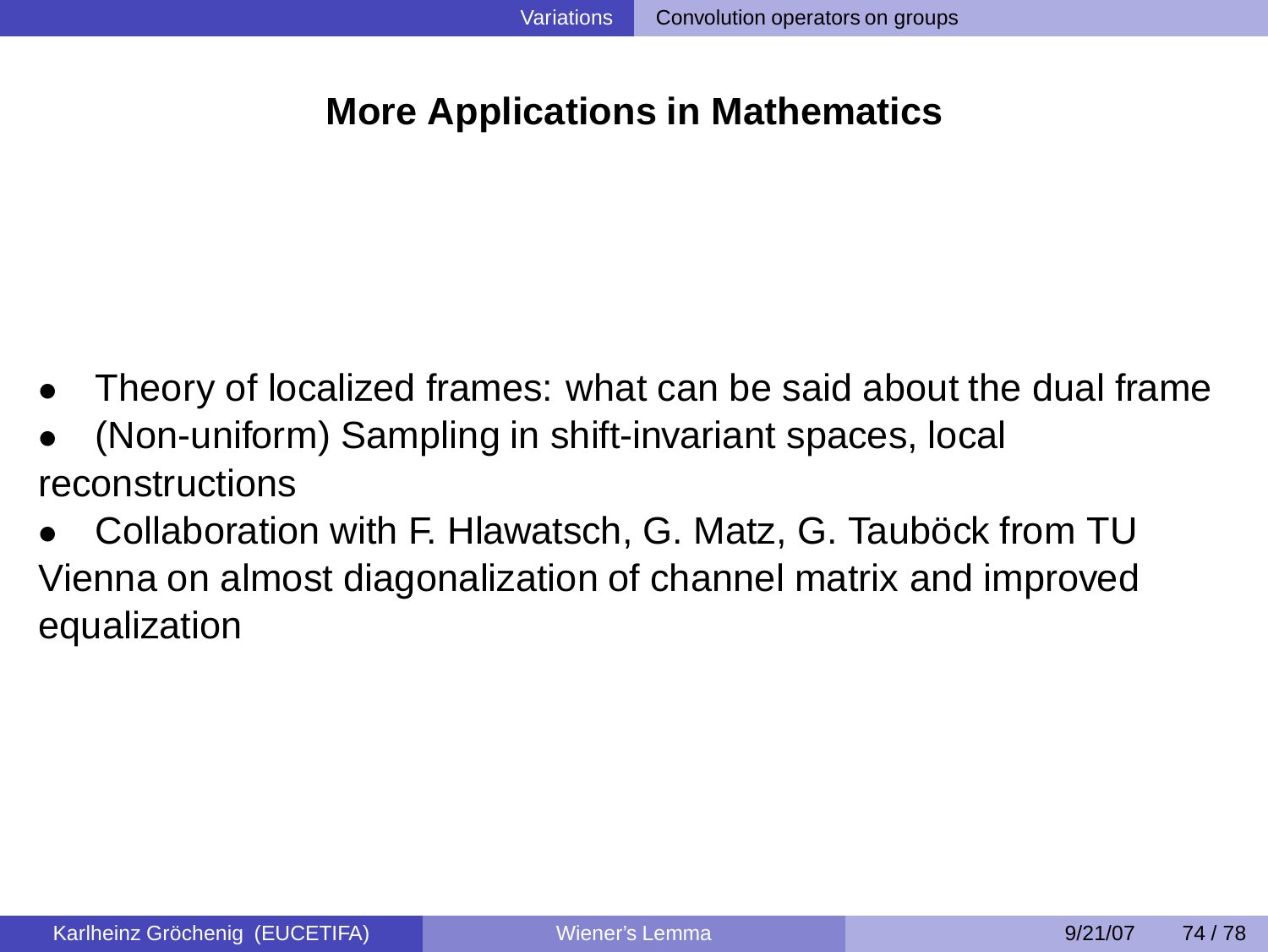### **More Applications in Mathematics**

- Theory of localized frames: what can be said about the dual frame
- (Non-uniform) Sampling in shift-invariant spaces, local reconstructions
- Collaboration with F. Hlawatsch, G. Matz, G. Tauböck from TU Vienna on almost diagonalization of channel matrix and improved equalization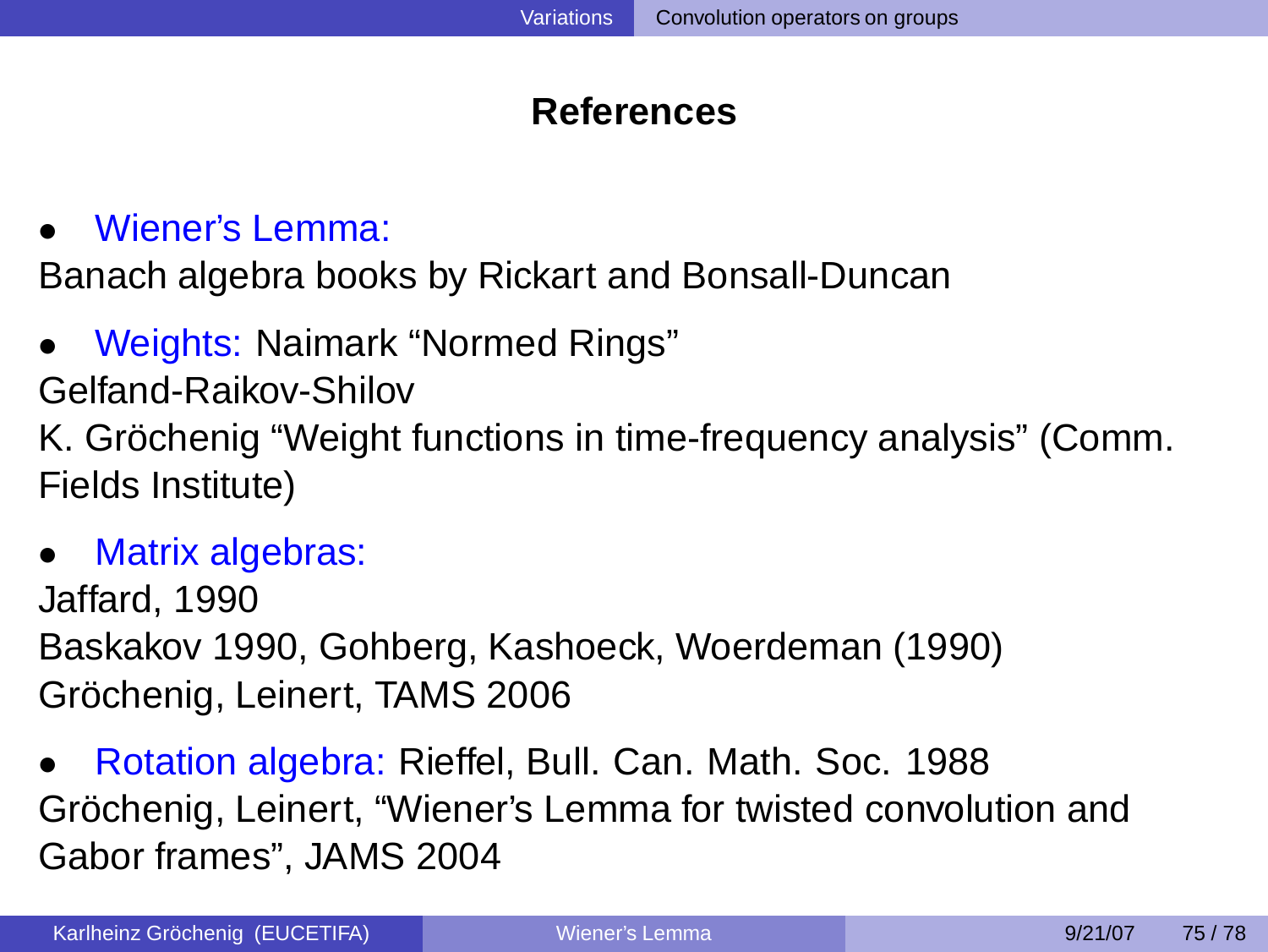# **References**

• Wiener's Lemma:

Banach algebra books by Rickart and Bonsall-Duncan

• Weights: Naimark "Normed Rings"

Gelfand-Raikov-Shilov

K. Gröchenig "Weight functions in time-frequency analysis" (Comm. Fields Institute)

Matrix algebras:

Jaffard, 1990 Baskakov 1990, Gohberg, Kashoeck, Woerdeman (1990) Gröchenig, Leinert, TAMS 2006

• Rotation algebra: Rieffel, Bull. Can. Math. Soc. 1988 Gröchenig, Leinert, "Wiener's Lemma for twisted convolution and Gabor frames", JAMS 2004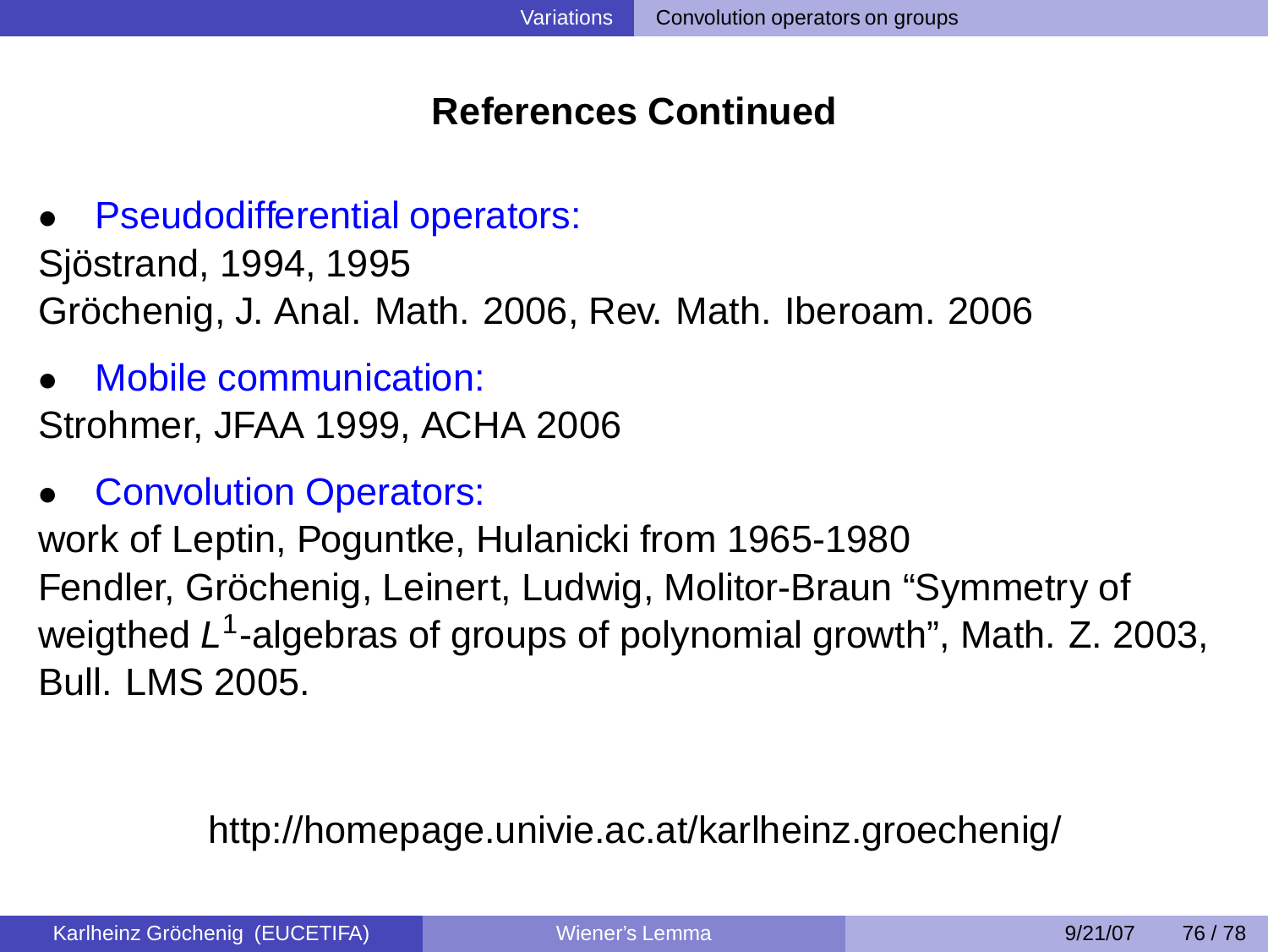# **References Continued**

**Pseudodifferential operators:** 

Sjöstrand, 1994, 1995 Gröchenig, J. Anal. Math. 2006, Rev. Math. Iberoam. 2006

- Mobile communication: Strohmer, JFAA 1999, ACHA 2006
- **Convolution Operators:**

work of Leptin, Poguntke, Hulanicki from 1965-1980 Fendler, Gröchenig, Leinert, Ludwig, Molitor-Braun "Symmetry of weigthed L<sup>1</sup>-algebras of groups of polynomial growth", Math. Z. 2003, Bull. LMS 2005.

# http://homepage.univie.ac.at/karlheinz.groechenig/